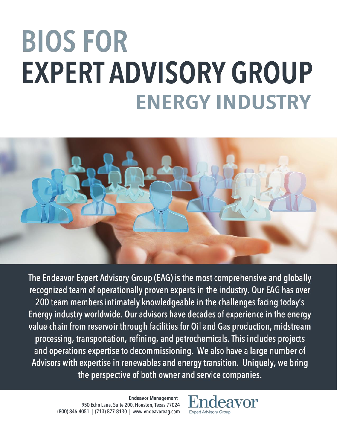# **BIOS FOR EXPERT ADVISORY GROUP ENERGY INDUSTRY**



The Endeavor Expert Advisory Group (EAG) is the most comprehensive and globally recognized team of operationally proven experts in the industry. Our EAG has over 200 team members intimately knowledgeable in the challenges facing today's Energy industry worldwide. Our advisors have decades of experience in the energy value chain from reservoir through facilities for Oil and Gas production, midstream processing, transportation, refining, and petrochemicals. This includes projects and operations expertise to decommissioning. We also have a large number of Advisors with expertise in renewables and energy transition. Uniquely, we bring the perspective of both owner and service companies.

> **Endeavor Management** 950 Echo Lane, Suite 200, Houston, Texas 77024 (800) 846-4051 | (713) 877-8130 | www.endeavoreag.com

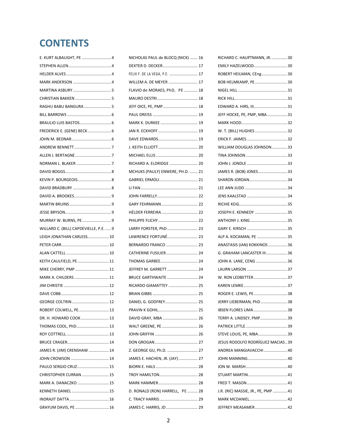# **CONTENTS**

| E. KURT ALBAUGHT, PE  4                |  |
|----------------------------------------|--|
|                                        |  |
|                                        |  |
|                                        |  |
|                                        |  |
|                                        |  |
| RAGHU BABU BANGURA  5                  |  |
|                                        |  |
|                                        |  |
| FREDERICK E. (GENE) BECK 6             |  |
|                                        |  |
|                                        |  |
|                                        |  |
|                                        |  |
|                                        |  |
|                                        |  |
|                                        |  |
|                                        |  |
|                                        |  |
|                                        |  |
| MURRAY W. BURNS, PE9                   |  |
| WILLARD C. (BILL) CAPDEVIELLE, P.E.  9 |  |
| LEIGH JONATHAN CARLESS 10              |  |
|                                        |  |
|                                        |  |
|                                        |  |
| KEITH CAULFIELD, PE  11                |  |
| MIKE CHERRY, PMP  11                   |  |
| MARK A. CHILDERS  11                   |  |
|                                        |  |
|                                        |  |
|                                        |  |
| ROBERT COLWELL, PE 13                  |  |
| DR. H. HOWARD COOK  13                 |  |
| THOMAS COOL, PhD 13                    |  |
|                                        |  |
|                                        |  |
| JAMES R. (JIM) CRENSHAW  14            |  |
| JOHN CROWSON  14                       |  |
| PAULO SERGIO CRUZ 15                   |  |
| CHRISTOPHER CURRAN  15                 |  |
| MARK A. DANACZKO  15                   |  |
| KENNETH DANIEL  15                     |  |
|                                        |  |

| DEXTER D. DECKER 17<br>FELIX F. DE LA VEGA, P.E.  17<br>WILLEM A. DE MEYER  17<br>FLAVIO de MORAES, PhD, PE  18<br>JEFF DICE, PE, PMP 18<br>MARK K. DURKEE  19<br>RICHARD A. ELDRIDGE  20<br>MCHUKS (PAULY) ENWERE, PH.D.  21<br>LARRY FORSTER, PhD  23<br>LAWRENCE FORTUNÉ 23<br>BERNARDO FRANCO  23<br>CATHERINE FUSILIER 24<br>JEFFREY M. GARRETT  24<br><b>BRUCE GARTHWAITE  24</b><br>RICARDO GIAMATTEY  25<br>DAVID GRAY, MBA  26<br>WALT GREENE, PE 26<br>Z. GEORGE GU, Ph.D.  27<br>JAMES E. HACHEN, JR. (JAY)  27<br>D. RONALD (RON) HARRELL, PE  28 | NICHOLAS PAUL de BLOCQ (NICK)  16 |  |
|---------------------------------------------------------------------------------------------------------------------------------------------------------------------------------------------------------------------------------------------------------------------------------------------------------------------------------------------------------------------------------------------------------------------------------------------------------------------------------------------------------------------------------------------------------------|-----------------------------------|--|
|                                                                                                                                                                                                                                                                                                                                                                                                                                                                                                                                                               |                                   |  |
|                                                                                                                                                                                                                                                                                                                                                                                                                                                                                                                                                               |                                   |  |
|                                                                                                                                                                                                                                                                                                                                                                                                                                                                                                                                                               |                                   |  |
|                                                                                                                                                                                                                                                                                                                                                                                                                                                                                                                                                               |                                   |  |
|                                                                                                                                                                                                                                                                                                                                                                                                                                                                                                                                                               |                                   |  |
|                                                                                                                                                                                                                                                                                                                                                                                                                                                                                                                                                               |                                   |  |
|                                                                                                                                                                                                                                                                                                                                                                                                                                                                                                                                                               |                                   |  |
|                                                                                                                                                                                                                                                                                                                                                                                                                                                                                                                                                               |                                   |  |
|                                                                                                                                                                                                                                                                                                                                                                                                                                                                                                                                                               |                                   |  |
|                                                                                                                                                                                                                                                                                                                                                                                                                                                                                                                                                               |                                   |  |
|                                                                                                                                                                                                                                                                                                                                                                                                                                                                                                                                                               |                                   |  |
|                                                                                                                                                                                                                                                                                                                                                                                                                                                                                                                                                               |                                   |  |
|                                                                                                                                                                                                                                                                                                                                                                                                                                                                                                                                                               |                                   |  |
|                                                                                                                                                                                                                                                                                                                                                                                                                                                                                                                                                               |                                   |  |
|                                                                                                                                                                                                                                                                                                                                                                                                                                                                                                                                                               |                                   |  |
|                                                                                                                                                                                                                                                                                                                                                                                                                                                                                                                                                               |                                   |  |
|                                                                                                                                                                                                                                                                                                                                                                                                                                                                                                                                                               |                                   |  |
|                                                                                                                                                                                                                                                                                                                                                                                                                                                                                                                                                               |                                   |  |
|                                                                                                                                                                                                                                                                                                                                                                                                                                                                                                                                                               |                                   |  |
|                                                                                                                                                                                                                                                                                                                                                                                                                                                                                                                                                               |                                   |  |
|                                                                                                                                                                                                                                                                                                                                                                                                                                                                                                                                                               |                                   |  |
|                                                                                                                                                                                                                                                                                                                                                                                                                                                                                                                                                               |                                   |  |
|                                                                                                                                                                                                                                                                                                                                                                                                                                                                                                                                                               |                                   |  |
|                                                                                                                                                                                                                                                                                                                                                                                                                                                                                                                                                               |                                   |  |
|                                                                                                                                                                                                                                                                                                                                                                                                                                                                                                                                                               |                                   |  |
|                                                                                                                                                                                                                                                                                                                                                                                                                                                                                                                                                               |                                   |  |
|                                                                                                                                                                                                                                                                                                                                                                                                                                                                                                                                                               |                                   |  |
|                                                                                                                                                                                                                                                                                                                                                                                                                                                                                                                                                               |                                   |  |
|                                                                                                                                                                                                                                                                                                                                                                                                                                                                                                                                                               |                                   |  |
|                                                                                                                                                                                                                                                                                                                                                                                                                                                                                                                                                               |                                   |  |
|                                                                                                                                                                                                                                                                                                                                                                                                                                                                                                                                                               |                                   |  |
|                                                                                                                                                                                                                                                                                                                                                                                                                                                                                                                                                               |                                   |  |
|                                                                                                                                                                                                                                                                                                                                                                                                                                                                                                                                                               |                                   |  |
|                                                                                                                                                                                                                                                                                                                                                                                                                                                                                                                                                               |                                   |  |
|                                                                                                                                                                                                                                                                                                                                                                                                                                                                                                                                                               |                                   |  |
|                                                                                                                                                                                                                                                                                                                                                                                                                                                                                                                                                               |                                   |  |
|                                                                                                                                                                                                                                                                                                                                                                                                                                                                                                                                                               |                                   |  |
|                                                                                                                                                                                                                                                                                                                                                                                                                                                                                                                                                               |                                   |  |
|                                                                                                                                                                                                                                                                                                                                                                                                                                                                                                                                                               |                                   |  |
|                                                                                                                                                                                                                                                                                                                                                                                                                                                                                                                                                               |                                   |  |
|                                                                                                                                                                                                                                                                                                                                                                                                                                                                                                                                                               |                                   |  |
|                                                                                                                                                                                                                                                                                                                                                                                                                                                                                                                                                               |                                   |  |
|                                                                                                                                                                                                                                                                                                                                                                                                                                                                                                                                                               | JAMES C. HARRIS, JD  29           |  |

| RICHARD C. HAUPTMANN, JR. 30       |  |
|------------------------------------|--|
| EMILY HAZELWOOD30                  |  |
| ROBERT HEILMAN, CEng30             |  |
| BOB HELMKAMP, PE30                 |  |
|                                    |  |
|                                    |  |
| EDWARD A. HIRS, III31              |  |
| JEFF HOCKE, PE, PMP, MBA31         |  |
|                                    |  |
| W. T. (BILL) HUGHES 32             |  |
|                                    |  |
| WILLIAM DOUGLAS JOHNSON33          |  |
|                                    |  |
|                                    |  |
| JAMES R. (BOB) JONES33             |  |
| SHARON JORDAN34                    |  |
|                                    |  |
|                                    |  |
|                                    |  |
| JOSEPH E. KENNEDY 35               |  |
| ANTHONY J. KING 35                 |  |
|                                    |  |
| ALP A. KOCAMAN, PE 35              |  |
| ANASTASIS (IAN) KOKKINOS 36        |  |
| G. GRAHAM LANCASTER III36          |  |
| JOHN A. LANE, CENG 36              |  |
|                                    |  |
| W. RON LEDBETTER37                 |  |
|                                    |  |
| ROGER E. LEWIS, PE38               |  |
| JERRY LIEBERMAN, PhD38             |  |
| IBSEN FLORES LIMA 38               |  |
| TERRY A. LINDSEY, PMP39            |  |
|                                    |  |
| STEVE LOUIS, PE, MBA39             |  |
| JESUS RODOLFO RODRÍGUEZ MACIAS39   |  |
| ANDREA MANGIAVACCHI40              |  |
|                                    |  |
|                                    |  |
|                                    |  |
|                                    |  |
| J.R. (RIC) MASSIE, JR., PE, PMP 41 |  |
|                                    |  |
| JEFFREY MEASAMER 42                |  |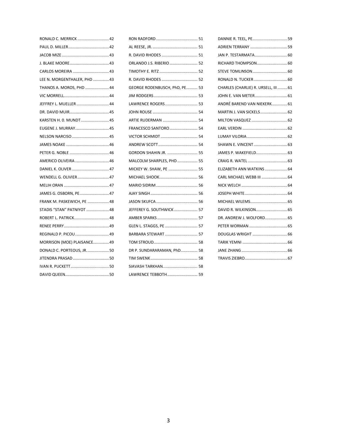| RONALD C. MERRICK  42        |
|------------------------------|
|                              |
|                              |
|                              |
|                              |
| LEE N. MORGENTHALER, PHD  43 |
| THANOS A. MOROS, PHD  44     |
|                              |
| JEFFREY L. MUELLER 44        |
|                              |
| KARSTEN H. O. MUNDT 45       |
| EUGENE J. MURRAY 45          |
| NELSON NARCISO  45           |
|                              |
|                              |
| AMERICO OLIVEIRA  46         |
| DANIEL K. OLIVER  47         |
| WENDELL G. OLIVIER 47        |
|                              |
| JAMES G. OSBORN, PE 47       |
| FRANK M. PASKEWICH, PE  48   |
| STADIS "STAN" PATNIYOT  48   |
| ROBERT L. PATRICK 48         |
|                              |
| REGINALD P. PICOU  49        |
| MORRISON (MOE) PLAISANCE 49  |
| DONALD C. PORTEOUS, JR.  50  |
| JITENDRA PRASAD  50          |
|                              |
|                              |

| R. DAVID RHODES  51           |
|-------------------------------|
| ORLANDO J.S. RIBERIO  52      |
| TIMOTHY E. RITZ  52           |
| R. DAVID RHODES  52           |
| GEORGE RODENBUSCH, PhD, PE 53 |
|                               |
| LAWRENCE ROGERS 53            |
|                               |
| ARTIE RUDERMAN  54            |
| FRANCESCO SANTORO 54          |
|                               |
|                               |
| <b>GORDON SHAHIN JR.  55</b>  |
| MALCOLM SHARPLES, PHD  55     |
| MICKEY W. SHAW, PE  55        |
|                               |
|                               |
|                               |
|                               |
| JEFFEREY G. SOUTHWICK  57     |
|                               |
| GLEN L. STAGGS, PE  57        |
| BARBARA STEWART  57           |
|                               |
| DR P. SUNDARARAMAN, PhD 58    |
|                               |
| SIAVASH TARKHAN 58            |
| LAWRENCE TEBBOTH 59           |

| DANNIE R. TEEL, PE59                 |  |
|--------------------------------------|--|
| ADRIEN TERRANY 59                    |  |
|                                      |  |
|                                      |  |
|                                      |  |
|                                      |  |
| CHARLES (CHARLIE) R. URSELL, III  61 |  |
|                                      |  |
| ANDRÉ BAREND VAN NIEKERK 61          |  |
|                                      |  |
|                                      |  |
|                                      |  |
|                                      |  |
|                                      |  |
|                                      |  |
|                                      |  |
| ELIZABETH ANN WATKINS  64            |  |
|                                      |  |
|                                      |  |
|                                      |  |
|                                      |  |
|                                      |  |
| DR. ANDREW J. WOLFORD 65             |  |
|                                      |  |
|                                      |  |
|                                      |  |
|                                      |  |
|                                      |  |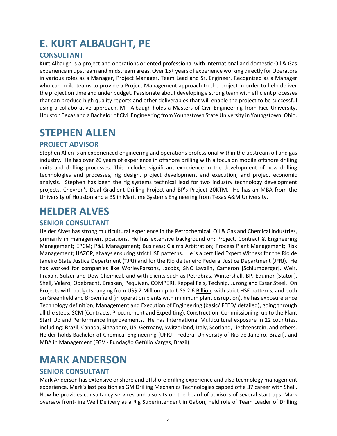# <span id="page-3-0"></span>**E. KURT ALBAUGHT, PE**

### **CONSULTANT**

Kurt Albaugh is a project and operations oriented professional with international and domestic Oil & Gas experience in upstream and midstream areas. Over 15+ years of experience working directly for Operators in various roles as a Manager, Project Manager, Team Lead and Sr. Engineer. Recognized as a Manager who can build teams to provide a Project Management approach to the project in order to help deliver the project on time and under budget. Passionate about developing a strong team with efficient processes that can produce high quality reports and other deliverables that will enable the project to be successful using a collaborative approach. Mr. Albaugh holds a Masters of Civil Engineering from Rice University, Houston Texas and a Bachelor of Civil Engineering from Youngstown State University in Youngstown, Ohio.

### <span id="page-3-1"></span>**STEPHEN ALLEN**

### **PROJECT ADVISOR**

Stephen Allen is an experienced engineering and operations professional within the upstream oil and gas industry. He has over 20 years of experience in offshore drilling with a focus on mobile offshore drilling units and drilling processes. This includes significant experience in the development of new drilling technologies and processes, rig design, project development and execution, and project economic analysis. Stephen has been the rig systems technical lead for two industry technology development projects, Chevron's Dual Gradient Drilling Project and BP's Project 20KTM. He has an MBA from the University of Houston and a BS in Maritime Systems Engineering from Texas A&M University.

# <span id="page-3-2"></span>**HELDER ALVES**

### **SENIOR CONSULTANT**

Helder Alves has strong multicultural experience in the Petrochemical, Oil & Gas and Chemical industries, primarily in management positions. He has extensive background on: Project, Contract & Engineering Management; EPCM; P&L Management; Business; Claims Arbitration; Process Plant Management; Risk Management; HAZOP, always ensuring strict HSE patterns. He is a certified Expert Witness for the Rio de Janeiro State Justice Department (TJRJ) and for the Rio de Janeiro Federal Justice Department (JFRJ). He has worked for companies like WorleyParsons, Jacobs, SNC Lavalin, Cameron [Schlumberger], Weir, Praxair, Sulzer and Dow Chemical, and with clients such as Petrobras, Wintershall, BP, Equinor [Statoil], Shell, Valero, Odebrecht, Brasken, Pequiven, COMPERJ, Keppel Fels, Technip, Jurong and Essar Steel. On Projects with budgets ranging from US\$ 2 Million up to US\$ 2.6 Billion, with strict HSE patterns, and both on Greenfield and Brownfield (in operation plants with minimum plant disruption), he has exposure since Technology definition, Management and Execution of Engineering (basic/ FEED/ detailed), going through all the steps: SCM (Contracts, Procurement and Expediting), Construction, Commissioning, up to the Plant Start Up and Performance Improvements. He has International Multicultural exposure in 22 countries, including: Brazil, Canada, Singapore, US, Germany, Switzerland, Italy, Scotland, Liechtenstein, and others. Helder holds Bachelor of Chemical Engineering (UFRJ - Federal University of Rio de Janeiro, Brazil), and MBA in Management (FGV - Fundação Getúlio Vargas, Brazil).

### <span id="page-3-3"></span>**MARK ANDERSON**

### **SENIOR CONSULTANT**

Mark Anderson has extensive onshore and offshore drilling experience and also technology management experience. Mark's last position as GM Drilling Mechanics Technologies capped off a 37 career with Shell. Now he provides consultancy services and also sits on the board of advisors of several start-ups. Mark oversaw front-line Well Delivery as a Rig Superintendent in Gabon, held role of Team Leader of Drilling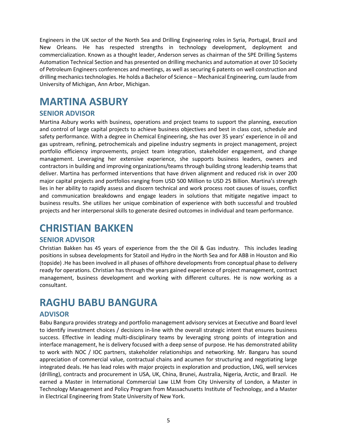Engineers in the UK sector of the North Sea and Drilling Engineering roles in Syria, Portugal, Brazil and New Orleans. He has respected strengths in technology development, deployment and commercialization. Known as a thought leader, Anderson serves as chairman of the SPE Drilling Systems Automation Technical Section and has presented on drilling mechanics and automation at over 10 Society of Petroleum Engineers conferences and meetings, as well as securing 6 patents on well construction and drilling mechanics technologies. He holds a Bachelor of Science – Mechanical Engineering, cum laude from University of Michigan, Ann Arbor, Michigan.

### <span id="page-4-0"></span>**MARTINA ASBURY**

### **SENIOR ADVISOR**

Martina Asbury works with business, operations and project teams to support the planning, execution and control of large capital projects to achieve business objectives and best in class cost, schedule and safety performance. With a degree in Chemical Engineering, she has over 35 years' experience in oil and gas upstream, refining, petrochemicals and pipeline industry segments in project management, project portfolio efficiency improvements, project team integration, stakeholder engagement, and change management. Leveraging her extensive experience, she supports business leaders, owners and contractors in building and improving organizations/teams through building strong leadership teams that deliver. Martina has performed interventions that have driven alignment and reduced risk in over 200 major capital projects and portfolios ranging from USD 500 Million to USD 25 Billion. Martina's strength lies in her ability to rapidly assess and discern technical and work process root causes of issues, conflict and communication breakdowns and engage leaders in solutions that mitigate negative impact to business results. She utilizes her unique combination of experience with both successful and troubled projects and her interpersonal skills to generate desired outcomes in individual and team performance.

### <span id="page-4-1"></span>**CHRISTIAN BAKKEN**

#### **SENIOR ADVISOR**

Christian Bakken has 45 years of experience from the the Oil & Gas industry. This includes leading positions in subsea developments for Statoil and Hydro in the North Sea and for ABB in Houston and Rio (topside) .He has been involved in all phases of offshore developments from conceptual phase to delivery ready for operations. Christian has through the years gained experience of project management, contract management, business development and working with different cultures. He is now working as a consultant.

### <span id="page-4-2"></span>**RAGHU BABU BANGURA**

### **ADVISOR**

Babu Bangura provides strategy and portfolio management advisory services at Executive and Board level to identify investment choices / decisions in-line with the overall strategic intent that ensures business success. Effective in leading multi‐disciplinary teams by leveraging strong points of integration and interface management, he is delivery focused with a deep sense of purpose. He has demonstrated ability to work with NOC / IOC partners, stakeholder relationships and networking. Mr. Bangaru has sound appreciation of commercial value, contractual chains and acumen for structuring and negotiating large integrated deals. He has lead roles with major projects in exploration and production, LNG, well services (drilling), contracts and procurement in USA, UK, China, Brunei, Australia, Nigeria, Arctic, and Brazil. He earned a Master in International Commercial Law LLM from City University of London, a Master in Technology Management and Policy Program from Massachusetts Institute of Technology, and a Master in Electrical Engineering from State University of New York.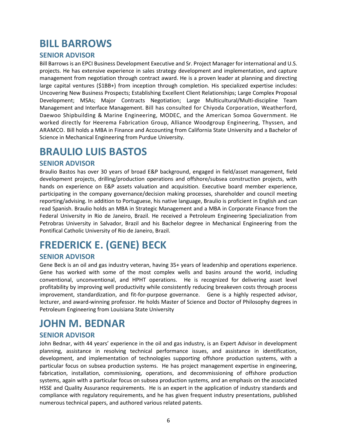### <span id="page-5-0"></span>**BILL BARROWS**

#### **SENIOR ADVISOR**

Bill Barrows is an EPCI Business Development Executive and Sr. Project Manager for international and U.S. projects. He has extensive experience in sales strategy development and implementation, and capture management from negotiation through contract award. He is a proven leader at planning and directing large capital ventures (\$1BB+) from inception through completion. His specialized expertise includes: Uncovering New Business Prospects; Establishing Excellent Client Relationships; Large Complex Proposal Development; MSAs; Major Contracts Negotiation; Large Multicultural/Multi‐discipline Team Management and Interface Management. Bill has consulted for Chiyoda Corporation, Weatherford, Daewoo Shipbuilding & Marine Engineering, MODEC, and the American Somoa Government. He worked directly for Heerema Fabrication Group, Alliance Woodgroup Engineering, Thyssen, and ARAMCO. Bill holds a MBA in Finance and Accounting from California State University and a Bachelor of Science in Mechanical Engineering from Purdue University.

### <span id="page-5-1"></span>**BRAULIO LUIS BASTOS**

#### **SENIOR ADVISOR**

Braulio Bastos has over 30 years of broad E&P background, engaged in field/asset management, field development projects, drilling/production operations and offshore/subsea construction projects, with hands on experience on E&P assets valuation and acquisition. Executive board member experience, participating in the company governance/decision making processes, shareholder and council meeting reporting/advising. In addition to Portuguese, his native language, Braulio is proficient in English and can read Spanish. Braulio holds an MBA in Strategic Management and a MBA in Corporate Finance from the Federal University in Rio de Janeiro, Brazil. He received a Petroleum Engineering Specialization from Petrobras University in Salvador, Brazil and his Bachelor degree in Mechanical Engineering from the Pontifical Catholic University of Rio de Janeiro, Brazil.

# <span id="page-5-2"></span>**FREDERICK E. (GENE) BECK**

#### **SENIOR ADVISOR**

Gene Beck is an oil and gas industry veteran, having 35+ years of leadership and operations experience. Gene has worked with some of the most complex wells and basins around the world, including conventional, unconventional, and HPHT operations. He is recognized for delivering asset level profitability by improving well productivity while consistently reducing breakeven costs through process improvement, standardization, and fit-for-purpose governance. Gene is a highly respected advisor, lecturer, and award-winning professor. He holds Master of Science and Doctor of Philosophy degrees in Petroleum Engineering from Louisiana State University

# <span id="page-5-3"></span>**JOHN M. BEDNAR**

#### **SENIOR ADVISOR**

John Bednar, with 44 years' experience in the oil and gas industry, is an Expert Advisor in development planning, assistance in resolving technical performance issues, and assistance in identification, development, and implementation of technologies supporting offshore production systems, with a particular focus on subsea production systems. He has project management expertise in engineering, fabrication, installation, commissioning, operations, and decommissioning of offshore production systems, again with a particular focus on subsea production systems, and an emphasis on the associated HSSE and Quality Assurance requirements. He is an expert in the application of industry standards and compliance with regulatory requirements, and he has given frequent industry presentations, published numerous technical papers, and authored various related patents.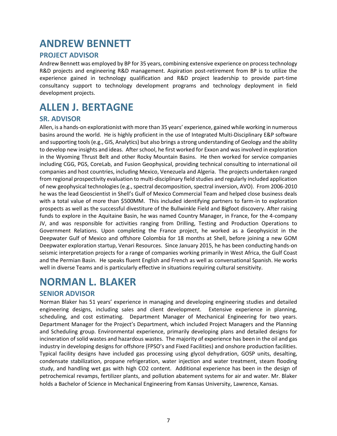### <span id="page-6-0"></span>**ANDREW BENNETT**

### **PROJECT ADVISOR**

Andrew Bennett was employed by BP for 35 years, combining extensive experience on process technology R&D projects and engineering R&D management. Aspiration post-retirement from BP is to utilize the experience gained in technology qualification and R&D project leadership to provide part‐time consultancy support to technology development programs and technology deployment in field development projects.

# <span id="page-6-1"></span>**ALLEN J. BERTAGNE**

### **SR. ADVISOR**

Allen, is a hands-on explorationist with more than 35 years' experience, gained while working in numerous basins around the world. He is highly proficient in the use of Integrated Multi-Disciplinary E&P software and supporting tools (e.g., GIS, Analytics) but also brings a strong understanding of Geology and the ability to develop new insights and ideas. After school, he first worked for Exxon and was involved in exploration in the Wyoming Thrust Belt and other Rocky Mountain Basins. He then worked for service companies including CGG, PGS, CoreLab, and Fusion Geophysical, providing technical consulting to international oil companies and host countries, including Mexico, Venezuela and Algeria. The projects undertaken ranged from regional prospectivity evaluation to multi-disciplinary field studies and regularly included application of new geophysical technologies (e.g., spectral decomposition, spectral inversion, AVO). From 2006-2010 he was the lead Geoscientist in Shell's Gulf of Mexico Commercial Team and helped close business deals with a total value of more than \$500MM. This included identifying partners to farm-in to exploration prospects as well as the successful divestiture of the Bullwinkle Field and Bigfoot discovery. After raising funds to explore in the Aquitaine Basin, he was named Country Manager, in France, for the 4-company JV, and was responsible for activities ranging from Drilling, Testing and Production Operations to Government Relations. Upon completing the France project, he worked as a Geophysicist in the Deepwater Gulf of Mexico and offshore Colombia for 18 months at Shell, before joining a new GOM Deepwater exploration startup, Venari Resources. Since January 2015, he has been conducting hands-on seismic interpretation projects for a range of companies working primarily in West Africa, the Gulf Coast and the Permian Basin. He speaks fluent English and French as well as conversational Spanish. He works well in diverse Teams and is particularly effective in situations requiring cultural sensitivity.

### <span id="page-6-2"></span>**NORMAN L. BLAKER**

### **SENIOR ADVISOR**

Norman Blaker has 51 years' experience in managing and developing engineering studies and detailed engineering designs, including sales and client development. Extensive experience in planning, scheduling, and cost estimating. Department Manager of Mechanical Engineering for two years. Department Manager for the Project's Department, which included Project Managers and the Planning and Scheduling group. Environmental experience, primarily developing plans and detailed designs for incineration of solid wastes and hazardous wastes. The majority of experience has been in the oil and gas industry in developing designs for offshore (FPSO's and Fixed Facilities) and onshore production facilities. Typical facility designs have included gas processing using glycol dehydration, GOSP units, desalting, condensate stabilization, propane refrigeration, water injection and water treatment, steam flooding study, and handling wet gas with high CO2 content. Additional experience has been in the design of petrochemical revamps, fertilizer plants, and pollution abatement systems for air and water. Mr. Blaker holds a Bachelor of Science in Mechanical Engineering from Kansas University, Lawrence, Kansas.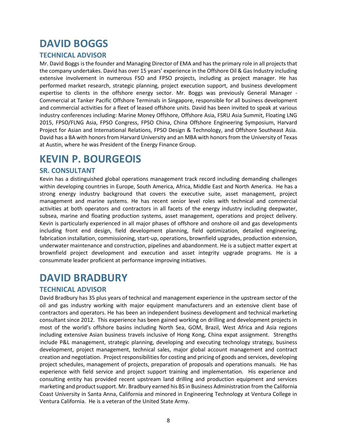# <span id="page-7-0"></span>**DAVID BOGGS**

### **TECHNICAL ADVISOR**

Mr. David Boggs is the founder and Managing Director of EMA and has the primary role in all projects that the company undertakes. David has over 15 years' experience in the Offshore Oil & Gas Industry including extensive involvement in numerous FSO and FPSO projects, including as project manager. He has performed market research, strategic planning, project execution support, and business development expertise to clients in the offshore energy sector. Mr. Boggs was previously General Manager - Commercial at Tanker Pacific Offshore Terminals in Singapore, responsible for all business development and commercial activities for a fleet of leased offshore units. David has been invited to speak at various industry conferences including: Marine Money Offshore, Offshore Asia, FSRU Asia Summit, Floating LNG 2015, FPSO/FLNG Asia, FPSO Congress, FPSO China, China Offshore Engineering Symposium, Harvard Project for Asian and International Relations, FPSO Design & Technology, and Offshore Southeast Asia. David has a BA with honors from Harvard University and an MBA with honors from the University of Texas at Austin, where he was President of the Energy Finance Group.

### <span id="page-7-1"></span>**KEVIN P. BOURGEOIS**

#### **SR. CONSULTANT**

Kevin has a distinguished global operations management track record including demanding challenges within developing countries in Europe, South America, Africa, Middle East and North America. He has a strong energy industry background that covers the executive suite, asset management, project management and marine systems. He has recent senior level roles with technical and commercial activities at both operators and contractors in all facets of the energy industry including deepwater, subsea, marine and floating production systems, asset management, operations and project delivery. Kevin is particularly experienced in all major phases of offshore and onshore oil and gas developments including front end design, field development planning, field optimization, detailed engineering, fabrication installation, commissioning, start-up, operations, brownfield upgrades, production extension, underwater maintenance and construction, pipelines and abandonment. He is a subject matter expert at brownfield project development and execution and asset integrity upgrade programs. He is a consummate leader proficient at performance improving initiatives.

### <span id="page-7-2"></span>**DAVID BRADBURY**

### **TECHNICAL ADVISOR**

David Bradbury has 35 plus years of technical and management experience in the upstream sector of the oil and gas industry working with major equipment manufacturers and an extensive client base of contractors and operators. He has been an independent business development and technical marketing consultant since 2012. This experience has been gained working on drilling and development projects in most of the world's offshore basins including North Sea, GOM, Brazil, West Africa and Asia regions including extensive Asian business travels inclusive of Hong Kong, China expat assignment. Strengths include P&L management, strategic planning, developing and executing technology strategy, business development, project management, technical sales, major global account management and contract creation and negotiation. Project responsibilities for costing and pricing of goods and services, developing project schedules, management of projects, preparation of proposals and operations manuals. He has experience with field service and project support training and implementation. His experience and consulting entity has provided recent upstream land drilling and production equipment and services marketing and product support. Mr. Bradbury earned his BS in Business Administration from the California Coast University in Santa Anna, California and minored in Engineering Technology at Ventura College in Ventura California. He is a veteran of the United State Army.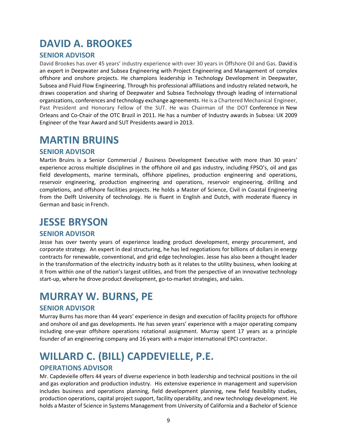### <span id="page-8-0"></span>**DAVID A. BROOKES**

### **SENIOR ADVISOR**

David Brookes has over 45 years' industry experience with over 30 years in Offshore Oil and Gas. David is an expert in Deepwater and Subsea Engineering with Project Engineering and Management of complex offshore and onshore projects. He champions leadership in Technology Development in Deepwater, Subsea and Fluid Flow Engineering. Through his professional affiliations and industry related network, he draws cooperation and sharing of Deepwater and Subsea Technology through leading of international organizations, conferences and technology exchange agreements. He is a Chartered Mechanical Engineer, Past President and Honorary Fellow of the SUT. He was Chairman of the DOT Conference in New Orleans and Co‐Chair of the OTC Brazil in 2011. He has a number of Industry awards in Subsea: UK 2009 Engineer of the Year Award and SUT Presidents award in 2013.

### <span id="page-8-1"></span>**MARTIN BRUINS**

#### **SENIOR ADVISOR**

Martin Bruins is a Senior Commercial / Business Development Executive with more than 30 years' experience across multiple disciplines in the offshore oil and gas industry, including FPSO's, oil and gas field developments, marine terminals, offshore pipelines, production engineering and operations, reservoir engineering, production engineering and operations, reservoir engineering, drilling and completions, and offshore facilities projects. He holds a Master of Science, Civil in Coastal Engineering from the Delft University of technology. He is fluent in English and Dutch, with moderate fluency in German and basic in French.

### <span id="page-8-2"></span>**JESSE BRYSON**

#### **SENIOR ADVISOR**

Jesse has over twenty years of experience leading product development, energy procurement, and corporate strategy. An expert in deal structuring, he has led negotiations for billions of dollars in energy contracts for renewable, conventional, and grid edge technologies. Jesse has also been a thought leader in the transformation of the electricity industry both as it relates to the utility business, when looking at it from within one of the nation's largest utilities, and from the perspective of an innovative technology start-up, where he drove product development, go-to-market strategies, and sales.

### <span id="page-8-3"></span>**MURRAY W. BURNS, PE**

#### **SENIOR ADVISOR**

Murray Burns has more than 44 years' experience in design and execution of facility projects for offshore and onshore oil and gas developments. He has seven years' experience with a major operating company including one-year offshore operations rotational assignment. Murray spent 17 years as a principle founder of an engineering company and 16 years with a major international EPCI contractor.

# <span id="page-8-4"></span>**WILLARD C. (BILL) CAPDEVIELLE, P.E.**

#### **OPERATIONS ADVISOR**

Mr. Capdevielle offers 44 years of diverse experience in both leadership and technical positions in the oil and gas exploration and production industry. His extensive experience in management and supervision includes business and operations planning, field development planning, new field feasibility studies, production operations, capital project support, facility operability, and new technology development. He holds a Master of Science in Systems Management from University of California and a Bachelor of Science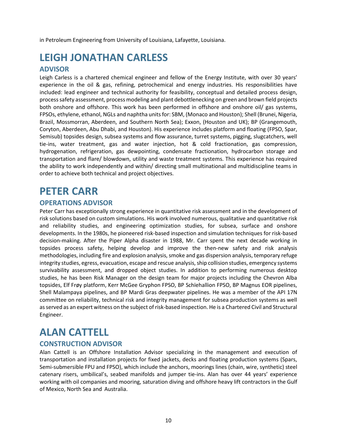in Petroleum Engineering from University of Louisiana, Lafayette, Louisiana.

# <span id="page-9-0"></span>**LEIGH JONATHAN CARLESS**

#### **ADVISOR**

Leigh Carless is a chartered chemical engineer and fellow of the Energy Institute, with over 30 years' experience in the oil & gas, refining, petrochemical and energy industries. His responsibilities have included: lead engineer and technical authority for feasibility, conceptual and detailed process design, processsafety assessment, processmodeling and plant debottlenecking on green and brown field projects both onshore and offshore. This work has been performed in offshore and onshore oil/ gas systems, FPSOs, ethylene, ethanol, NGLs and naphtha unitsfor: SBM, (Monaco and Houston); Shell (Brunei, Nigeria, Brazil, Mossmorran, Aberdeen, and Southern North Sea); Exxon, (Houston and UK); BP (Grangemouth, Coryton, Aberdeen, Abu Dhabi, and Houston). His experience includes platform and floating (FPSO, Spar, Semisub) topsides design, subsea systems and flow assurance, turret systems, pigging, slugcatchers, well tie-ins, water treatment, gas and water injection, hot & cold fractionation, gas compression, hydrogenation, refrigeration, gas dewpointing, condensate fractionation, hydrocarbon storage and transportation and flare/ blowdown, utility and waste treatment systems. This experience has required the ability to work independently and within/ directing small multinational and multidiscipline teams in order to achieve both technical and project objectives.

### <span id="page-9-1"></span>**PETER CARR**

#### **OPERATIONS ADVISOR**

Peter Carr has exceptionally strong experience in quantitative risk assessment and in the development of risk solutions based on custom simulations. His work involved numerous, qualitative and quantitative risk and reliability studies, and engineering optimization studies, for subsea, surface and onshore developments. In the 1980s, he pioneered risk‐based inspection and simulation techniques for risk‐based decision‐making. After the Piper Alpha disaster in 1988, Mr. Carr spent the next decade working in topsides process safety, helping develop and improve the then-new safety and risk analysis methodologies, including fire and explosion analysis, smoke and gas dispersion analysis, temporary refuge integrity studies, egress, evacuation, escape and rescue analysis, ship collision studies, emergency systems survivability assessment, and dropped object studies. In addition to performing numerous desktop studies, he has been Risk Manager on the design team for major projects including the Chevron Alba topsides, Elf Frøy platform, Kerr McGee Gryphon FPSO, BP Schïehallion FPSO, BP Magnus EOR pipelines, Shell Malampaya pipelines, and BP Mardi Gras deepwater pipelines. He was a member of the API 17N committee on reliability, technical risk and integrity management for subsea production systems as well as served as an expert witness on the subject of risk‐based inspection. He is a Chartered Civil and Structural Engineer.

### <span id="page-9-2"></span>**ALAN CATTELL**

### **CONSTRUCTION ADVISOR**

Alan Cattell is an Offshore Installation Advisor specializing in the management and execution of transportation and installation projects for fixed jackets, decks and floating production systems (Spars, Semi-submersible FPU and FPSO), which include the anchors, moorings lines (chain, wire, synthetic) steel catenary risers, umbilical's, seabed manifolds and jumper tie-ins. Alan has over 44 years' experience working with oil companies and mooring, saturation diving and offshore heavy lift contractors in the Gulf of Mexico, North Sea and Australia.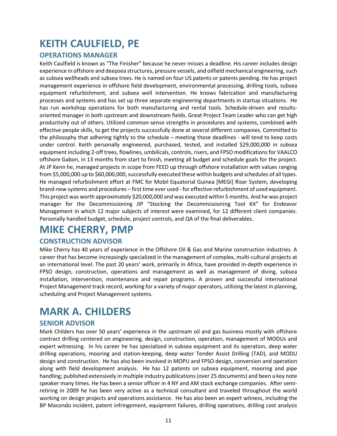# <span id="page-10-0"></span>**KEITH CAULFIELD, PE**

### **OPERATIONS MANAGER**

Keith Caulfield is known as "The Finisher" because he never misses a deadline. His career includes design experience in offshore and deepsea structures, pressure vessels, and oilfield mechanical engineering, such as subsea wellheads and subsea trees. He is named on four US patents or patents pending. He has project management experience in offshore field development, environmental processing, drilling tools, subsea equipment refurbishment, and subsea well intervention. He knows fabrication and manufacturing processes and systems and has set up three separate engineering departments in startup situations. He has run workshop operations for both manufacturing and rental tools. Schedule-driven and resultsoriented manager in both upstream and downstream fields. Great Project Team Leader who can get high productivity out of others. Utilized common-sense strengths in procedures and systems, combined with effective people skills, to get the projects successfully done at several different companies. Committed to the philosophy that adhering tightly to the schedule – meeting those deadlines - will tend to keep costs under control. Keith personally engineered, purchased, tested, and installed \$29,000,000 in subsea equipment including 2-off trees, flowlines, umbilicals, controls, risers, and FPSO modifications for VAALCO offshore Gabon, in 13 months from start to finish, meeting all budget and schedule goals for the project. At JP Kenn he, managed projects in scope from FEED up through offshore installation with values ranging from \$5,000,000 up to \$60,000,000, successfully executed these within budgets and schedules of all types. He managed refurbishment effort at FMC for Mobil Equatorial Guinea [MEGI] Riser System, developing brand-new systems and procedures – first time ever used - for effective refurbishment of used equipment. This project was worth approximately \$20,000,000 and was executed within 5 months. And he was project manager for the Decommissioning JIP "Stocking the Decommissioning Tool Kit" for Endeavor Management in which 12 major subjects of interest were examined, for 12 different client companies. Personally handled budget, schedule, project controls, and QA of the final deliverables.

# <span id="page-10-1"></span>**MIKE CHERRY, PMP**

### **CONSTRUCTION ADVISOR**

Mike Cherry has 40 years of experience in the Offshore Oil & Gas and Marine construction industries. A career that has become increasingly specialized in the management of complex, multi-cultural projects at an international level. The past 20 years' work, primarily in Africa, have provided in-depth experience in FPSO design, construction, operations and management as well as management of diving, subsea installation, intervention, maintenance and repair programs. A proven and successful international Project Management track record, working for a variety of major operators, utilizing the latest in planning, scheduling and Project Management systems.

### <span id="page-10-2"></span>**MARK A. CHILDERS**

#### **SENIOR ADVISOR**

Mark Childers has over 50 years' experience in the upstream oil and gas business mostly with offshore contract drilling centered on engineering, design, construction, operation, management of MODUs and expert witnessing. In his career he has specialized in subsea equipment and its operation, deep water drilling operations, mooring and station-keeping, deep water Tender Assist Drilling (TAD), and MODU design and construction. He has also been involved in MOPU and FPSO design, conversion and operation along with field development analysis. He has 12 patents on subsea equipment, mooring and pipe handling; published extensively in multiple industry publications(over 25 documents) and been a key note speaker many times. He has been a senior officer in 4 NY and AM stock exchange companies. After semiretiring in 2009 he has been very active as a technical consultant and traveled throughout the world working on design projects and operations assistance. He has also been an expert witness, including the BP Macondo incident, patent infringement, equipment failures, drilling operations, drilling cost analysis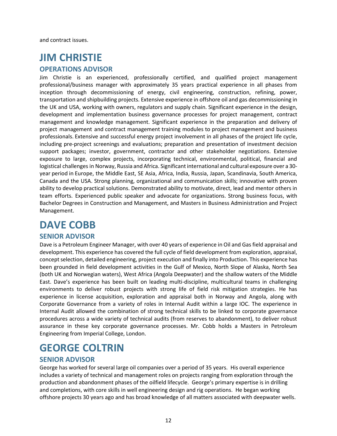and contract issues.

# <span id="page-11-0"></span>**JIM CHRISTIE**

#### **OPERATIONS ADVISOR**

Jim Christie is an experienced, professionally certified, and qualified project management professional/business manager with approximately 35 years practical experience in all phases from inception through decommissioning of energy, civil engineering, construction, refining, power, transportation and shipbuilding projects. Extensive experience in offshore oil and gas decommissioning in the UK and USA, working with owners, regulators and supply chain. Significant experience in the design, development and implementation business governance processes for project management, contract management and knowledge management. Significant experience in the preparation and delivery of project management and contract management training modules to project management and business professionals. Extensive and successful energy project involvement in all phases of the project life cycle, including pre‐project screenings and evaluations; preparation and presentation of investment decision support packages; investor, government, contractor and other stakeholder negotiations. Extensive exposure to large, complex projects, incorporating technical, environmental, political, financial and logistical challenges in Norway, Russia and Africa. Significant international and cultural exposure over a 30year period in Europe, the Middle East, SE Asia, Africa, India, Russia, Japan, Scandinavia, South America, Canada and the USA. Strong planning, organizational and communication skills; innovative with proven ability to develop practical solutions. Demonstrated ability to motivate, direct, lead and mentor others in team efforts. Experienced public speaker and advocate for organizations. Strong business focus, with Bachelor Degrees in Construction and Management, and Masters in Business Administration and Project Management.

### <span id="page-11-1"></span>**DAVE COBB**

#### **SENIOR ADVISOR**

Dave is a Petroleum Engineer Manager, with over 40 years of experience in Oil and Gas field appraisal and development. This experience has covered the full cycle of field development from exploration, appraisal, concept selection, detailed engineering, project execution and finally into Production. This experience has been grounded in field development activities in the Gulf of Mexico, North Slope of Alaska, North Sea (both UK and Norwegian waters), West Africa (Angola Deepwater) and the shallow waters of the Middle East. Dave's experience has been built on leading multi-discipline, multicultural teams in challenging environments to deliver robust projects with strong life of field risk mitigation strategies. He has experience in license acquisition, exploration and appraisal both in Norway and Angola, along with Corporate Governance from a variety of roles in Internal Audit within a large IOC. The experience in Internal Audit allowed the combination of strong technical skills to be linked to corporate governance procedures across a wide variety of technical audits (from reserves to abandonment), to deliver robust assurance in these key corporate governance processes. Mr. Cobb holds a Masters in Petroleum Engineering from Imperial College, London.

### <span id="page-11-2"></span>**GEORGE COLTRIN**

#### **SENIOR ADVISOR**

George has worked for several large oil companies over a period of 35 years. His overall experience includes a variety of technical and management roles on projects ranging from exploration through the production and abandonment phases of the oilfield lifecycle. George's primary expertise is in drilling and completions, with core skills in well engineering design and rig operations. He began working offshore projects 30 years ago and has broad knowledge of all matters associated with deepwater wells.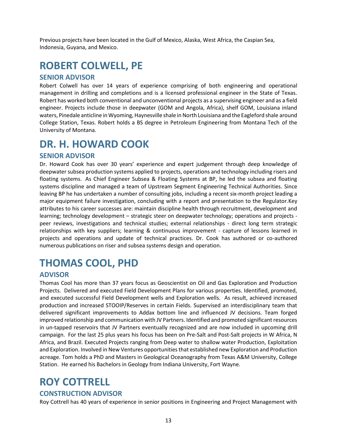Previous projects have been located in the Gulf of Mexico, Alaska, West Africa, the Caspian Sea, Indonesia, Guyana, and Mexico.

# <span id="page-12-0"></span>**ROBERT COLWELL, PE**

#### **SENIOR ADVISOR**

Robert Colwell has over 14 years of experience comprising of both engineering and operational management in drilling and completions and is a licensed professional engineer in the State of Texas. Robert has worked both conventional and unconventional projects as a supervising engineer and as a field engineer. Projects include those in deepwater (GOM and Angola, Africa), shelf GOM, Louisiana inland waters, Pinedale anticline in Wyoming, Haynesville shale in North Louisiana and the Eagleford shale around College Station, Texas. Robert holds a BS degree in Petroleum Engineering from Montana Tech of the University of Montana.

### <span id="page-12-1"></span>**DR. H. HOWARD COOK**

#### **SENIOR ADVISOR**

Dr. Howard Cook has over 30 years' experience and expert judgement through deep knowledge of deepwater subsea production systems applied to projects, operations and technology including risers and floating systems. As Chief Engineer Subsea & Floating Systems at BP, he led the subsea and floating systems discipline and managed a team of Upstream Segment Engineering Technical Authorities. Since leaving BP he has undertaken a number of consulting jobs, including a recent six-month project leading a major equipment failure investigation, concluding with a report and presentation to the Regulator.Key attributes to his career successes are: maintain discipline health through recruitment, development and learning; technology development – strategic steer on deepwater technology; operations and projects peer reviews, investigations and technical studies; external relationships - direct long term strategic relationships with key suppliers; learning & continuous improvement - capture of lessons learned in projects and operations and update of technical practices. Dr. Cook has authored or co-authored numerous publications on riser and subsea systems design and operation.

### <span id="page-12-2"></span>**THOMAS COOL, PHD**

### **ADVISOR**

Thomas Cool has more than 37 years focus as Geoscientist on Oil and Gas Exploration and Production Projects. Delivered and executed Field Development Plans for various properties. Identified, promoted, and executed successful Field Development wells and Exploration wells. As result, achieved increased production and increased STOOIP/Reserves in certain Fields. Supervised an interdisciplinary team that delivered significant improvements to Addax bottom line and influenced JV decisions. Team forged improved relationship and communication with JV Partners. Identified and promoted significant resources in un-tapped reservoirs that JV Partners eventually recognized and are now included in upcoming drill campaign. For the last 25 plus years his focus has been on Pre-Salt and Post-Salt projects in W Africa, N Africa, and Brazil. Executed Projects ranging from Deep water to shallow water Production, Exploitation and Exploration. Involved in New Ventures opportunities that established new Exploration and Production acreage. Tom holds a PhD and Masters in Geological Oceanography from Texas A&M University, College Station. He earned his Bachelors in Geology from Indiana University, Fort Wayne.

### <span id="page-12-3"></span>**ROY COTTRELL**

#### **CONSTRUCTION ADVISOR**

Roy Cottrell has 40 years of experience in senior positions in Engineering and Project Management with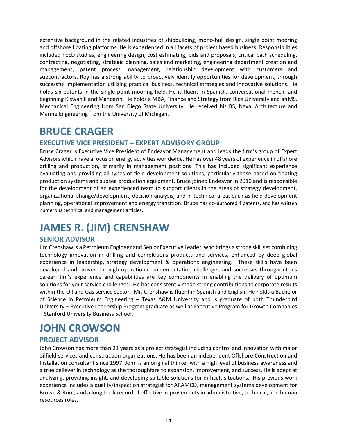extensive background in the related industries of shipbuilding, mono-hull design, single point mooring and offshore floating platforms. He is experienced in all facets of project based business. Responsibilities included FEED studies, engineering design, cost estimating, bids and proposals, critical path scheduling, contracting, negotiating, strategic planning, sales and marketing, engineering department creation and management, patent process management, relationship development with customers and subcontractors. Roy has a strong ability to proactively identify opportunities for development, through successful implementation utilizing practical business, technical strategies and innovative solutions. He holds six patents in the single point mooring field. He is fluent in Spanish, conversational French, and beginning Kiswahili and Mandarin. He holds a MBA, Finance and Strategy from Rice University and anMS, Mechanical Engineering from San Diego State University. He received his BS, Naval Architecture and Marine Engineering from the University of Michigan.

# <span id="page-13-0"></span>**BRUCE CRAGER**

#### **EXECUTIVE VICE PRESIDENT – EXPERT ADVISORY GROUP**

Bruce Crager is Executive Vice President of Endeavor Management and leads the firm's group of Expert Advisors which have a focus on energy activities worldwide. He has over 48 years of experience in offshore drilling and production, primarily in management positions. This has included significant experience evaluating and providing all types of field development solutions, particularly those based on floating production systems and subsea production equipment. Bruce joined Endeavor in 2010 and is responsible for the development of an experienced team to support clients in the areas of strategy development, organizational change/development, decision analysis, and in technical areas such as field development planning, operational improvement and energy transition. Bruce has co-authored 4 patents, and has written numerous technical and management articles.

### <span id="page-13-1"></span>**JAMES R. (JIM) CRENSHAW**

### **SENIOR ADVISOR**

Jim Crenshaw is a Petroleum Engineer and Senior Executive Leader, who brings a strong skill set combining technology innovation in drilling and completions products and services, enhanced by deep global experience in leadership, strategy development & operations engineering. These skills have been developed and proven through operational implementation challenges and successes throughout his career. Jim's experience and capabilities are key components in enabling the delivery of optimum solutions for your service challenges. He has consistently made strong contributions to corporate results within the Oil and Gas service sector. Mr. Crenshaw is fluent in Spanish and English. He holds a Bachelor of Science in Petroleum Engineering – Texas A&M University and is graduate of both Thunderbird University – Executive Leadership Program graduate as well as Executive Program for Growth Companies – Stanford University Business School.

### <span id="page-13-2"></span>**JOHN CROWSON**

### **PROJECT ADVISOR**

John Crowson has more than 23 years as a project strategist including control and innovation with major oilfield services and construction organizations. He has been an independent Offshore Construction and Installation consultant since 1997. John is an original thinker with a high level of business awareness and a true believer in technology as the thoroughfare to expansion, improvement, and success. He is adept at analyzing, providing insight, and developing suitable solutions for difficult situations. His previous work experience includes a quality/inspection strategist for ARAMCO, management systems development for Brown & Root, and a long track record of effective improvements in administrative, technical, and human resources roles.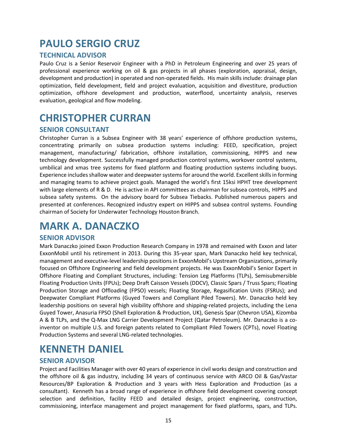# <span id="page-14-0"></span>**PAULO SERGIO CRUZ**

#### **TECHNICAL ADVISOR**

Paulo Cruz is a Senior Reservoir Engineer with a PhD in Petroleum Engineering and over 25 years of professional experience working on oil & gas projects in all phases (exploration, appraisal, design, development and production) in operated and non-operated fields. His main skills include: drainage plan optimization, field development, field and project evaluation, acquisition and divestiture, production optimization, offshore development and production, waterflood, uncertainty analysis, reserves evaluation, geological and flow modeling.

### <span id="page-14-1"></span>**CHRISTOPHER CURRAN**

#### **SENIOR CONSULTANT**

Christopher Curran is a Subsea Engineer with 38 years' experience of offshore production systems, concentrating primarily on subsea production systems including: FEED, specification, project management, manufacturing/ fabrication, offshore installation, commissioning, HIPPS and new technology development. Successfully managed production control systems, workover control systems, umbilical and xmas tree systems for fixed platform and floating production systems including buoys. Experience includes shallow water and deepwater systems for around the world. Excellent skills in forming and managing teams to achieve project goals. Managed the world's first 15ksi HPHT tree development with large elements of R & D. He is active in API committees as chairman for subsea controls, HIPPS and subsea safety systems. On the advisory board for Subsea Tiebacks. Published numerous papers and presented at conferences. Recognized industry expert on HIPPS and subsea control systems. Founding chairman of Society for Underwater Technology Houston Branch.

### <span id="page-14-2"></span>**MARK A. DANACZKO**

#### **SENIOR ADVISOR**

Mark Danaczko joined Exxon Production Research Company in 1978 and remained with Exxon and later ExxonMobil until his retirement in 2013. During this 35‐year span, Mark Danaczko held key technical, management and executive‐level leadership positions in ExxonMobil's Upstream Organizations, primarily focused on Offshore Engineering and field development projects. He was ExxonMobil's Senior Expert in Offshore Floating and Compliant Structures, including: Tension Leg Platforms (TLPs), Semisubmersible Floating Production Units (FPUs); Deep Draft Caisson Vessels (DDCV), Classic Spars / Truss Spars; Floating Production Storage and Offloading (FPSO) vessels; Floating Storage, Regasification Units (FSRUs); and Deepwater Compliant Platforms (Guyed Towers and Compliant Piled Towers). Mr. Danaczko held key leadership positions on several high visibility offshore and shipping-related projects, including the Lena Guyed Tower, Anasuria FPSO (Shell Exploration & Production, UK), Genesis Spar (Chevron USA), Kizomba A & B TLPs, and the Q‐Max LNG Carrier Development Project (Qatar Petroleum). Mr. Danaczko is a co‐ inventor on multiple U.S. and foreign patents related to Compliant Piled Towers (CPTs), novel Floating Production Systems and several LNG‐related technologies.

### <span id="page-14-3"></span>**KENNETH DANIEL**

### **SENIOR ADVISOR**

Project and Facilities Manager with over 40 years of experience in civil works design and construction and the offshore oil & gas industry, including 34 years of continuous service with ARCO Oil & Gas/Vastar Resources/BP Exploration & Production and 3 years with Hess Exploration and Production (as a consultant). Kenneth has a broad range of experience in offshore field development covering concept selection and definition, facility FEED and detailed design, project engineering, construction, commissioning, interface management and project management for fixed platforms, spars, and TLPs.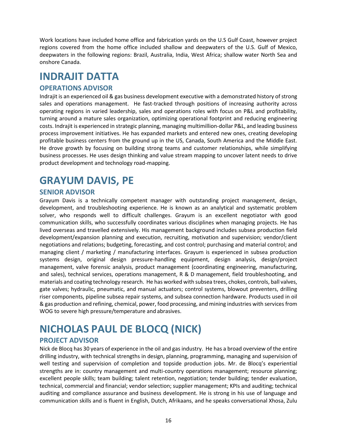Work locations have included home office and fabrication yards on the U.S Gulf Coast, however project regions covered from the home office included shallow and deepwaters of the U.S. Gulf of Mexico, deepwaters in the following regions: Brazil, Australia, India, West Africa; shallow water North Sea and onshore Canada.

### <span id="page-15-0"></span>**INDRAJIT DATTA**

#### **OPERATIONS ADVISOR**

Indrajit is an experienced oil & gas business development executive with a demonstrated history of strong sales and operations management. He fast-tracked through positions of increasing authority across operating regions in varied leadership, sales and operations roles with focus on P&L and profitability, turning around a mature sales organization, optimizing operational footprint and reducing engineering costs. Indrajit is experienced in strategic planning, managing multimillion-dollar P&L, and leading business process improvement initiatives. He has expanded markets and entered new ones, creating developing profitable business centers from the ground up in the US, Canada, South America and the Middle East. He drove growth by focusing on building strong teams and customer relationships, while simplifying business processes. He uses design thinking and value stream mapping to uncover latent needs to drive product development and technology road-mapping.

# <span id="page-15-1"></span>**GRAYUM DAVIS, PE**

#### **SENIOR ADVISOR**

Grayum Davis is a technically competent manager with outstanding project management, design, development, and troubleshooting experience. He is known as an analytical and systematic problem solver, who responds well to difficult challenges. Grayum is an excellent negotiator with good communication skills, who successfully coordinates various disciplines when managing projects. He has lived overseas and travelled extensively. His management background includes subsea production field development/expansion planning and execution, recruiting, motivation and supervision; vendor/client negotiations and relations; budgeting, forecasting, and cost control; purchasing and material control; and managing client / marketing / manufacturing interfaces. Grayum is experienced in subsea production systems design, original design pressure‐handling equipment, design analysis, design/project management, valve forensic analysis, product management (coordinating engineering, manufacturing, and sales), technical services, operations management, R & D management, field troubleshooting, and materials and coating technology research. He has worked with subsea trees, chokes, controls, ball valves, gate valves; hydraulic, pneumatic, and manual actuators; control systems, blowout preventers, drilling riser components, pipeline subsea repair systems, and subsea connection hardware. Products used in oil & gas production and refining, chemical, power, food processing, and mining industries with servicesfrom WOG to severe high pressure/temperature and abrasives.

# <span id="page-15-2"></span>**NICHOLAS PAUL DE BLOCQ (NICK)**

#### **PROJECT ADVISOR**

Nick de Blocq has 30 years of experience in the oil and gas industry. He has a broad overview of the entire drilling industry, with technical strengths in design, planning, programming, managing and supervision of well testing and supervision of completion and topside production jobs. Mr. de Blocq's experiential strengths are in: country management and multi-country operations management; resource planning; excellent people skills; team building; talent retention, negotiation; tender building; tender evaluation, technical, commercial and financial; vendor selection; supplier management; KPIs and auditing; technical auditing and compliance assurance and business development. He is strong in his use of language and communication skills and is fluent in English, Dutch, Afrikaans, and he speaks conversational Xhosa, Zulu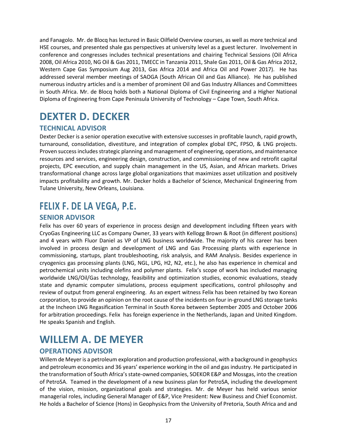and Fanagolo. Mr. de Blocq has lectured in Basic Oilfield Overview courses, as well as more technical and HSE courses, and presented shale gas perspectives at university level as a guest lecturer. Involvement in conference and congresses includes technical presentations and chairing Technical Sessions (Oil Africa 2008, Oil Africa 2010, NG Oil & Gas 2011, TMECC in Tanzania 2011, Shale Gas 2011, Oil & Gas Africa 2012, Western Cape Gas Symposium Aug 2013, Gas Africa 2014 and Africa Oil and Power 2017). He has addressed several member meetings of SAOGA (South African Oil and Gas Alliance). He has published numerous industry articles and is a member of prominent Oil and Gas Industry Alliances and Committees in South Africa. Mr. de Blocq holds both a National Diploma of Civil Engineering and a Higher National Diploma of Engineering from Cape Peninsula University of Technology – Cape Town, South Africa.

# <span id="page-16-0"></span>**DEXTER D. DECKER**

### **TECHNICAL ADVISOR**

Dexter Decker is a senior operation executive with extensive successes in profitable launch, rapid growth, turnaround, consolidation, divestiture, and integration of complex global EPC, FPSO, & LNG projects. Proven success includes strategic planning and management of engineering, operations, and maintenance resources and services, engineering design, construction, and commissioning of new and retrofit capital projects, EPC execution, and supply chain management in the US, Asian, and African markets. Drives transformational change across large global organizations that maximizes asset utilization and positively impacts profitability and growth. Mr. Decker holds a Bachelor of Science, Mechanical Engineering from Tulane University, New Orleans, Louisiana.

### <span id="page-16-1"></span>**FELIX F. DE LA VEGA, P.E.**

#### **SENIOR ADVISOR**

Felix has over 60 years of experience in process design and development including fifteen years with CryoGas Engineering LLC as Company Owner, 33 years with Kellogg Brown & Root (in different positions) and 4 years with Fluor Daniel as VP of LNG business worldwide. The majority of his career has been involved in process design and development of LNG and Gas Processing plants with experience in commissioning, startups, plant troubleshooting, risk analysis, and RAM Analysis. Besides experience in cryogenics gas processing plants (LNG, NGL, LPG, H2, N2, etc.), he also has experience in chemical and petrochemical units including olefins and polymer plants. Felix's scope of work has included managing worldwide LNG/Oil/Gas technology, feasibility and optimization studies, economic evaluations, steady state and dynamic computer simulations, process equipment specifications, control philosophy and review of output from general engineering. As an expert witness Felix has been retained by two Korean corporation, to provide an opinion on the root cause of the incidents on four in-ground LNG storage tanks at the Incheon LNG Regasification Terminal in South Korea between September 2005 and October 2006 for arbitration proceedings. Felix has foreign experience in the Netherlands, Japan and United Kingdom. He speaks Spanish and English.

### <span id="page-16-2"></span>**WILLEM A. DE MEYER**

### **OPERATIONS ADVISOR**

Willem de Meyer is a petroleum exploration and production professional, with a background in geophysics and petroleum economics and 36 years' experience working in the oil and gas industry. He participated in the transformation of South Africa's state-owned companies, SOEKOR E&P and Mossgas, into the creation of PetroSA. Teamed in the development of a new business plan for PetroSA, including the development of the vision, mission, organizational goals and strategies. Mr. de Meyer has held various senior managerial roles, including General Manager of E&P, Vice President: New Business and Chief Economist. He holds a Bachelor of Science (Hons) in Geophysics from the University of Pretoria, South Africa and and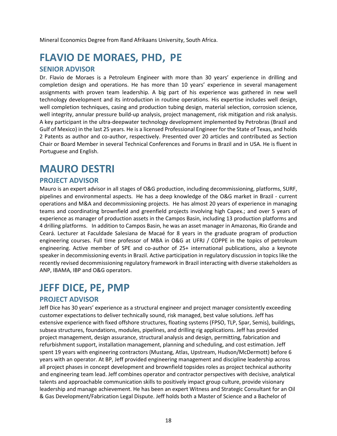Mineral Economics Degree from Rand Afrikaans University, South Africa.

# <span id="page-17-0"></span>**FLAVIO DE MORAES, PHD, PE**

#### **SENIOR ADVISOR**

Dr. Flavio de Moraes is a Petroleum Engineer with more than 30 years' experience in drilling and completion design and operations. He has more than 10 years' experience in several management assignments with proven team leadership. A big part of his experience was gathered in new well technology development and its introduction in routine operations. His expertise includes well design, well completion techniques, casing and production tubing design, material selection, corrosion science, well integrity, annular pressure build-up analysis, project management, risk mitigation and risk analysis. A key participant in the ultra‐deepwater technology development implemented by Petrobras (Brazil and Gulf of Mexico) in the last 25 years. He is a licensed Professional Engineer for the State of Texas, and holds 2 Patents as author and co-author, respectively. Presented over 20 articles and contributed as Section Chair or Board Member in several Technical Conferences and Forums in Brazil and in USA. He is fluent in Portuguese and English.

### <span id="page-17-1"></span>**MAURO DESTRI**

#### **PROJECT ADVISOR**

Mauro is an expert advisor in all stages of O&G production, including decommissioning, platforms, SURF, pipelines and environmental aspects. He has a deep knowledge of the O&G market in Brazil - current operations and M&A and decommissioning projects. He has almost 20 years of experience in managing teams and coordinating brownfield and greenfield projects involving high Capex.; and over 5 years of experience as manager of production assets in the Campos Basin, including 13 production platforms and 4 drilling platforms. In addition to Campos Basin, he was an asset manager in Amazonas, Rio Grande and Ceará. Lecturer at Faculdade Salesiana de Macaé for 8 years in the graduate program of production engineering courses. Full time professor of MBA in O&G at UFRJ / COPPE in the topics of petroleum engineering. Active member of SPE and co-author of 25+ international publications, also a keynote speaker in decommissioning events in Brazil. Active participation in regulatory discussion in topics like the recently revised decommissioning regulatory framework in Brazil interacting with diverse stakeholders as ANP, IBAMA, IBP and O&G operators.

### <span id="page-17-2"></span>**JEFF DICE, PE, PMP**

#### **PROJECT ADVISOR**

Jeff Dice has 30 years' experience as a structural engineer and project manager consistently exceeding customer expectations to deliver technically sound, risk managed, best value solutions. Jeff has extensive experience with fixed offshore structures, floating systems (FPSO, TLP, Spar, Semis), buildings, subsea structures, foundations, modules, pipelines, and drilling rig applications. Jeff has provided project management, design assurance, structural analysis and design, permitting, fabrication and refurbishment support, installation management, planning and scheduling, and cost estimation. Jeff spent 19 years with engineering contractors (Mustang, Atlas, Upstream, Hudson/McDermott) before 6 years with an operator. At BP, Jeff provided engineering management and discipline leadership across all project phases in concept development and brownfield topsides roles as project technical authority and engineering team lead. Jeff combines operator and contractor perspectives with decisive, analytical talents and approachable communication skills to positively impact group culture, provide visionary leadership and manage achievement. He has been an expert Witness and Strategic Consultant for an Oil & Gas Development/Fabrication Legal Dispute. Jeff holds both a Master of Science and a Bachelor of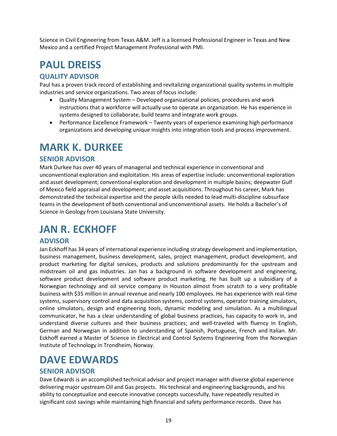Science in Civil Engineering from Texas A&M. Jeff is a licensed Professional Engineer in Texas and New Mexico and a certified Project Management Professional with PMI.

# <span id="page-18-0"></span>**PAUL DREISS**

### **QUALITY ADVISOR**

Paul has a proven track record of establishing and revitalizing organizational quality systems in multiple industries and service organizations. Two areas of focus include:

- Quality Management System Developed organizational policies, procedures and work instructions that a workforce will actually use to operate an organization. He has experience in systems designed to collaborate, build teams and integrate work groups.
- Performance Excellence Framework Twenty years of experience examining high performance organizations and developing unique insights into integration tools and process improvement.

### <span id="page-18-1"></span>**MARK K. DURKEE**

### **SENIOR ADVISOR**

Mark Durkee has over 40 years of managerial and technical experience in conventional and unconventional exploration and exploitation. His areas of expertise include: unconventional exploration and asset development; conventional exploration and development in multiple basins; deepwater Gulf of Mexico field appraisal and development; and asset acquisitions. Throughout his career, Mark has demonstrated the technical expertise and the people skills needed to lead multi-discipline subsurface teams in the development of both conventional and unconventional assets. He holds a Bachelor's of Science in Geology from Louisiana State University.

# <span id="page-18-2"></span>**JAN R. ECKHOFF**

### **ADVISOR**

Jan Eckhoff has 34 years of international experience including strategy development and implementation, business management, business development, sales, project management, product development, and product marketing for digital services, products and solutions predominantly for the upstream and midstream oil and gas industries. Jan has a background in software development and engineering, software product development and software product marketing. He has built up a subsidiary of a Norwegian technology and oil service company in Houston almost from scratch to a very profitable business with \$35 million in annual revenue and nearly 100 employees. He has experience with real‐time systems, supervisory control and data acquisition systems, control systems, operator training simulators, online simulators, design and engineering tools, dynamic modeling and simulation. As a multilingual communicator, he has a clear understanding of global business practices, has capacity to work in, and understand diverse cultures and their business practices; and well-traveled with fluency in English, German and Norwegian in addition to understanding of Spanish, Portuguese, French and Italian. Mr. Eckhoff earned a Master of Science in Electrical and Control Systems Engineering from the Norwegian Institute of Technology in Trondheim, Norway.

# <span id="page-18-3"></span>**DAVE EDWARDS**

### **SENIOR ADVISOR**

Dave Edwards is an accomplished technical advisor and project manager with diverse global experience delivering major upstream Oil and Gas projects. His technical and engineering backgrounds, and his ability to conceptualize and execute innovative concepts successfully, have repeatedly resulted in significant cost savings while maintaining high financial and safety performance records. Dave has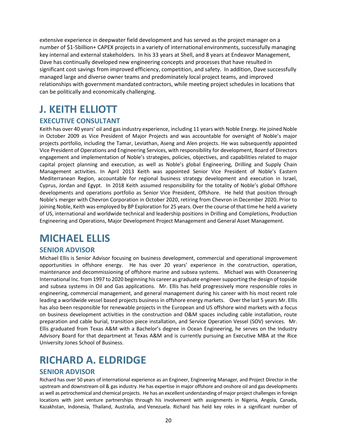extensive experience in deepwater field development and has served as the project manager on a number of \$1-5billion+ CAPEX projects in a variety of international environments, successfully managing key internal and external stakeholders. In his 33 years at Shell, and 8 years at Endeavor Management, Dave has continually developed new engineering concepts and processes that have resulted in significant cost savings from improved efficiency, competition, and safety. In addition, Dave successfully managed large and diverse owner teams and predominately local project teams, and improved relationships with government mandated contractors, while meeting project schedules in locations that can be politically and economically challenging.

# <span id="page-19-0"></span>**J. KEITH ELLIOTT**

### **EXECUTIVE CONSULTANT**

Keith has over 40 years' oil and gas industry experience, including 11 years with Noble Energy. He joined Noble in October 2009 as Vice President of Major Projects and was accountable for oversight of Noble's major projects portfolio, including the Tamar, Leviathan, Aseng and Alen projects. He was subsequently appointed Vice President of Operations and Engineering Services, with responsibility for development, Board of Directors engagement and implementation of Noble's strategies, policies, objectives, and capabilities related to major capital project planning and execution, as well as Noble's global Engineering, Drilling and Supply Chain Management activities. In April 2013 Keith was appointed Senior Vice President of Noble's Eastern Mediterranean Region, accountable for regional business strategy development and execution in Israel, Cyprus, Jordan and Egypt. In 2018 Keith assumed responsibility for the totality of Noble's global Offshore developments and operations portfolio as Senior Vice President, Offshore. He held that position through Noble's merger with Chevron Corporation in October 2020, retiring from Chevron in December 2020. Prior to joining Noble, Keith was employed by BP Exploration for 25 years. Over the course of that time he held a variety of US, international and worldwide technical and leadership positions in Drilling and Completions, Production Engineering and Operations, Major Development Project Management and General Asset Management.

### <span id="page-19-1"></span>**MICHAEL ELLIS**

#### **SENIOR ADVISOR**

Michael Ellis is Senior Advisor focusing on business development, commercial and operational improvement opportunities in offshore energy. He has over 20 years' experience in the construction, operation, maintenance and decommissioning of offshore marine and subsea systems. Michael was with Oceaneering International Inc. from 1997 to 2020 beginning his career as graduate engineer supporting the design of topside and subsea systems in Oil and Gas applications. Mr. Ellis has held progressively more responsible roles in engineering, commercial management, and general management during his career with his most recent role leading a worldwide vessel based projects business in offshore energy markets. Over the last 5 years Mr. Ellis has also been responsible for renewable projects in the European and US offshore wind markets with a focus on business development activities in the construction and O&M spaces including cable installation, route preparation and cable burial, transition piece installation, and Service Operation Vessel (SOV) services. Mr. Ellis graduated from Texas A&M with a Bachelor's degree in Ocean Engineering, he serves on the Industry Advisory Board for that department at Texas A&M and is currently pursuing an Executive MBA at the Rice University Jones School of Business.

### <span id="page-19-2"></span>**RICHARD A. ELDRIDGE**

#### **SENIOR ADVISOR**

Richard has over 50 years of international experience as an Engineer, Engineering Manager, and Project Director in the upstream and downstream oil & gas industry. He has expertise in major offshore and onshore oil and gas developments as well as petrochemical and chemical projects. He has an excellent understanding of major project challenges in foreign locations with joint venture partnerships through his involvement with assignments in Nigeria, Angola, Canada, Kazakhstan, Indonesia, Thailand, Australia, and Venezuela. Richard has held key roles in a significant number of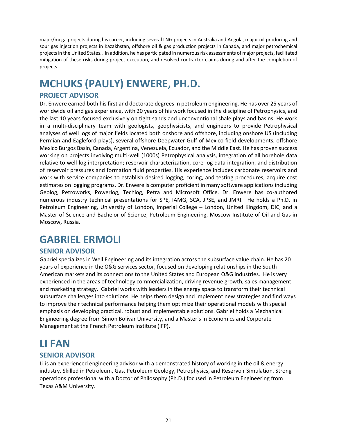major/mega projects during his career, including several LNG projects in Australia and Angola, major oil producing and sour gas injection projects in Kazakhstan, offshore oil & gas production projects in Canada, and major petrochemical projects in the United States.. In addition, he has participated in numerous risk assessments of major projects, facilitated mitigation of these risks during project execution, and resolved contractor claims during and after the completion of projects.

# <span id="page-20-0"></span>**MCHUKS (PAULY) ENWERE, PH.D.**

### **PROJECT ADVISOR**

Dr. Enwere earned both his first and doctorate degrees in petroleum engineering. He has over 25 years of worldwide oil and gas experience, with 20 years of his work focused in the discipline of Petrophysics, and the last 10 years focused exclusively on tight sands and unconventional shale plays and basins. He work in a multi-disciplinary team with geologists, geophysicists, and engineers to provide Petrophysical analyses of well logs of major fields located both onshore and offshore, including onshore US (including Permian and Eagleford plays), several offshore Deepwater Gulf of Mexico field developments, offshore Mexico Burgos Basin, Canada, Argentina, Venezuela, Ecuador, and the Middle East. He has proven success working on projects involving multi-well (1000s) Petrophysical analysis, integration of all borehole data relative to well-log interpretation; reservoir characterization, core-log data integration, and distribution of reservoir pressures and formation fluid properties. His experience includes carbonate reservoirs and work with service companies to establish desired logging, coring, and testing procedures; acquire cost estimates on logging programs. Dr. Enwere is computer proficient in many software applications including Geolog, Petroworks, Powerlog, Techlog, Petra and Microsoft Office. Dr. Enwere has co-authored numerous industry technical presentations for SPE, IAMG, SCA, JPSE, and JMRI. He holds a Ph.D. in Petroleum Engineering, University of London, Imperial College – London, United Kingdom, DIC, and a Master of Science and Bachelor of Science, Petroleum Engineering, Moscow Institute of Oil and Gas in Moscow, Russia.

### <span id="page-20-1"></span>**GABRIEL ERMOLI**

### **SENIOR ADVISOR**

Gabriel specializes in Well Engineering and its integration across the subsurface value chain. He has 20 years of experience in the O&G services sector, focused on developing relationships in the South American markets and its connections to the United States and European O&G industries. He is very experienced in the areas of technology commercialization, driving revenue growth, sales management and marketing strategy. Gabriel works with leaders in the energy space to transform their technical subsurface challenges into solutions. He helps them design and implement new strategies and find ways to improve their technical performance helping them optimize their operational models with special emphasis on developing practical, robust and implementable solutions. Gabriel holds a Mechanical Engineering degree from Simon Bolivar University, and a Master's in Economics and Corporate Management at the French Petroleum Institute (IFP).

# <span id="page-20-2"></span>**LI FAN**

#### **SENIOR ADVISOR**

Li is an experienced engineering advisor with a demonstrated history of working in the oil & energy industry. Skilled in Petroleum, Gas, Petroleum Geology, Petrophysics, and Reservoir Simulation. Strong operations professional with a Doctor of Philosophy (Ph.D.) focused in Petroleum Engineering from Texas A&M University.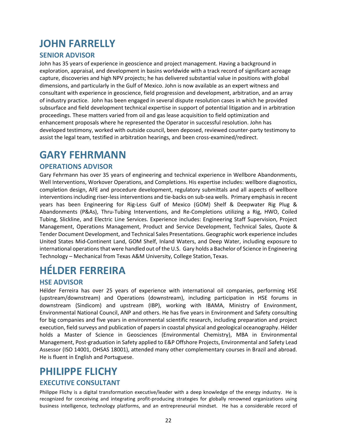# <span id="page-21-0"></span>**JOHN FARRELLY**

### **SENIOR ADVISOR**

John has 35 years of experience in geoscience and project management. Having a background in exploration, appraisal, and development in basins worldwide with a track record of significant acreage capture, discoveries and high NPV projects; he has delivered substantial value in positions with global dimensions, and particularly in the Gulf of Mexico. John is now available as an expert witness and consultant with experience in geoscience, field progression and development, arbitration, and an array of industry practice. John has been engaged in several dispute resolution cases in which he provided subsurface and field development technical expertise in support of potential litigation and in arbitration proceedings. These matters varied from oil and gas lease acquisition to field optimization and enhancement proposals where he represented the Operator in successful resolution. John has developed testimony, worked with outside council, been deposed, reviewed counter-party testimony to assist the legal team, testified in arbitration hearings, and been cross-examined/redirect.

### <span id="page-21-1"></span>**GARY FEHRMANN**

#### **OPERATIONS ADVISOR**

Gary Fehrmann has over 35 years of engineering and technical experience in Wellbore Abandonments, Well Interventions, Workover Operations, and Completions. His expertise includes: wellbore diagnostics, completion design, AFE and procedure development, regulatory submittals and all aspects of wellbore interventions including riser-less interventions and tie-backs on sub-sea wells. Primary emphasis in recent years has been Engineering for Rig‐Less Gulf of Mexico (GOM) Shelf & Deepwater Rig Plug & Abandonments (P&As), Thru‐Tubing Interventions, and Re‐Completions utilizing a Rig, HWO, Coiled Tubing, Slickline, and Electric Line Services. Experience includes: Engineering Staff Supervision, Project Management, Operations Management, Product and Service Development, Technical Sales, Quote & Tender Document Development, and Technical Sales Presentations. Geographic work experience includes United States Mid‐Continent Land, GOM Shelf, Inland Waters, and Deep Water, including exposure to international operationsthat were handled out of the U.S. Gary holds a Bachelor of Science in Engineering Technology – Mechanical from Texas A&M University, College Station, Texas.

# <span id="page-21-2"></span>**HÉLDER FERREIRA**

#### **HSE ADVISOR**

Hélder Ferreira has over 25 years of experience with international oil companies, performing HSE (upstream/downstream) and Operations (downstream), including participation in HSE forums in downstream (Sindicom) and upstream (IBP), working with IBAMA, Ministry of Environment, Environmental National Council, ANP and others. He has five years in Environment and Safety consulting for big companies and five years in environmental scientific research, including preparation and project execution, field surveys and publication of papers in coastal physical and geological oceanography. Hélder holds a Master of Science in Geosciences (Environmental Chemistry), MBA in Environmental Management, Post‐graduation in Safety applied to E&P Offshore Projects, Environmental and Safety Lead Assessor (ISO 14001, OHSAS 18001), attended many other complementary courses in Brazil and abroad. He is fluent in English and Portuguese.

### <span id="page-21-3"></span>**PHILIPPE FLICHY**

#### **EXECUTIVE CONSULTANT**

Philippe Flichy is a digital transformation executive/leader with a deep knowledge of the energy industry. He is recognized for conceiving and integrating profit-producing strategies for globally renowned organizations using business intelligence, technology platforms, and an entrepreneurial mindset. He has a considerable record of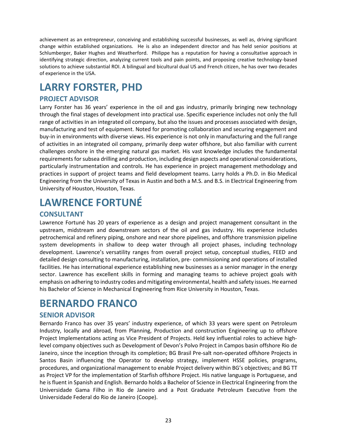achievement as an entrepreneur, conceiving and establishing successful businesses, as well as, driving significant change within established organizations. He is also an independent director and has held senior positions at Schlumberger, Baker Hughes and Weatherford. Philippe has a reputation for having a consultative approach in identifying strategic direction, analyzing current tools and pain points, and proposing creative technology-based solutions to achieve substantial ROI. A bilingual and bicultural dual US and French citizen, he has over two decades of experience in the USA.

### <span id="page-22-0"></span>**LARRY FORSTER, PHD**

### **PROJECT ADVISOR**

Larry Forster has 36 years' experience in the oil and gas industry, primarily bringing new technology through the final stages of development into practical use. Specific experience includes not only the full range of activities in an integrated oil company, but also the issues and processes associated with design, manufacturing and test of equipment. Noted for promoting collaboration and securing engagement and buy‐in in environments with diverse views. His experience is not only in manufacturing and the full range of activities in an integrated oil company, primarily deep water offshore, but also familiar with current challenges onshore in the emerging natural gas market. His vast knowledge includes the fundamental requirements for subsea drilling and production, including design aspects and operational considerations, particularly instrumentation and controls. He has experience in project management methodology and practices in support of project teams and field development teams. Larry holds a Ph.D. in Bio Medical Engineering from the University of Texas in Austin and both a M.S. and B.S. in Electrical Engineering from University of Houston, Houston, Texas.

# <span id="page-22-1"></span>**LAWRENCE FORTUNÉ**

### **CONSULTANT**

Lawrence Fortuné has 20 years of experience as a design and project management consultant in the upstream, midstream and downstream sectors of the oil and gas industry. His experience includes petrochemical and refinery piping, onshore and near shore pipelines, and offshore transmission pipeline system developments in shallow to deep water through all project phases, including technology development. Lawrence's versatility ranges from overall project setup, conceptual studies, FEED and detailed design consulting to manufacturing, installation, pre‐ commissioning and operations of installed facilities. He has international experience establishing new businesses as a senior manager in the energy sector. Lawrence has excellent skills in forming and managing teams to achieve project goals with emphasis on adhering to industry codes and mitigating environmental, health and safety issues. He earned his Bachelor of Science in Mechanical Engineering from Rice University in Houston, Texas.

### <span id="page-22-2"></span>**BERNARDO FRANCO**

#### **SENIOR ADVISOR**

Bernardo Franco has over 35 years' industry experience, of which 33 years were spent on Petroleum Industry, locally and abroad, from Planning, Production and construction Engineering up to offshore Project Implementations acting as Vice President of Projects. Held key influential roles to achieve high‐ level company objectives such as Development of Devon's Polvo Project in Campos basin offshore Rio de Janeiro, since the inception through its completion; BG Brasil Pre‐salt non‐operated offshore Projects in Santos Basin influencing the Operator to develop strategy, implement HSSE policies, programs, procedures, and organizational management to enable Project delivery within BG's objectives; and BG TT as Project VP for the implementation of Starfish offshore Project. His native language is Portuguese, and he is fluent in Spanish and English. Bernardo holds a Bachelor of Science in Electrical Engineering from the Universidade Gama Filho in Rio de Janeiro and a Post Graduate Petroleum Executive from the Universidade Federal do Rio de Janeiro (Coope).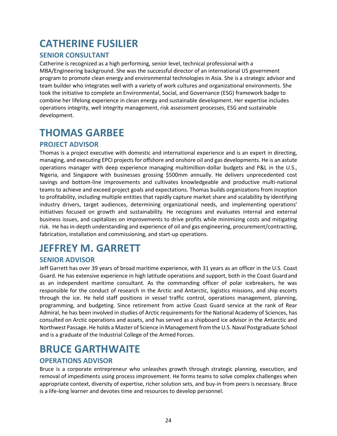# <span id="page-23-0"></span>**CATHERINE FUSILIER**

### **SENIOR CONSULTANT**

Catherine is recognized as a high performing, senior level, technical professional with a MBA/Engineering background. She was the successful director of an international US government program to promote clean energy and environmental technologies in Asia. She is a strategic advisor and team builder who integrates well with a variety of work cultures and organizational environments. She took the initiative to complete an Environmental, Social, and Governance (ESG) framework badge to combine her lifelong experience in clean energy and sustainable development. Her expertise includes operations integrity, well integrity management, risk assessment processes, ESG and sustainable development.

# <span id="page-23-1"></span>**THOMAS GARBEE**

### **PROJECT ADVISOR**

Thomas is a project executive with domestic and international experience and is an expert in directing, managing, and executing EPCI projects for offshore and onshore oil and gas developments. He is an astute operations manager with deep experience managing multimillion-dollar budgets and P&L in the U.S., Nigeria, and Singapore with businesses grossing \$500mm annually. He delivers unprecedented cost savings and bottom-line improvements and cultivates knowledgeable and productive multi-national teams to achieve and exceed project goals and expectations. Thomas builds organizations from inception to profitability, including multiple entities that rapidly capture market share and scalability by identifying industry drivers, target audiences, determining organizational needs, and implementing operations' initiatives focused on growth and sustainability. He recognizes and evaluates internal and external business issues, and capitalizes on improvements to drive profits while minimizing costs and mitigating risk. He has in-depth understanding and experience of oil and gas engineering, procurement/contracting, fabrication, installation and commissioning, and start-up operations.

# <span id="page-23-2"></span>**JEFFREY M. GARRETT**

#### **SENIOR ADVISOR**

Jeff Garrett has over 39 years of broad maritime experience, with 31 years as an officer in the U.S. Coast Guard. He has extensive experience in high latitude operations and support, both in the Coast Guardand as an independent maritime consultant. As the commanding officer of polar icebreakers, he was responsible for the conduct of research in the Arctic and Antarctic, logistics missions, and ship escorts through the ice. He held staff positions in vessel traffic control, operations management, planning, programming, and budgeting. Since retirement from active Coast Guard service at the rank of Rear Admiral, he has been involved in studies of Arctic requirements for the National Academy of Sciences, has consulted on Arctic operations and assets, and has served as a shipboard ice advisor in the Antarctic and Northwest Passage. He holds a Master of Science in Management from the U.S. Naval Postgraduate School and is a graduate of the Industrial College of the Armed Forces.

### <span id="page-23-3"></span>**BRUCE GARTHWAITE**

### **OPERATIONS ADVISOR**

Bruce is a corporate entrepreneur who unleashes growth through strategic planning, execution, and removal of impediments using process improvement. He forms teams to solve complex challenges when appropriate context, diversity of expertise, richer solution sets, and buy-in from peers is necessary. Bruce is a life-long learner and devotes time and resources to develop personnel.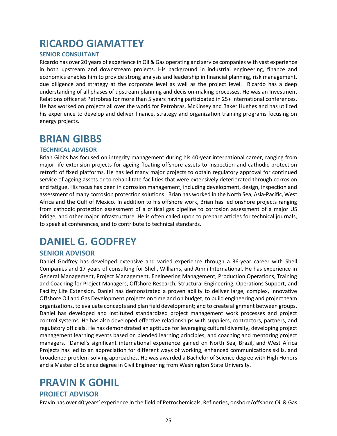### <span id="page-24-0"></span>**RICARDO GIAMATTEY**

#### **SENIOR CONSULTANT**

Ricardo has over 20 years of experience in Oil & Gas operating and service companies with vast experience in both upstream and downstream projects. His background in industrial engineering, finance and economics enables him to provide strong analysis and leadership in financial planning, risk management, due diligence and strategy at the corporate level as well as the project level. Ricardo has a deep understanding of all phases of upstream planning and decision-making processes. He was an Investment Relations officer at Petrobras for more than 5 years having participated in 25+ international conferences. He has worked on projects all over the world for Petrobras, McKinsey and Baker Hughes and has utilized his experience to develop and deliver finance, strategy and organization training programs focusing on energy projects.

### <span id="page-24-1"></span>**BRIAN GIBBS**

#### **TECHNICAL ADVISOR**

Brian Gibbs has focused on integrity management during his 40-year international career, ranging from major life extension projects for ageing floating offshore assets to inspection and cathodic protection retrofit of fixed platforms. He has led many major projects to obtain regulatory approval for continued service of ageing assets or to rehabilitate facilities that were extensively deteriorated through corrosion and fatigue. His focus has been in corrosion management, including development, design, inspection and assessment of many corrosion protection solutions. Brian has worked in the North Sea, Asia-Pacific, West Africa and the Gulf of Mexico. In addition to his offshore work, Brian has led onshore projects ranging from cathodic protection assessment of a critical gas pipeline to corrosion assessment of a major US bridge, and other major infrastructure. He is often called upon to prepare articles for technical journals, to speak at conferences, and to contribute to technical standards.

### <span id="page-24-2"></span>**DANIEL G. GODFREY**

### **SENIOR ADVISOR**

Daniel Godfrey has developed extensive and varied experience through a 36-year career with Shell Companies and 17 years of consulting for Shell, Williams, and Amni International. He has experience in General Management, Project Management, Engineering Management, Production Operations, Training and Coaching for Project Managers, Offshore Research, Structural Engineering, Operations Support, and Facility Life Extension. Daniel has demonstrated a proven ability to deliver large, complex, innovative Offshore Oil and Gas Development projects on time and on budget; to build engineering and project team organizations, to evaluate concepts and plan field development; and to create alignment between groups. Daniel has developed and instituted standardized project management work processes and project control systems. He has also developed effective relationships with suppliers, contractors, partners, and regulatory officials. He has demonstrated an aptitude for leveraging cultural diversity, developing project management learning events based on blended learning principles, and coaching and mentoring project managers. Daniel's significant international experience gained on North Sea, Brazil, and West Africa Projects has led to an appreciation for different ways of working, enhanced communications skills, and broadened problem-solving approaches. He was awarded a Bachelor of Science degree with High Honors and a Master of Science degree in Civil Engineering from Washington State University.

### <span id="page-24-3"></span>**PRAVIN K GOHIL**

#### **PROJECT ADVISOR**

Pravin has over 40 years' experience in the field of Petrochemicals, Refineries, onshore/offshore Oil & Gas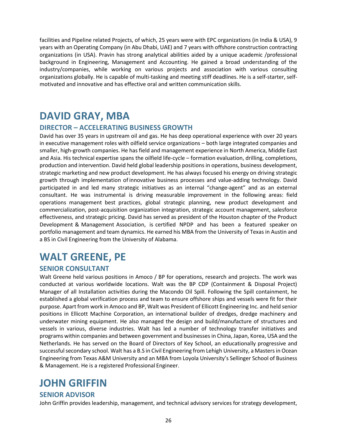facilities and Pipeline related Projects, of which, 25 years were with EPC organizations (in India & USA), 9 years with an Operating Company (in Abu Dhabi, UAE) and 7 years with offshore construction contracting organizations (in USA). Pravin has strong analytical abilities aided by a unique academic /professional background in Engineering, Management and Accounting. He gained a broad understanding of the industry/companies, while working on various projects and association with various consulting organizations globally. He is capable of multi-tasking and meeting stiff deadlines. He is a self-starter, selfmotivated and innovative and has effective oral and written communication skills.

### <span id="page-25-0"></span>**DAVID GRAY, MBA**

#### **DIRECTOR – ACCELERATING BUSINESS GROWTH**

David has over 35 years in upstream oil and gas. He has deep operational experience with over 20 years in executive management roles with oilfield service organizations – both large integrated companies and smaller, high‐growth companies. He has field and management experience in North America, Middle East and Asia. His technical expertise spans the oilfield life‐cycle – formation evaluation, drilling, completions, production and intervention. David held global leadership positions in operations, business development, strategic marketing and new product development. He has always focused his energy on driving strategic growth through implementation of innovative business processes and value‐adding technology. David participated in and led many strategic initiatives as an internal "change‐agent" and as an external consultant. He was instrumental is driving measurable improvement in the following areas: field operations management best practices, global strategic planning, new product development and commercialization, post‐acquisition organization integration, strategic account management, salesforce effectiveness, and strategic pricing. David has served as president of the Houston chapter of the Product Development & Management Association, is certified NPDP and has been a featured speaker on portfolio management and team dynamics. He earned his MBA from the University of Texas in Austin and a BS in Civil Engineering from the University of Alabama.

### <span id="page-25-1"></span>**WALT GREENE, PE**

#### **SENIOR CONSULTANT**

Walt Greene held various positions in Amoco / BP for operations, research and projects. The work was conducted at various worldwide locations. Walt was the BP CDP (Containment & Disposal Project) Manager of all Installation activities during the Macondo Oil Spill. Following the Spill containment, he established a global verification process and team to ensure offshore ships and vessels were fit for their purpose. Apart from work in Amoco and BP, Walt was President of Ellicott Engineering Inc. and held senior positions in Ellicott Machine Corporation, an international builder of dredges, dredge machinery and underwater mining equipment. He also managed the design and build/manufacture of structures and vessels in various, diverse industries. Walt has led a number of technology transfer initiatives and programs within companies and between government and businesses in China, Japan, Korea, USA and the Netherlands. He has served on the Board of Directors of Key School, an educationally progressive and successful secondary school. Walt has a B.S in Civil Engineering from Lehigh University, a Masters in Ocean Engineering from Texas A&M University and an MBA from Loyola University's Sellinger School of Business & Management. He is a registered Professional Engineer.

### <span id="page-25-2"></span>**JOHN GRIFFIN**

#### **SENIOR ADVISOR**

John Griffin provides leadership, management, and technical advisory services for strategy development,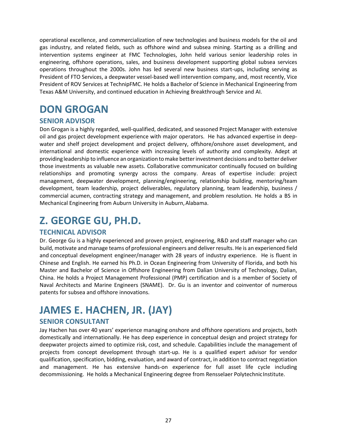operational excellence, and commercialization of new technologies and business models for the oil and gas industry, and related fields, such as offshore wind and subsea mining. Starting as a drilling and intervention systems engineer at FMC Technologies, John held various senior leadership roles in engineering, offshore operations, sales, and business development supporting global subsea services operations throughout the 2000s. John has led several new business start-ups, including serving as President of FTO Services, a deepwater vessel-based well intervention company, and, most recently, Vice President of ROV Services at TechnipFMC. He holds a Bachelor of Science in Mechanical Engineering from Texas A&M University, and continued education in Achieving Breakthrough Service and AI.

# <span id="page-26-0"></span>**DON GROGAN**

### **SENIOR ADVISOR**

Don Grogan is a highly regarded, well-qualified, dedicated, and seasoned Project Manager with extensive oil and gas project development experience with major operators. He has advanced expertise in deep‐ water and shelf project development and project delivery, offshore/onshore asset development, and international and domestic experience with increasing levels of authority and complexity. Adept at providing leadership to influence an organization tomake betterinvestment decisions and to better deliver those investments as valuable new assets. Collaborative communicator continually focused on building relationships and promoting synergy across the company. Areas of expertise include: project management, deepwater development, planning/engineering, relationship building, mentoring/team development, team leadership, project deliverables, regulatory planning, team leadership, business / commercial acumen, contracting strategy and management, and problem resolution. He holds a BS in Mechanical Engineering from Auburn University in Auburn, Alabama.

# <span id="page-26-1"></span>**Z. GEORGE GU, PH.D.**

### **TECHNICAL ADVISOR**

Dr. George Gu is a highly experienced and proven project, engineering, R&D and staff manager who can build, motivate and manage teams of professional engineers and deliver results. He is an experienced field and conceptual development engineer/manager with 28 years of industry experience. He is fluent in Chinese and English. He earned his Ph.D. in Ocean Engineering from University of Florida, and both his Master and Bachelor of Science in Offshore Engineering from Dalian University of Technology, Dalian, China. He holds a Project Management Professional (PMP) certification and is a member of Society of Naval Architects and Marine Engineers (SNAME). Dr. Gu is an inventor and coinventor of numerous patents for subsea and offshore innovations.

# <span id="page-26-2"></span>**JAMES E. HACHEN, JR. (JAY)**

### **SENIOR CONSULTANT**

Jay Hachen has over 40 years' experience managing onshore and offshore operations and projects, both domestically and internationally. He has deep experience in conceptual design and project strategy for deepwater projects aimed to optimize risk, cost, and schedule. Capabilities include the management of projects from concept development through start‐up. He is a qualified expert advisor for vendor qualification, specification, bidding, evaluation, and award of contract, in addition to contract negotiation and management. He has extensive hands‐on experience for full asset life cycle including decommissioning. He holds a Mechanical Engineering degree from Rensselaer PolytechnicInstitute.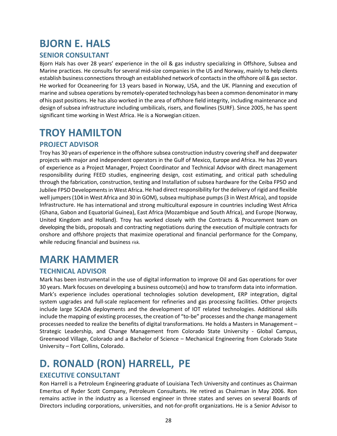# <span id="page-27-0"></span>**BJORN E. HALS**

### **SENIOR CONSULTANT**

Bjorn Hals has over 28 years' experience in the oil & gas industry specializing in Offshore, Subsea and Marine practices. He consults for several mid‐size companies in the US and Norway, mainly to help clients establish business connections through an established network of contacts in the offshore oil & gas sector. He worked for Oceaneering for 13 years based in Norway, USA, and the UK. Planning and execution of marine and subsea operations by remotely‐operated technology has been a common denominatorinmany of his past positions. He has also worked in the area of offshore field integrity, including maintenance and design of subsea infrastructure including umbilicals, risers, and flowlines (SURF). Since 2005, he has spent significant time working in West Africa. He is a Norwegian citizen.

### <span id="page-27-1"></span>**TROY HAMILTON**

### **PROJECT ADVISOR**

Troy has 30 years of experience in the offshore subsea construction industry covering shelf and deepwater projects with major and independent operators in the Gulf of Mexico, Europe and Africa. He has 20 years of experience as a Project Manager, Project Coordinator and Technical Advisor with direct management responsibility during FEED studies, engineering design, cost estimating, and critical path scheduling through the fabrication, construction, testing and Installation of subsea hardware for the Ceiba FPSO and Jubilee FPSO Developmentsin West Africa. He had direct responsibility for the delivery of rigid and flexible well jumpers(104 in West Africa and 30 in GOM), subsea multiphase pumps(3 in West Africa), and topside Infrastructure. He has international and strong multicultural exposure in countries including West Africa (Ghana, Gabon and Equatorial Guinea), East Africa (Mozambique and South Africa), and Europe (Norway, United Kingdom and Holland). Troy has worked closely with the Contracts & Procurement team on developing the bids, proposals and contracting negotiations during the execution of multiple contracts for onshore and offshore projects that maximize operational and financial performance for the Company, while reducing financial and business risk.

### <span id="page-27-2"></span>**MARK HAMMER**

### **TECHNICAL ADVISOR**

Mark has been instrumental in the use of digital information to improve Oil and Gas operations for over 30 years. Mark focuses on developing a business outcome(s) and how to transform data into information. Mark's experience includes operational technologies solution development, ERP integration, digital system upgrades and full-scale replacement for refineries and gas processing facilities. Other projects include large SCADA deployments and the development of IOT related technologies. Additional skills include the mapping of existing processes, the creation of "to-be" processes and the change management processes needed to realize the benefits of digital transformations. He holds a Masters in Management – Strategic Leadership, and Change Management from Colorado State University - Global Campus, Greenwood Village, Colorado and a Bachelor of Science – Mechanical Engineering from Colorado State University – Fort Collins, Colorado.

# <span id="page-27-3"></span>**D. RONALD (RON) HARRELL, PE**

### **EXECUTIVE CONSULTANT**

Ron Harrell is a Petroleum Engineering graduate of Louisiana Tech University and continues as Chairman Emeritus of Ryder Scott Company, Petroleum Consultants. He retired as Chairman in May 2006. Ron remains active in the industry as a licensed engineer in three states and serves on several Boards of Directors including corporations, universities, and not‐for‐profit organizations. He is a Senior Advisor to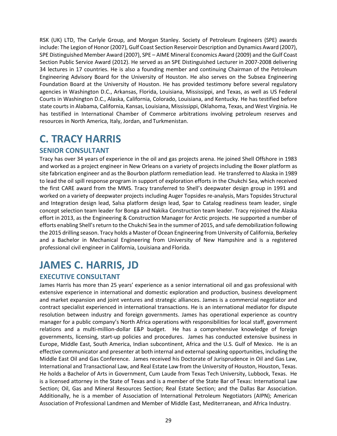RSK (UK) LTD, The Carlyle Group, and Morgan Stanley. Society of Petroleum Engineers (SPE) awards include: The Legion of Honor(2007), Gulf Coast Section Reservoir Description and Dynamics Award (2007), SPE Distinguished Member Award (2007), SPE – AIME Mineral Economics Award (2009) and the Gulf Coast Section Public Service Award (2012). He served as an SPE Distinguished Lecturer in 2007‐2008 delivering 34 lectures in 17 countries. He is also a founding member and continuing Chairman of the Petroleum Engineering Advisory Board for the University of Houston. He also serves on the Subsea Engineering Foundation Board at the University of Houston. He has provided testimony before several regulatory agencies in Washington D.C., Arkansas, Florida, Louisiana, Mississippi, and Texas, as well as US Federal Courts in Washington D.C., Alaska, California, Colorado, Louisiana, and Kentucky. He has testified before state courts in Alabama, California, Kansas, Louisiana, Mississippi, Oklahoma, Texas, and West Virginia. He has testified in International Chamber of Commerce arbitrations involving petroleum reserves and resources in North America, Italy, Jordan, and Turkmenistan.

# <span id="page-28-0"></span>**C. TRACY HARRIS**

### **SENIOR CONSULTANT**

Tracy has over 34 years of experience in the oil and gas projects arena. He joined Shell Offshore in 1983 and worked as a project engineer in New Orleans on a variety of projects including the Boxer platform as site fabrication engineer and as the Bourbon platform remediation lead. He transferred to Alaska in 1989 to lead the oil spill response program in support of exploration efforts in the Chukchi Sea, which received the first CARE award from the MMS. Tracy transferred to Shell's deepwater design group in 1991 and worked on a variety of deepwater projects including Auger Topsides re‐analysis, Mars Topsides Structural and Integration design lead, Salsa platform design lead, Spar to Catalog readiness team leader, single concept selection team leader for Bonga and Nakika Construction team leader. Tracy rejoined the Alaska effort in 2013, as the Engineering & Construction Manager for Arctic projects. He supported a number of efforts enabling Shell'sreturn to the Chukchi Sea in the summer of 2015, and safe demobilization following the 2015 drilling season. Tracy holds a Master of Ocean Engineering from University of California, Berkeley and a Bachelor in Mechanical Engineering from University of New Hampshire and is a registered professional civil engineer in California, Louisiana and Florida.

# <span id="page-28-1"></span>**JAMES C. HARRIS, JD**

### **EXECUTIVE CONSULTANT**

James Harris has more than 25 years' experience as a senior international oil and gas professional with extensive experience in international and domestic exploration and production, business development and market expansion and joint ventures and strategic alliances. James is a commercial negotiator and contract specialist experienced in international transactions. He is an international mediator for dispute resolution between industry and foreign governments. James has operational experience as country manager for a public company's North Africa operations with responsibilities for local staff, government relations and a multi-million-dollar E&P budget. He has a comprehensive knowledge of foreign governments, licensing, start-up policies and procedures. James has conducted extensive business in Europe, Middle East, South America, Indian subcontinent, Africa and the U.S. Gulf of Mexico. He is an effective communicator and presenter at both internal and external speaking opportunities, including the Middle East Oil and Gas Conference*.* James received his Doctorate of Jurisprudence in Oil and Gas Law, International and Transactional Law, and Real Estate Law from the University of Houston, Houston, Texas. He holds a Bachelor of Arts in Government, Cum Laude from Texas Tech University, Lubbock, Texas. He is a licensed attorney in the State of Texas and is a member of the State Bar of Texas: International Law Section; Oil, Gas and Mineral Resources Section; Real Estate Section; and the Dallas Bar Association. Additionally, he is a member of Association of International Petroleum Negotiators (AIPN); American Association of Professional Landmen and Member of Middle East, Mediterranean, and Africa Industry.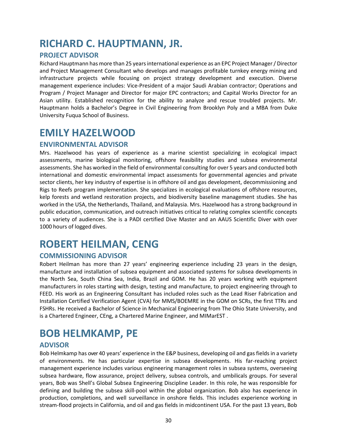# <span id="page-29-0"></span>**RICHARD C. HAUPTMANN, JR.**

### **PROJECT ADVISOR**

Richard Hauptmann has more than 25 years international experience as an EPC Project Manager / Director and Project Management Consultant who develops and manages profitable turnkey energy mining and infrastructure projects while focusing on project strategy development and execution. Diverse management experience includes: Vice‐President of a major Saudi Arabian contractor; Operations and Program / Project Manager and Director for major EPC contractors; and Capital Works Director for an Asian utility. Established recognition for the ability to analyze and rescue troubled projects. Mr. Hauptmann holds a Bachelor's Degree in Civil Engineering from Brooklyn Poly and a MBA from Duke University Fuqua School of Business.

### <span id="page-29-1"></span>**EMILY HAZELWOOD**

#### **ENVIRONMENTAL ADVISOR**

Mrs. Hazelwood has years of experience as a marine scientist specializing in ecological impact assessments, marine biological monitoring, offshore feasibility studies and subsea environmental assessments. She has worked in the field of environmental consulting for over 5 years and conducted both international and domestic environmental impact assessments for governmental agencies and private sector clients, her key industry of expertise is in offshore oil and gas development, decommissioning and Rigs to Reefs program implementation. She specializes in ecological evaluations of offshore resources, kelp forests and wetland restoration projects, and biodiversity baseline management studies. She has worked in the USA, the Netherlands, Thailand, and Malaysia. Mrs. Hazelwood has a strong background in public education, communication, and outreach initiatives critical to relating complex scientific concepts to a variety of audiences. She is a PADI certified Dive Master and an AAUS Scientific Diver with over 1000 hours of logged dives.

### <span id="page-29-2"></span>**ROBERT HEILMAN, CENG**

### **COMMISSIONING ADVISOR**

Robert Heilman has more than 27 years' engineering experience including 23 years in the design, manufacture and installation of subsea equipment and associated systems for subsea developments in the North Sea, South China Sea, India, Brazil and GOM. He has 20 years working with equipment manufacturers in roles starting with design, testing and manufacture, to project engineering through to FEED. His work as an Engineering Consultant has included roles such as the Lead Riser Fabrication and Installation Certified Verification Agent (CVA) for MMS/BOEMRE in the GOM on SCRs, the first TTRs and FSHRs. He received a Bachelor of Science in Mechanical Engineering from The Ohio State University, and is a Chartered Engineer, CEng, a Chartered Marine Engineer, and MIMarEST .

### <span id="page-29-3"></span>**BOB HELMKAMP, PE**

### **ADVISOR**

Bob Helmkamp has over 40 years' experience in the E&P business, developing oil and gas fields in a variety of environments. He has particular expertise in subsea developments. His far‐reaching project management experience includes various engineering management roles in subsea systems, overseeing subsea hardware, flow assurance, project delivery, subsea controls, and umbilicals groups. For several years, Bob was Shell's Global Subsea Engineering Discipline Leader. In this role, he was responsible for defining and building the subsea skill‐pool within the global organization. Bob also has experience in production, completions, and well surveillance in onshore fields. This includes experience working in stream‐flood projects in California, and oil and gas fields in midcontinent USA. For the past 13 years, Bob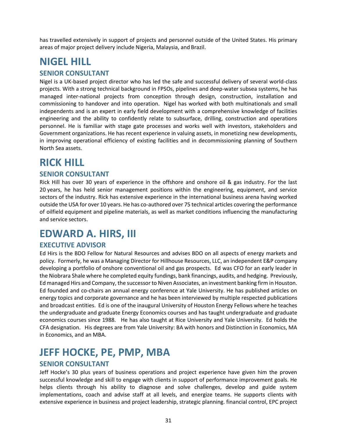has travelled extensively in support of projects and personnel outside of the United States. His primary areas of major project delivery include Nigeria, Malaysia, and Brazil.

# <span id="page-30-0"></span>**NIGEL HILL**

#### **SENIOR CONSULTANT**

Nigel is a UK-based project director who has led the safe and successful delivery of several world-class projects. With a strong technical background in FPSOs, pipelines and deep-water subsea systems, he has managed inter-national projects from conception through design, construction, installation and commissioning to handover and into operation. Nigel has worked with both multinationals and small independents and is an expert in early field development with a comprehensive knowledge of facilities engineering and the ability to confidently relate to subsurface, drilling, construction and operations personnel. He is familiar with stage gate processes and works well with investors, stakeholders and Government organizations. He has recent experience in valuing assets, in monetizing new developments, in improving operational efficiency of existing facilities and in decommissioning planning of Southern North Sea assets.

### <span id="page-30-1"></span>**RICK HILL**

#### **SENIOR CONSULTANT**

Rick Hill has over 30 years of experience in the offshore and onshore oil & gas industry. For the last 20 years, he has held senior management positions within the engineering, equipment, and service sectors of the industry. Rick has extensive experience in the international business arena having worked outside the USA for over 10 years. He has co‐authored over 75 technical articles covering the performance of oilfield equipment and pipeline materials, as well as market conditions influencing the manufacturing and service sectors.

### <span id="page-30-2"></span>**EDWARD A. HIRS, III**

#### **EXECUTIVE ADVISOR**

Ed Hirs is the BDO Fellow for Natural Resources and advises BDO on all aspects of energy markets and policy. Formerly, he was a Managing Director for Hillhouse Resources, LLC, an independent E&P company developing a portfolio of onshore conventional oil and gas prospects. Ed was CFO for an early leader in the Niobrara Shale where he completed equity fundings, bank financings, audits, and hedging. Previously, Ed managed Hirs and Company, the successor to Niven Associates, an investment banking firm in Houston. Ed founded and co-chairs an annual energy conference at Yale University. He has published articles on energy topics and corporate governance and he has been interviewed by multiple respected publications and broadcast entities. Ed is one of the inaugural University of Houston Energy Fellows where he teaches the undergraduate and graduate Energy Economics courses and has taught undergraduate and graduate economics courses since 1988. He has also taught at Rice University and Yale University. Ed holds the CFA designation. His degrees are from Yale University: BA with honors and Distinction in Economics, MA in Economics, and an MBA.

### <span id="page-30-3"></span>**JEFF HOCKE, PE, PMP, MBA**

#### **SENIOR CONSULTANT**

Jeff Hocke's 30 plus years of business operations and project experience have given him the proven successful knowledge and skill to engage with clients in support of performance improvement goals. He helps clients through his ability to diagnose and solve challenges, develop and guide system implementations, coach and advise staff at all levels, and energize teams. He supports clients with extensive experience in business and project leadership, strategic planning. financial control, EPC project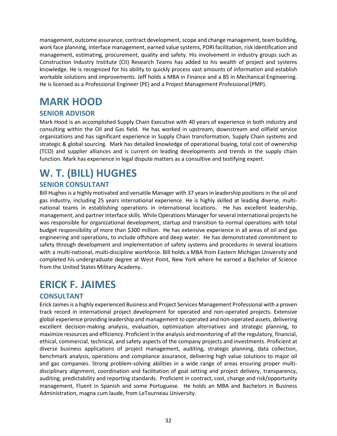management, outcome assurance, contract development, scope and change management, team building, work face planning, interface management, earned value systems, PDRI facilitation, risk identification and management, estimating, procurement, quality and safety. His involvement in industry groups such as Construction Industry Institute (CII) Research Teams has added to his wealth of project and systems knowledge. He is recognized for his ability to quickly process vast amounts of information and establish workable solutions and improvements. Jeff holds a MBA in Finance and a BS in Mechanical Engineering. He is licensed as a Professional Engineer (PE) and a Project Management Professional(PMP).

### <span id="page-31-0"></span>**MARK HOOD**

#### **SENIOR ADVISOR**

Mark Hood is an accomplished Supply Chain Executive with 40 years of experience in both industry and consulting within the Oil and Gas field. He has worked in upstream, downstream and oilfield service organizations and has significant experience in Supply Chain transformation, Supply Chain systems and strategic & global sourcing. Mark has detailed knowledge of operational buying, total cost of ownership (TCO) and supplier alliances and is current on leading developments and trends in the supply chain function. Mark has experience in legal dispute matters as a consultive and testifying expert.

# <span id="page-31-1"></span>**W. T. (BILL) HUGHES**

### **SENIOR CONSULTANT**

Bill Hughes is a highly motivated and versatile Manager with 37 years in leadership positions in the oil and gas industry, including 25 years international experience. He is highly skilled at leading diverse, multinational teams in establishing operations in international locations. He has excellent leadership, management, and partner interface skills. While Operations Manager for several international projects he was responsible for organizational development, startup and transition to normal operations with total budget responsibility of more than \$300 million. He has extensive experience in all areas of oil and gas engineering and operations, to include offshore and deep water. He has demonstrated commitment to safety through development and implementation of safety systems and procedures in several locations with a multi-national, multi-discipline workforce. Bill holds a MBA from Eastern Michigan University and completed his undergraduate degree at West Point, New York where he earned a Bachelor of Science from the United States Military Academy.

### <span id="page-31-2"></span>**ERICK F. JAIMES**

### **CONSULTANT**

Erick Jaimes is a highly experienced Business and Project Services Management Professional with a proven track record in international project development for operated and non-operated projects. Extensive global experience providing leadership and management to operated and non-operated assets, delivering excellent decision-making analysis, evaluation, optimization alternatives and strategic planning, to maximize resources and efficiency. Proficient in the analysis and monitoring of all the regulatory, financial, ethical, commercial, technical, and safety aspects of the company projects and investments. Proficient at diverse business applications of project management, auditing, strategic planning, data collection, benchmark analysis, operations and compliance assurance, delivering high value solutions to major oil and gas companies. Strong problem-solving abilities in a wide range of areas ensuring proper multidisciplinary alignment, coordination and facilitation of goal setting and project delivery, transparency, auditing, predictability and reporting standards. Proficient in contract, cost, change and risk/opportunity management, Fluent in Spanish and some Portuguese. He holds an MBA and Bachelors in Business Administration, magna cum laude, from LeTourneau University.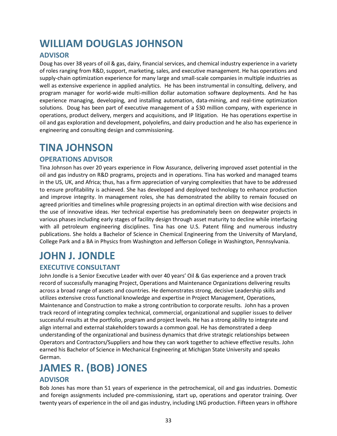# <span id="page-32-0"></span>**WILLIAM DOUGLAS JOHNSON**

### **ADVISOR**

Doug has over 38 years of oil & gas, dairy, financial services, and chemical industry experience in a variety of roles ranging from R&D, support, marketing, sales, and executive management. He has operations and supply-chain optimization experience for many large and small-scale companies in multiple industries as well as extensive experience in applied analytics. He has been instrumental in consulting, delivery, and program manager for world-wide multi-million dollar automation software deployments. And he has experience managing, developing, and installing automation, data-mining, and real-time optimization solutions. Doug has been part of executive management of a \$30 million company, with experience in operations, product delivery, mergers and acquisitions, and IP litigation. He has operations expertise in oil and gas exploration and development, polyolefins, and dairy production and he also has experience in engineering and consulting design and commissioning.

### <span id="page-32-1"></span>**TINA JOHNSON**

#### **OPERATIONS ADVISOR**

Tina Johnson has over 20 years experience in Flow Assurance, delivering improved asset potential in the oil and gas industry on R&D programs, projects and in operations. Tina has worked and managed teams in the US, UK, and Africa; thus, has a firm appreciation of varying complexities that have to be addressed to ensure profitability is achieved. She has developed and deployed technology to enhance production and improve integrity. In management roles, she has demonstrated the ability to remain focused on agreed priorities and timelines while progressing projects in an optimal direction with wise decisions and the use of innovative ideas. Her technical expertise has predominately been on deepwater projects in various phases including early stages of facility design through asset maturity to decline while interfacing with all petroleum engineering disciplines. Tina has one U.S. Patent filing and numerous industry publications. She holds a Bachelor of Science in Chemical Engineering from the University of Maryland, College Park and a BA in Physics from Washington and Jefferson College in Washington, Pennsylvania.

# <span id="page-32-2"></span>**JOHN J. JONDLE**

### **EXECUTIVE CONSULTANT**

John Jondle is a Senior Executive Leader with over 40 years' Oil & Gas experience and a proven track record of successfully managing Project, Operations and Maintenance Organizations delivering results across a broad range of assets and countries. He demonstrates strong, decisive Leadership skills and utilizes extensive cross functional knowledge and expertise in Project Management, Operations, Maintenance and Construction to make a strong contribution to corporate results. John has a proven track record of integrating complex technical, commercial, organizational and supplier issues to deliver successful results at the portfolio, program and project levels. He has a strong ability to integrate and align internal and external stakeholders towards a common goal. He has demonstrated a deep understanding of the organizational and business dynamics that drive strategic relationships between Operators and Contractors/Suppliers and how they can work together to achieve effective results. John earned his Bachelor of Science in Mechanical Engineering at Michigan State University and speaks German.

# <span id="page-32-3"></span>**JAMES R. (BOB) JONES**

#### **ADVISOR**

Bob Jones has more than 51 years of experience in the petrochemical, oil and gas industries. Domestic and foreign assignments included pre-commissioning, start up, operations and operator training. Over twenty years of experience in the oil and gas industry, including LNG production. Fifteen years in offshore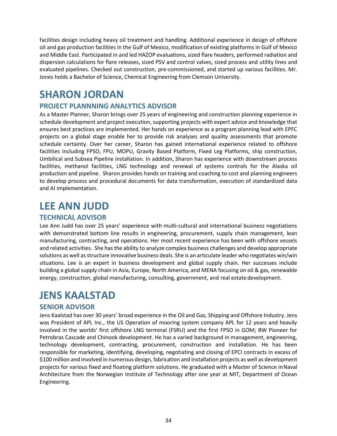facilities design including heavy oil treatment and handling. Additional experience in design of offshore oil and gas production facilities in the Gulf of Mexico, modification of existing platforms in Gulf of Mexico and Middle East. Participated in and led HAZOP evaluations, sized flare headers, performed radiation and dispersion calculations for flare releases, sized PSV and control valves, sized process and utility lines and evaluated pipelines. Checked out construction, pre-commissioned, and started up various facilities. Mr. Jones holds a Bachelor of Science, Chemical Engineering from Clemson University.

### <span id="page-33-0"></span>**SHARON JORDAN**

### **PROJECT PLANNNING ANALYTICS ADVISOR**

As a Master Planner, Sharon brings over 25 years of engineering and construction planning experience in schedule development and project execution, supporting projects with expert advice and knowledge that ensures best practices are implemented. Her hands on experience as a program planning lead with EPFC projects on a global stage enable her to provide risk analyses and quality assessments that promote schedule certainty. Over her career, Sharon has gained international experience related to offshore facilities including FPSO, FPU, MOPU, Gravity Based Platform, Fixed Leg Platforms, ship construction, Umbilical and Subsea Pipeline installation. In addition, Sharon has experience with downstream process facilities, methanol facilities, LNG technology and renewal of systems controls for the Alaska oil production and pipeline. Sharon provides hands on training and coaching to cost and planning engineers to develop process and procedural documents for data transformation, execution of standardized data and AI implementation.

### <span id="page-33-1"></span>**LEE ANN JUDD**

#### **TECHNICAL ADVISOR**

Lee Ann Judd has over 25 years' experience with multi-cultural and international business negotiations with demonstrated bottom line results in engineering, procurement, supply chain management, lean manufacturing, contracting, and operations. Her most recent experience has been with offshore vessels and related activities. She hasthe ability to analyze complex business challenges and develop appropriate solutions as well as structure innovative business deals. She is an articulate leader who negotiates win/win situations. Lee is an expert in business development and global supply chain. Her successes include building a global supply chain in Asia, Europe, North America, and MENA focusing on oil & gas, renewable energy, construction, global manufacturing, consulting, government, and real estate development.

### <span id="page-33-2"></span>**JENS KAALSTAD**

#### **SENIOR ADVISOR**

Jens Kaalstad has over 30 years' broad experience in the Oil and Gas, Shipping and Offshore Industry. Jens was President of APL Inc., the US Operation of mooring system company APL for 12 years and heavily involved in the worlds' first offshore LNG terminal (FSRU) and the first FPSO in GOM; BW Pioneer for Petrobras Cascade and Chinook development. He has a varied background in management, engineering, technology development, contracting, procurement, construction and installation. He has been responsible for marketing, identifying, developing, negotiating and closing of EPCI contracts in excess of \$100 million and involved in numerous design, fabrication and installation projects as well as development projects for various fixed and floating platform solutions. He graduated with a Master of Science inNaval Architecture from the Norwegian Institute of Technology after one year at MIT, Department of Ocean Engineering.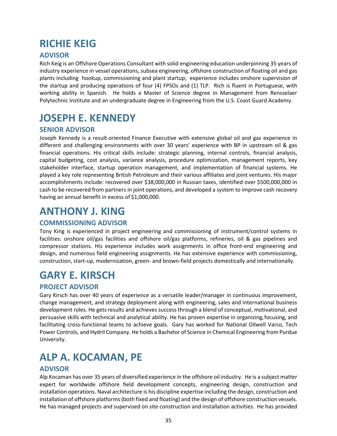# <span id="page-34-0"></span>**RICHIE KEIG**

### **ADVISOR**

Rich Keig is an Offshore Operations Consultant with solid engineering education underpinning 35 years of industry experience in vessel operations, subsea engineering, offshore construction of floating oil and gas plants including hookup, commissioning and plant startup; experience includes onshore supervision of the startup and producing operations of four (4) FPSOs and (1) TLP. Rich is fluent in Portuguese, with working ability in Spanish. He holds a Master of Science degree in Management from Rensselaer Polytechnic Institute and an undergraduate degree in Engineering from the U.S. Coast Guard Academy.

### <span id="page-34-1"></span>**JOSEPH E. KENNEDY**

### **SENIOR ADVISOR**

Joseph Kennedy is a result‐oriented Finance Executive with extensive global oil and gas experience in different and challenging environments with over 30 years' experience with BP in upstream oil & gas financial operations. His critical skills include: strategic planning, internal controls, financial analysis, capital budgeting, cost analysis, variance analysis, procedure optimization, management reports, key stakeholder interface, startup operation management, and implementation of financial systems. He played a key role representing British Petroleum and their various affiliates and joint ventures. His major accomplishments include: recovered over \$38,000,000 in Russian taxes, identified over \$500,000,000 in cash to be recovered from partners in joint operations, and developed a system to improve cash recovery having an annual benefit in excess of \$1,000,000.

### <span id="page-34-2"></span>**ANTHONY J. KING**

### **COMMISSIONING ADVISOR**

Tony King is experienced in project engineering and commissioning of instrument/control systems in facilities: onshore oil/gas facilities and offshore oil/gas platforms, refineries, oil & gas pipelines and compressor stations. His experience includes work assignments in office front‐end engineering and design, and numerous field engineering assignments. He has extensive experience with commissioning, construction, start‐up, modernization, green‐ and brown‐field projects domestically and internationally.

### <span id="page-34-3"></span>**GARY E. KIRSCH**

### **PROJECT ADVISOR**

Gary Kirsch has over 40 years of experience as a versatile leader/manager in continuous improvement, change management, and strategy deployment along with engineering, sales and international business development roles. He gets results and achieves success through a blend of conceptual, motivational, and persuasive skills with technical and analytical ability. He has proven expertise in organizing, focusing, and facilitating cross-functional teams to achieve goals. Gary has worked for National Oilwell Varco, Tech Power Controls, and Hydril Company. He holds a Bachelor of Science in Chemical Engineering from Purdue University.

### <span id="page-34-4"></span>**ALP A. KOCAMAN, PE**

### **ADVISOR**

Alp Kocaman has over 35 years of diversified experience in the offshore oil industry. He is a subject matter expert for worldwide offshore field development concepts, engineering design, construction and installation operations. Naval architecture is his discipline expertise including the design, construction and installation of offshore platforms(both fixed and floating) and the design of offshore construction vessels. He has managed projects and supervised on site construction and installation activities. He has provided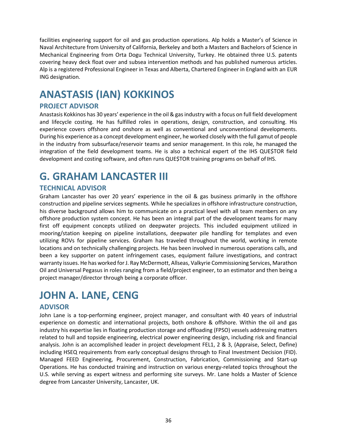facilities engineering support for oil and gas production operations. Alp holds a Master's of Science in Naval Architecture from University of California, Berkeley and both a Masters and Bachelors of Science in Mechanical Engineering from Orta Dogu Technical University, Turkey. He obtained three U.S. patents covering heavy deck float over and subsea intervention methods and has published numerous articles. Alp is a registered Professional Engineer in Texas and Alberta, Chartered Engineer in England with an EUR ING designation.

# <span id="page-35-0"></span>**ANASTASIS (IAN) KOKKINOS**

### **PROJECT ADVISOR**

Anastasis Kokkinos has 30 years' experience in the oil & gas industry with a focus on full field development and lifecycle costing. He has fulfilled roles in operations, design, construction, and consulting. His experience covers offshore and onshore as well as conventional and unconventional developments. During his experience as a concept development engineer, he worked closely with the full gamut of people in the industry from subsurface/reservoir teams and senior management. In this role, he managed the integration of the field development teams. He is also a technical expert of the IHS QUE\$TOR field development and costing software, and often runs QUE\$TOR training programs on behalf of IHS.

# <span id="page-35-1"></span>**G. GRAHAM LANCASTER III**

### **TECHNICAL ADVISOR**

Graham Lancaster has over 20 years' experience in the oil & gas business primarily in the offshore construction and pipeline services segments. While he specializes in offshore infrastructure construction, his diverse background allows him to communicate on a practical level with all team members on any offshore production system concept. He has been an integral part of the development teams for many first off equipment concepts utilized on deepwater projects. This included equipment utilized in mooring/station keeping on pipeline installations, deepwater pile handling for templates and even utilizing ROVs for pipeline services. Graham has traveled throughout the world, working in remote locations and on technically challenging projects. He has been involved in numerous operations calls, and been a key supporter on patent infringement cases, equipment failure investigations, and contract warranty issues. He has worked for J. Ray McDermott, Allseas, Valkyrie Commissioning Services, Marathon Oil and Universal Pegasus in roles ranging from a field/project engineer, to an estimator and then being a project manager/director through being a corporate officer.

### <span id="page-35-2"></span>**JOHN A. LANE, CENG**

### **ADVISOR**

John Lane is a top-performing engineer, project manager, and consultant with 40 years of industrial experience on domestic and international projects, both onshore & offshore. Within the oil and gas industry his expertise lies in floating production storage and offloading (FPSO) vessels addressing matters related to hull and topside engineering, electrical power engineering design, including risk and financial analysis. John is an accomplished leader in project development FEL1, 2 & 3, (Appraise, Select, Define) including HSEQ requirements from early conceptual designs through to Final Investment Decision (FID). Managed FEED Engineering, Procurement, Construction, Fabrication, Commissioning and Start-up Operations. He has conducted training and instruction on various energy-related topics throughout the U.S. while serving as expert witness and performing site surveys. Mr. Lane holds a Master of Science degree from Lancaster University, Lancaster, UK.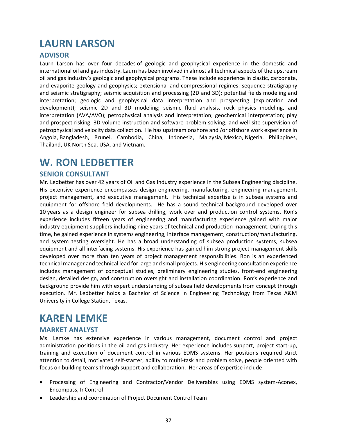# <span id="page-36-0"></span>**LAURN LARSON**

#### **ADVISOR**

Laurn Larson has over four decades of geologic and geophysical experience in the domestic and international oil and gas industry. Laurn has been involved in almost all technical aspects of the upstream oil and gas industry's geologic and geophysical programs. These include experience in clastic, carbonate, and evaporite geology and geophysics; extensional and compressional regimes; sequence stratigraphy and seismic stratigraphy; seismic acquisition and processing (2D and 3D); potential fields modeling and interpretation; geologic and geophysical data interpretation and prospecting (exploration and development); seismic 2D and 3D modeling; seismic fluid analysis, rock physics modeling, and interpretation (AVA/AVO); petrophysical analysis and interpretation; geochemical interpretation; play and prospect risking; 3D volume instruction and software problem solving; and well-site supervision of petrophysical and velocity data collection. He has upstream onshore and /or offshore work experience in Angola, Bangladesh, Brunei, Cambodia, China, Indonesia, Malaysia, Mexico, Nigeria, Philippines, Thailand, UK North Sea, USA, and Vietnam.

### <span id="page-36-1"></span>**W. RON LEDBETTER**

#### **SENIOR CONSULTANT**

Mr. Ledbetter has over 42 years of Oil and Gas Industry experience in the Subsea Engineering discipline. His extensive experience encompasses design engineering, manufacturing, engineering management, project management, and executive management. His technical expertise is in subsea systems and equipment for offshore field developments. He has a sound technical background developed over 10 years as a design engineer for subsea drilling, work over and production control systems. Ron's experience includes fifteen years of engineering and manufacturing experience gained with major industry equipment suppliers including nine years of technical and production management. During this time, he gained experience in systems engineering, interface management, construction/manufacturing, and system testing oversight. He has a broad understanding of subsea production systems, subsea equipment and all interfacing systems. His experience has gained him strong project management skills developed over more than ten years of project management responsibilities. Ron is an experienced technical manager and technical lead for large and small projects. His engineering consultation experience includes management of conceptual studies, preliminary engineering studies, front-end engineering design, detailed design, and construction oversight and installation coordination. Ron's experience and background provide him with expert understanding of subsea field developments from concept through execution. Mr. Ledbetter holds a Bachelor of Science in Engineering Technology from Texas A&M University in College Station, Texas.

### <span id="page-36-2"></span>**KAREN LEMKE**

#### **MARKET ANALYST**

Ms. Lemke has extensive experience in various management, document control and project administration positions in the oil and gas industry. Her experience includes support, project start-up, training and execution of document control in various EDMS systems. Her positions required strict attention to detail, motivated self-starter, ability to multi-task and problem solve, people oriented with focus on building teams through support and collaboration. Her areas of expertise include:

- Processing of Engineering and Contractor/Vendor Deliverables using EDMS system-Aconex, Encompass, InControl
- Leadership and coordination of Project Document Control Team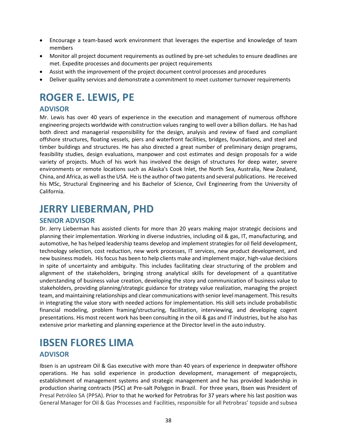- Encourage a team-based work environment that leverages the expertise and knowledge of team members
- Monitor all project document requirements as outlined by pre-set schedules to ensure deadlines are met. Expedite processes and documents per project requirements
- Assist with the improvement of the project document control processes and procedures
- Deliver quality services and demonstrate a commitment to meet customer turnover requirements

# <span id="page-37-0"></span>**ROGER E. LEWIS, PE**

### **ADVISOR**

Mr. Lewis has over 40 years of experience in the execution and management of numerous offshore engineering projects worldwide with construction values ranging to well over a billion dollars. He has had both direct and managerial responsibility for the design, analysis and review of fixed and compliant offshore structures, floating vessels, piers and waterfront facilities, bridges, foundations, and steel and timber buildings and structures. He has also directed a great number of preliminary design programs, feasibility studies, design evaluations, manpower and cost estimates and design proposals for a wide variety of projects. Much of his work has involved the design of structures for deep water, severe environments or remote locations such as Alaska's Cook Inlet, the North Sea, Australia, New Zealand, China, and Africa, as well asthe USA. He isthe author of two patents and several publications. He received his MSc, Structural Engineering and his Bachelor of Science, Civil Engineering from the University of California.

### <span id="page-37-1"></span>**JERRY LIEBERMAN, PHD**

#### **SENIOR ADVISOR**

Dr. Jerry Lieberman has assisted clients for more than 20 years making major strategic decisions and planning their implementation. Working in diverse industries, including oil & gas, IT, manufacturing, and automotive, he has helped leadership teams develop and implement strategies for oil field development, technology selection, cost reduction, new work processes, IT services, new product development, and new business models. Hisfocus has been to help clients make and implement major, high‐value decisions in spite of uncertainty and ambiguity. This includes facilitating clear structuring of the problem and alignment of the stakeholders, bringing strong analytical skills for development of a quantitative understanding of business value creation, developing the story and communication of business value to stakeholders, providing planning/strategic guidance for strategy value realization, managing the project team, and maintaining relationships and clear communications with senior level management. This results in integrating the value story with needed actions for implementation. His skill sets include probabilistic financial modeling, problem framing/structuring, facilitation, interviewing, and developing cogent presentations. His most recent work has been consulting in the oil & gas and IT industries, but he also has extensive prior marketing and planning experience at the Director level in the auto industry.

### <span id="page-37-2"></span>**IBSEN FLORES LIMA ADVISOR**

Ibsen is an upstream Oil & Gas executive with more than 40 years of experience in deepwater offshore operations. He has solid experience in production development, management of megaprojects, establishment of management systems and strategic management and he has provided leadership in production sharing contracts (PSC) at Pre-salt Polygon in Brazil. For three years, Ibsen was President of Presal Petróleo SA (PPSA). Prior to that he worked for Petrobras for 37 years where his last position was General Manager for Oil & Gas Processes and Facilities, responsible for all Petrobras' topside and subsea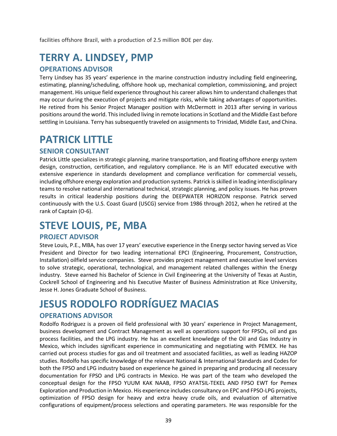facilities offshore Brazil, with a production of 2.5 million BOE per day.

# <span id="page-38-0"></span>**TERRY A. LINDSEY, PMP**

#### **OPERATIONS ADVISOR**

Terry Lindsey has 35 years' experience in the marine construction industry including field engineering, estimating, planning/scheduling, offshore hook up, mechanical completion, commissioning, and project management. His unique field experience throughout his career allows him to understand challenges that may occur during the execution of projects and mitigate risks, while taking advantages of opportunities. He retired from his Senior Project Manager position with McDermott in 2013 after serving in various positions around the world. This included living in remote locations in Scotland and the Middle East before settling in Louisiana. Terry has subsequently traveled on assignments to Trinidad, Middle East, and China.

### <span id="page-38-1"></span>**PATRICK LITTLE**

#### **SENIOR CONSULTANT**

Patrick Little specializes in strategic planning, marine transportation, and floating offshore energy system design, construction, certification, and regulatory compliance. He is an MIT educated executive with extensive experience in standards development and compliance verification for commercial vessels, including offshore energy exploration and production systems. Patrick is skilled in leading interdisciplinary teams to resolve national and international technical, strategic planning, and policy issues. He has proven results in critical leadership positions during the DEEPWATER HORIZON response. Patrick served continuously with the U.S. Coast Guard (USCG) service from 1986 through 2012, when he retired at the rank of Captain (O‐6).

### <span id="page-38-2"></span>**STEVE LOUIS, PE, MBA**

#### **PROJECT ADVISOR**

Steve Louis, P.E., MBA, has over 17 years' executive experience in the Energy sector having served as Vice President and Director for two leading international EPCI (Engineering, Procurement, Construction, Installation) oilfield service companies. Steve provides project management and executive level services to solve strategic, operational, technological, and management related challenges within the Energy industry. Steve earned his Bachelor of Science in Civil Engineering at the University of Texas at Austin, Cockrell School of Engineering and his Executive Master of Business Administration at Rice University, Jesse H. Jones Graduate School of Business.

# <span id="page-38-3"></span>**JESUS RODOLFO RODRÍGUEZ MACIAS**

#### **OPERATIONS ADVISOR**

Rodolfo Rodriguez is a proven oil field professional with 30 years' experience in Project Management, business development and Contract Management as well as operations support for FPSOs, oil and gas process facilities, and the LPG industry. He has an excellent knowledge of the Oil and Gas Industry in Mexico, which includes significant experience in communicating and negotiating with PEMEX. He has carried out process studies for gas and oil treatment and associated facilities, as well as leading HAZOP studies. Rodolfo has specific knowledge of the relevant National & International Standards and Codes for both the FPSO and LPG industry based on experience he gained in preparing and producing all necessary documentation for FPSO and LPG contracts in Mexico. He was part of the team who developed the conceptual design for the FPSO YUUM KAK NAAB, FPSO AYATSIL‐TEKEL AND FPSO EWT for Pemex Exploration and Production in Mexico. His experience includes consultancy on EPC and FPSO‐LPG projects, optimization of FPSO design for heavy and extra heavy crude oils, and evaluation of alternative configurations of equipment/process selections and operating parameters. He was responsible for the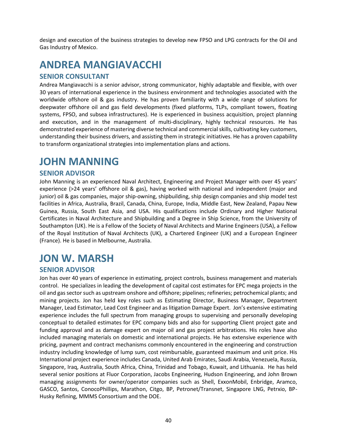design and execution of the business strategies to develop new FPSO and LPG contracts for the Oil and Gas Industry of Mexico.

# <span id="page-39-0"></span>**ANDREA MANGIAVACCHI**

#### **SENIOR CONSULTANT**

Andrea Mangiavacchi is a senior advisor, strong communicator, highly adaptable and flexible, with over 30 years of international experience in the business environment and technologies associated with the worldwide offshore oil & gas industry. He has proven familiarity with a wide range of solutions for deepwater offshore oil and gas field developments (fixed platforms, TLPs, compliant towers, floating systems, FPSO, and subsea infrastructures). He is experienced in business acquisition, project planning and execution, and in the management of multi-disciplinary, highly technical resources. He has demonstrated experience of mastering diverse technical and commercial skills, cultivating key customers, understanding their business drivers, and assisting them in strategic initiatives. He has a proven capability to transform organizational strategies into implementation plans and actions.

### <span id="page-39-1"></span>**JOHN MANNING**

#### **SENIOR ADVISOR**

John Manning is an experienced Naval Architect, Engineering and Project Manager with over 45 years' experience (>24 years' offshore oil & gas), having worked with national and independent (major and junior) oil & gas companies, major ship-owning, shipbuilding, ship design companies and ship model test facilities in Africa, Australia, Brazil, Canada, China, Europe, India, Middle East, New Zealand, Papau New Guinea, Russia, South East Asia, and USA. His qualifications include Ordinary and Higher National Certificates in Naval Architecture and Shipbuilding and a Degree in Ship Science, from the University of Southampton (UK). He is a Fellow of the Society of Naval Architects and Marine Engineers (USA), a Fellow of the Royal Institution of Naval Architects (UK), a Chartered Engineer (UK) and a European Engineer (France). He is based in Melbourne, Australia.

### <span id="page-39-2"></span>**JON W. MARSH**

#### **SENIOR ADVISOR**

Jon has over 40 years of experience in estimating, project controls, business management and materials control. He specializes in leading the development of capital cost estimates for EPC mega projects in the oil and gas sector such as upstream onshore and offshore; pipelines; refineries; petrochemical plants; and mining projects. Jon has held key roles such as Estimating Director, Business Manager, Department Manager, Lead Estimator, Lead Cost Engineer and as litigation Damage Expert. Jon's extensive estimating experience includes the full spectrum from managing groups to supervising and personally developing conceptual to detailed estimates for EPC company bids and also for supporting Client project gate and funding approval and as damage expert on major oil and gas project arbitrations. His roles have also included managing materials on domestic and international projects. He has extensive experience with pricing, payment and contract mechanisms commonly encountered in the engineering and construction industry including knowledge of lump sum, cost reimbursable, guaranteed maximum and unit price. His International project experience includes Canada, United Arab Emirates, Saudi Arabia, Venezuela, Russia, Singapore, Iraq, Australia, South Africa, China, Trinidad and Tobago, Kuwait, and Lithuania. He has held several senior positions at Fluor Corporation, Jacobs Engineering, Hudson Engineering, and John Brown managing assignments for owner/operator companies such as Shell, ExxonMobil, Enbridge, Aramco, GASCO, Santos, ConocoPhillips, Marathon, Citgo, BP, Petronet/Transnet, Singapore LNG, Petrxio, BP-Husky Refining, MMMS Consortium and the DOE.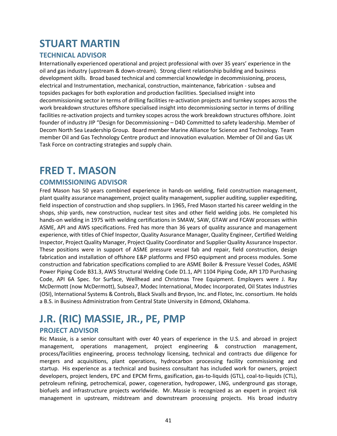### <span id="page-40-0"></span>**STUART MARTIN**

### **TECHNICAL ADVISOR**

**I**nternationally experienced operational and project professional with over 35 years' experience in the oil and gas industry (upstream & down-stream). Strong client relationship building and business development skills. Broad based technical and commercial knowledge in decommissioning, process, electrical and Instrumentation, mechanical, construction, maintenance, fabrication - subsea and topsides packages for both exploration and production facilities. Specialised insight into decommissioning sector in terms of drilling facilities re-activation projects and turnkey scopes across the work breakdown structures offshore specialised insight into decommissioning sector in terms of drilling facilities re-activation projects and turnkey scopes across the work breakdown structures offshore. Joint founder of industry JIP "Design for Decommissioning – D4D Committed to safety leadership. Member of Decom North Sea Leadership Group. Board member Marine Alliance for Science and Technology. Team member Oil and Gas Technology Centre product and innovation evaluation. Member of Oil and Gas UK Task Force on contracting strategies and supply chain.

### <span id="page-40-1"></span>**FRED T. MASON**

### **COMMISSIONING ADVISOR**

Fred Mason has 50 years combined experience in hands-on welding, field construction management, plant quality assurance management, project quality management, supplier auditing, supplier expediting, field inspection of construction and shop suppliers. In 1965, Fred Mason started his career welding in the shops, ship yards, new construction, nuclear test sites and other field welding jobs. He completed his hands‐on welding in 1975 with welding certifications in SMAW, SAW, GTAW and FCAW processes within ASME, API and AWS specifications. Fred has more than 36 years of quality assurance and management experience, with titles of Chief Inspector, Quality Assurance Manager, Quality Engineer, Certified Welding Inspector, Project Quality Manager, Project Quality Coordinator and Supplier Quality Assurance Inspector. These positions were in support of ASME pressure vessel fab and repair, field construction, design fabrication and installation of offshore E&P platforms and FPSO equipment and process modules. Some construction and fabrication specifications complied to are ASME Boiler & Pressure Vessel Codes, ASME Power Piping Code B31.3, AWS Structural Welding Code D1.1, API 1104 Piping Code, API 17D Purchasing Code, API 6A Spec. for Surface, Wellhead and Christmas Tree Equipment. Employers were J. Ray McDermott (now McDermott), Subsea7, Modec International, Modec Incorporated, Oil States Industries (OSI), International Systems & Controls, Black Sivalls and Bryson, Inc. and Flotec, Inc. consortium. He holds a B.S. in Business Administration from Central State University in Edmond, Oklahoma.

# <span id="page-40-2"></span>**J.R. (RIC) MASSIE, JR., PE, PMP**

### **PROJECT ADVISOR**

Ric Massie, is a senior consultant with over 40 years of experience in the U.S. and abroad in project management, operations management, project engineering & construction management, process/facilities engineering, process technology licensing, technical and contracts due diligence for mergers and acquisitions, plant operations, hydrocarbon processing facility commissioning and startup. His experience as a technical and business consultant has included work for owners, project developers, project lenders, EPC and EPCM firms, gasification, gas-to-liquids (GTL), coal-to-liquids (CTL), petroleum refining, petrochemical, power, cogeneration, hydropower, LNG, underground gas storage, biofuels and infrastructure projects worldwide. Mr. Massie is recognized as an expert in project risk management in upstream, midstream and downstream processing projects. His broad industry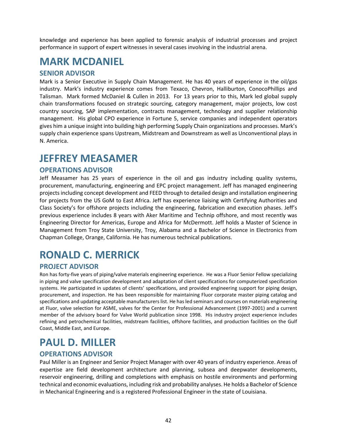knowledge and experience has been applied to forensic analysis of industrial processes and project performance in support of expert witnesses in several cases involving in the industrial arena.

### <span id="page-41-0"></span>**MARK MCDANIEL**

#### **SENIOR ADVISOR**

Mark is a Senior Executive in Supply Chain Management. He has 40 years of experience in the oil/gas industry. Mark's industry experience comes from Texaco, Chevron, Halliburton, ConocoPhillips and Talisman. Mark formed McDaniel & Cullen in 2013. For 13 years prior to this, Mark led global supply chain transformations focused on strategic sourcing, category management, major projects, low cost country sourcing, SAP implementation, contracts management, technology and supplier relationship management. His global CPO experience in Fortune 5, service companies and independent operators gives him a unique insight into building high performing Supply Chain organizations and processes. Mark's supply chain experience spans Upstream, Midstream and Downstream as well as Unconventional plays in N. America.

### <span id="page-41-1"></span>**JEFFREY MEASAMER**

#### **OPERATIONS ADVISOR**

Jeff Measamer has 25 years of experience in the oil and gas industry including quality systems, procurement, manufacturing, engineering and EPC project management. Jeff has managed engineering projects including concept development and FEED through to detailed design and installation engineering for projects from the US GoM to East Africa. Jeff has experience liaising with Certifying Authorities and Class Society's for offshore projects including the engineering, fabrication and execution phases. Jeff's previous experience includes 8 years with Aker Maritime and Technip offshore, and most recently was Engineering Director for Americas, Europe and Africa for McDermott. Jeff holds a Master of Science in Management from Troy State University, Troy, Alabama and a Bachelor of Science in Electronics from Chapman College, Orange, California. He has numerous technical publications.

# <span id="page-41-2"></span>**RONALD C. MERRICK**

### **PROJECT ADVISOR**

Ron has forty-five years of piping/valve materials engineering experience. He was a Fluor Senior Fellow specializing in piping and valve specification development and adaptation of client specifications for computerized specification systems. He participated in updates of clients' specifications, and provided engineering support for piping design, procurement, and inspection. He has been responsible for maintaining Fluor corporate master piping catalog and specifications and updating acceptable manufacturers list. He has led seminars and courses on materials engineering at Fluor, valve selection for ASME, valves for the Center for Professional Advancement (1997-2001) and a current member of the advisory board for Valve World publication since 1998. His industry project experience includes refining and petrochemical facilities, midstream facilities, offshore facilities, and production facilities on the Gulf Coast, Middle East, and Europe.

# <span id="page-41-3"></span>**PAUL D. MILLER**

### **OPERATIONS ADVISOR**

Paul Miller is an Engineer and Senior Project Manager with over 40 years of industry experience. Areas of expertise are field development architecture and planning, subsea and deepwater developments, reservoir engineering, drilling and completions with emphasis on hostile environments and performing technical and economic evaluations, including risk and probability analyses. He holds a Bachelor of Science in Mechanical Engineering and is a registered Professional Engineer in the state of Louisiana.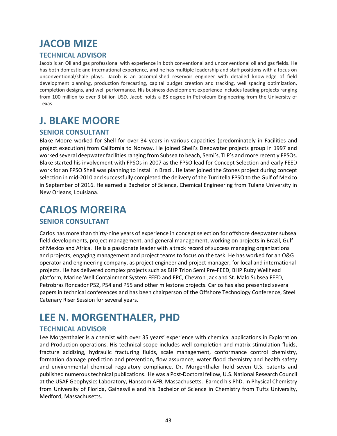# <span id="page-42-0"></span>**JACOB MIZE**

### **TECHNICAL ADVISOR**

Jacob is an Oil and gas professional with experience in both conventional and unconventional oil and gas fields. He has both domestic and international experience, and he has multiple leadership and staff positions with a focus on unconventional/shale plays. Jacob is an accomplished reservoir engineer with detailed knowledge of field development planning, production forecasting, capital budget creation and tracking, well spacing optimization, completion designs, and well performance. His business development experience includes leading projects ranging from 100 million to over 3 billion USD. Jacob holds a BS degree in Petroleum Engineering from the University of Texas.

### <span id="page-42-1"></span>**J. BLAKE MOORE**

### **SENIOR CONSULTANT**

Blake Moore worked for Shell for over 34 years in various capacities (predominately in Facilities and project execution) from California to Norway. He joined Shell's Deepwater projects group in 1997 and worked several deepwater facilities ranging from Subsea to beach, Semi's, TLP's and more recently FPSOs. Blake started his involvement with FPSOs in 2007 as the FPSO lead for Concept Selection and early FEED work for an FPSO Shell was planning to install in Brazil. He later joined the Stones project during concept selection in mid‐2010 and successfully completed the delivery of the Turritella FPSO to the Gulf of Mexico in September of 2016. He earned a Bachelor of Science, Chemical Engineering from Tulane University in New Orleans, Louisiana.

### <span id="page-42-2"></span>**CARLOS MOREIRA**

### **SENIOR CONSULTANT**

Carlos has more than thirty-nine years of experience in concept selection for offshore deepwater subsea field developments, project management, and general management, working on projects in Brazil, Gulf of Mexico and Africa. He is a passionate leader with a track record of success managing organizations and projects, engaging management and project teams to focus on the task. He has worked for an O&G operator and engineering company, as project engineer and project manager, for local and international projects. He has delivered complex projects such as BHP Trion Semi Pre-FEED, BHP Ruby Wellhead platform, Marine Well Containment System FEED and EPC, Chevron Jack and St. Malo Subsea FEED, Petrobras Roncador P52, P54 and P55 and other milestone projects. Carlos has also presented several papers in technical conferences and has been chairperson of the Offshore Technology Conference, Steel Catenary Riser Session for several years.

### <span id="page-42-3"></span>**LEE N. MORGENTHALER, PHD**

### **TECHNICAL ADVISOR**

Lee Morgenthaler is a chemist with over 35 years' experience with chemical applications in Exploration and Production operations. His technical scope includes well completion and matrix stimulation fluids, fracture acidizing, hydraulic fracturing fluids, scale management, conformance control chemistry, formation damage prediction and prevention, flow assurance, water flood chemistry and health safety and environmental chemical regulatory compliance. Dr. Morgenthaler hold seven U.S. patents and published numerous technical publications. He was a Post-Doctoral fellow, U.S. National Research Council at the USAF Geophysics Laboratory, Hanscom AFB, Massachusetts. Earned his PhD. In Physical Chemistry from University of Florida, Gainesville and his Bachelor of Science in Chemistry from Tufts University, Medford, Massachusetts.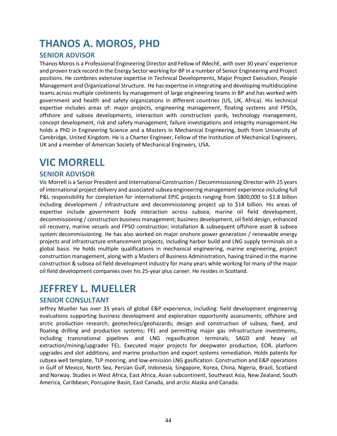### <span id="page-43-0"></span>**THANOS A. MOROS, PHD**

### **SENIOR ADVISOR**

Thanos Moros is a Professional Engineering Director and Fellow of IMechE, with over 30 years' experience and proven track record in the Energy Sector working for BP in a number of Senior Engineering and Project positions. He combines extensive expertise in Technical Developments, Major Project Execution, People Management and Organizational Structure. He has expertise in integrating and developing multidiscipline teams across multiple continents by management of large engineering teams in BP and has worked with government and health and safety organizations in different countries (US, UK, Africa). His technical expertise includes areas of: major projects, engineering management, floating systems and FPSOs, offshore and subsea developments, interaction with construction yards, technology management, concept development, risk and safety management, failure investigations and integrity management.He holds a PhD in Engineering Science and a Masters in Mechanical Engineering, both from University of Cambridge, United Kingdom. He is a Charter Engineer, Fellow of the Institution of Mechanical Engineers, UK and a member of American Society of Mechanical Engineers, USA.

### <span id="page-43-1"></span>**VIC MORRELL**

#### **SENIOR ADVISOR**

Vic Morrell is a Senior President and International Construction / Decommissioning Director with 25 years of international project delivery and associated subsea engineering management experience including full P&L responsibility for completion for international EPIC projects ranging from \$800,000 to \$1.8 billion including development / infrastructure and decommissioning project up to \$14 billion. His areas of expertise include government body interaction across subsea; marine oil field development, decommissioning / construction business management; business development, oil field design, enhanced oil recovery, marine vessels and FPSO construction; installation & subsequent offshore asset & subsea system decommissioning. He has also worked on major onshore power generation / renewable energy projects and infrastructure enhancement projects, including harbor build and LNG supply terminals on a global basis. He holds multiple qualifications in mechanical engineering, marine engineering, project construction management, along with a Masters of Business Administration, having trained in the marine construction & subsea oil field development industry for many years while working for many of the major oil field development companies over his 25-year plus career. He resides in Scotland.

### <span id="page-43-2"></span>**JEFFREY L. MUELLER**

#### **SENIOR CONSULTANT**

Jeffrey Mueller has over 35 years of global E&P experience, including: field development engineering evaluations supporting business development and exploration opportunity assessments; offshore and arctic production research; geotechnics/geohazards; design and construction of subsea, fixed, and floating drilling and production systems; FEL and permitting major gas infrastructure investments, including transnational pipelines and LNG regasification terminals; SAGD and heavy oil extraction/mining/upgrader FEL. Executed major projects for deepwater production, EOR, platform upgrades and slot additions, and marine production and export systems remediation. Holds patents for subsea well template, TLP mooring, and low-emission LNG gasification. Construction and E&P operations in Gulf of Mexico, North Sea, Persian Gulf, Indonesia, Singapore, Korea, China, Nigeria, Brazil, Scotland and Norway. Studies in West Africa, East Africa, Asian subcontinent, Southeast Asia, New Zealand, South America, Caribbean, Porcupine Basin, East Canada, and arctic Alaska and Canada.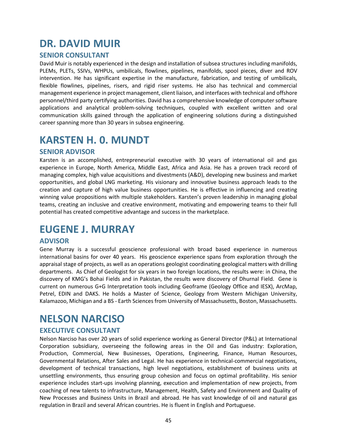### <span id="page-44-0"></span>**DR. DAVID MUIR**

#### **SENIOR CONSULTANT**

David Muir is notably experienced in the design and installation of subsea structures including manifolds, PLEMs, PLETs, SSIVs, WHPUs, umbilicals, flowlines, pipelines, manifolds, spool pieces, diver and ROV intervention. He has significant expertise in the manufacture, fabrication, and testing of umbilicals, flexible flowlines, pipelines, risers, and rigid riser systems. He also has technical and commercial management experience in project management, client liaison, and interfaces with technical and offshore personnel/third party certifying authorities. David has a comprehensive knowledge of computer software applications and analytical problem-solving techniques, coupled with excellent written and oral communication skills gained through the application of engineering solutions during a distinguished career spanning more than 30 years in subsea engineering.

### <span id="page-44-1"></span>**KARSTEN H. 0. MUNDT**

#### **SENIOR ADVISOR**

Karsten is an accomplished, entrepreneurial executive with 30 years of international oil and gas experience in Europe, North America, Middle East, Africa and Asia. He has a proven track record of managing complex, high value acquisitions and divestments (A&D), developing new business and market opportunities, and global LNG marketing. His visionary and innovative business approach leads to the creation and capture of high value business opportunities. He is effective in influencing and creating winning value propositions with multiple stakeholders. Karsten's proven leadership in managing global teams, creating an inclusive and creative environment, motivating and empowering teams to their full potential has created competitive advantage and success in the marketplace.

### <span id="page-44-2"></span>**EUGENE J. MURRAY**

#### **ADVISOR**

Gene Murray is a successful geoscience professional with broad based experience in numerous international basins for over 40 years. His geoscience experience spans from exploration through the appraisal stage of projects, as well as an operations geologist coordinating geological matters with drilling departments. As Chief of Geologist for six years in two foreign locations, the results were: in China, the discovery of KMG's Bohai Fields and in Pakistan, the results were discovery of Dhurnal Field. Gene is current on numerous G+G Interpretation tools including Geoframe (Geology Office and IESX), ArcMap, Petrel, EDIN and DAKS. He holds a Master of Science, Geology from Western Michigan University, Kalamazoo, Michigan and a BS - Earth Sciences from University of Massachusetts, Boston, Massachusetts.

### <span id="page-44-3"></span>**NELSON NARCISO**

### **EXECUTIVE CONSULTANT**

Nelson Narciso has over 20 years of solid experience working as General Director (P&L) at International Corporation subsidiary, overseeing the following areas in the Oil and Gas industry: Exploration, Production, Commercial, New Businesses, Operations, Engineering, Finance, Human Resources, Governmental Relations, After Sales and Legal. He has experience in technical‐commercial negotiations, development of technical transactions, high level negotiations, establishment of business units at unsettling environments, thus ensuring group cohesion and focus on optimal profitability. His senior experience includes start-ups involving planning, execution and implementation of new projects, from coaching of new talents to infrastructure, Management, Health, Safety and Environment and Quality of New Processes and Business Units in Brazil and abroad. He has vast knowledge of oil and natural gas regulation in Brazil and several African countries. He is fluent in English and Portuguese.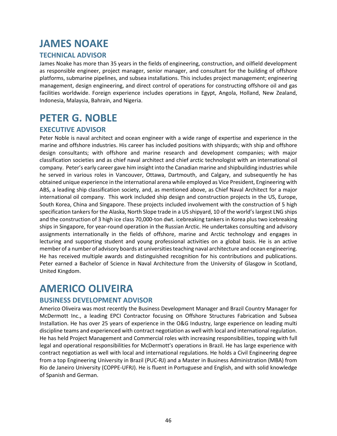# <span id="page-45-0"></span>**JAMES NOAKE**

### **TECHNICAL ADVISOR**

James Noake has more than 35 years in the fields of engineering, construction, and oilfield development as responsible engineer, project manager, senior manager, and consultant for the building of offshore platforms, submarine pipelines, and subsea installations. This includes project management; engineering management, design engineering, and direct control of operations for constructing offshore oil and gas facilities worldwide. Foreign experience includes operations in Egypt, Angola, Holland, New Zealand, Indonesia, Malaysia, Bahrain, and Nigeria.

### <span id="page-45-1"></span>**PETER G. NOBLE**

### **EXECUTIVE ADVISOR**

Peter Noble is naval architect and ocean engineer with a wide range of expertise and experience in the marine and offshore industries. His career has included positions with shipyards; with ship and offshore design consultants; with offshore and marine research and development companies; with major classification societies and as chief naval architect and chief arctic technologist with an international oil company. Peter's early career gave him insight into the Canadian marine and shipbuilding industries while he served in various roles in Vancouver, Ottawa, Dartmouth, and Calgary, and subsequently he has obtained unique experience in the international arena while employed as Vice President, Engineering with ABS, a leading ship classification society, and, as mentioned above, as Chief Naval Architect for a major international oil company. This work included ship design and construction projects in the US, Europe, South Korea, China and Singapore. These projects included involvement with the construction of 5 high specification tankers for the Alaska, North Slope trade in a US shipyard, 10 of the world's largest LNG ships and the construction of 3 high ice class 70,000-ton dwt. icebreaking tankers in Korea plus two icebreaking ships in Singapore, for year-round operation in the Russian Arctic. He undertakes consulting and advisory assignments internationally in the fields of offshore, marine and Arctic technology and engages in lecturing and supporting student and young professional activities on a global basis. He is an active member of a number of advisory boards at universities teaching naval architecture and ocean engineering. He has received multiple awards and distinguished recognition for his contributions and publications. Peter earned a Bachelor of Science in Naval Architecture from the University of Glasgow in Scotland, United Kingdom.

### <span id="page-45-2"></span>**AMERICO OLIVEIRA**

### **BUSINESS DEVELOPMENT ADVISOR**

Americo Oliveira was most recently the Business Development Manager and Brazil Country Manager for McDermott Inc., a leading EPCI Contractor focusing on Offshore Structures Fabrication and Subsea Installation. He has over 25 years of experience in the O&G Industry, large experience on leading multi discipline teams and experienced with contract negotiation as well with local and international regulation. He has held Project Management and Commercial roles with increasing responsibilities, topping with full legal and operational responsibilities for McDermott's operations in Brazil. He has large experience with contract negotiation as well with local and international regulations. He holds a Civil Engineering degree from a top Engineering University in Brazil (PUC‐RJ) and a Master in Business Administration (MBA) from Rio de Janeiro University (COPPE‐UFRJ). He is fluent in Portuguese and English, and with solid knowledge of Spanish and German.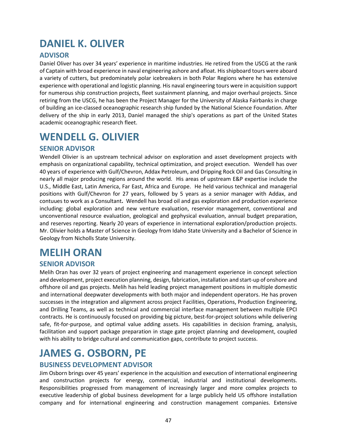# <span id="page-46-0"></span>**DANIEL K. OLIVER**

### **ADVISOR**

Daniel Oliver has over 34 years' experience in maritime industries. He retired from the USCG at the rank of Captain with broad experience in naval engineering ashore and afloat. His shipboard tours were aboard a variety of cutters, but predominately polar icebreakers in both Polar Regions where he has extensive experience with operational and logistic planning. His naval engineering tours were in acquisition support for numerous ship construction projects, fleet sustainment planning, and major overhaul projects. Since retiring from the USCG, he has been the Project Manager for the University of Alaska Fairbanks in charge of building an ice‐classed oceanographic research ship funded by the National Science Foundation. After delivery of the ship in early 2013, Daniel managed the ship's operations as part of the United States academic oceanographic research fleet.

### <span id="page-46-1"></span>**WENDELL G. OLIVIER**

### **SENIOR ADVISOR**

Wendell Olivier is an upstream technical advisor on exploration and asset development projects with emphasis on organizational capability, technical optimization, and project execution. Wendell has over 40 years of experience with Gulf/Chevron, Addax Petroleum, and Dripping Rock Oil and Gas Consulting in nearly all major producing regions around the world. His areas of upstream E&P expertise include the U.S., Middle East, Latin America, Far East, Africa and Europe. He held various technical and managerial positions with Gulf/Chevron for 27 years, followed by 5 years as a senior manager with Addax, and contuues to work as a Consultant**.** Wendell has broad oil and gas exploration and production experience including: global exploration and new venture evaluation, reservior management, conventional and unconventional resource evaluation, geological and gephysical evaluation, annual budget preparation, and reserves reporting. Nearly 20 years of experience in international exploration/production projects. Mr. Olivier holds a Master of Science in Geology from Idaho State University and a Bachelor of Science in Geology from Nicholls State University.

# <span id="page-46-2"></span>**MELIH ORAN**

### **SENIOR ADVISOR**

Melih Oran has over 32 years of project engineering and management experience in concept selection and development, project execution planning, design, fabrication, installation and start‐up of onshore and offshore oil and gas projects. Melih has held leading project management positions in multiple domestic and international deepwater developments with both major and independent operators. He has proven successes in the integration and alignment across project Facilities, Operations, Production Engineering, and Drilling Teams, as well as technical and commercial interface management between multiple EPCI contracts. He is continuously focused on providing big picture, best‐for‐project solutions while delivering safe, fit-for-purpose, and optimal value adding assets. His capabilities in decision framing, analysis, facilitation and support package preparation in stage gate project planning and development, coupled with his ability to bridge cultural and communication gaps, contribute to project success.

# <span id="page-46-3"></span>**JAMES G. OSBORN, PE**

#### **BUSINESS DEVELOPMENT ADVISOR**

Jim Osborn brings over 45 years' experience in the acquisition and execution of international engineering and construction projects for energy, commercial, industrial and institutional developments. Responsibilities progressed from management of increasingly larger and more complex projects to executive leadership of global business development for a large publicly held US offshore installation company and for international engineering and construction management companies. Extensive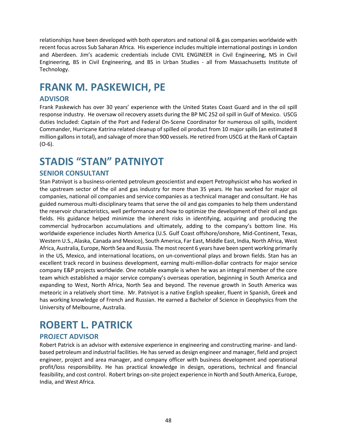relationships have been developed with both operators and national oil & gas companies worldwide with recent focus across Sub Saharan Africa. His experience includes multiple international postings in London and Aberdeen. Jim's academic credentials include CIVIL ENGINEER in Civil Engineering, MS in Civil Engineering, BS in Civil Engineering, and BS in Urban Studies - all from Massachusetts Institute of Technology.

# <span id="page-47-0"></span>**FRANK M. PASKEWICH, PE**

### **ADVISOR**

Frank Paskewich has over 30 years' experience with the United States Coast Guard and in the oil spill response industry. He oversaw oil recovery assets during the BP MC 252 oil spill in Gulf of Mexico. USCG duties Included: Captain of the Port and Federal On-Scene Coordinator for numerous oil spills, Incident Commander, Hurricane Katrina related cleanup of spilled oil product from 10 major spills (an estimated 8 million gallons in total), and salvage of more than 900 vessels. He retired from USCG at the Rank of Captain (O-6).

# <span id="page-47-1"></span>**STADIS "STAN" PATNIYOT**

#### **SENIOR CONSULTANT**

Stan Patniyot is a business-oriented petroleum geoscientist and expert Petrophysicist who has worked in the upstream sector of the oil and gas industry for more than 35 years. He has worked for major oil companies, national oil companies and service companies as a technical manager and consultant. He has guided numerous multi-disciplinary teams that serve the oil and gas companies to help them understand the reservoir characteristics, well performance and how to optimize the development of their oil and gas fields. His guidance helped minimize the inherent risks in identifying, acquiring and producing the commercial hydrocarbon accumulations and ultimately, adding to the company's bottom line. His worldwide experience includes North America (U.S. Gulf Coast offshore/onshore, Mid-Continent, Texas, Western U.S., Alaska, Canada and Mexico), South America, Far East, Middle East, India, North Africa, West Africa, Australia, Europe, North Sea and Russia. The most recent 6 years have been spent working primarily in the US, Mexico, and international locations, on un-conventional plays and brown fields. Stan has an excellent track record in business development, earning multi-million-dollar contracts for major service company E&P projects worldwide. One notable example is when he was an integral member of the core team which established a major service company's overseas operation, beginning in South America and expanding to West, North Africa, North Sea and beyond. The revenue growth in South America was meteoric in a relatively short time. Mr. Patniyot is a native English speaker, fluent in Spanish, Greek and has working knowledge of French and Russian. He earned a Bachelor of Science in Geophysics from the University of Melbourne, Australia.

### <span id="page-47-2"></span>**ROBERT L. PATRICK**

### **PROJECT ADVISOR**

Robert Patrick is an advisor with extensive experience in engineering and constructing marine‐ and land‐ based petroleum and industrial facilities. He has served as design engineer and manager, field and project engineer, project and area manager, and company officer with business development and operational profit/loss responsibility. He has practical knowledge in design, operations, technical and financial feasibility, and cost control. Robert brings on‐site project experience in North and South America, Europe, India, and West Africa.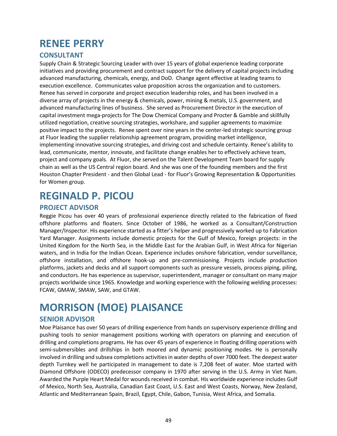# <span id="page-48-0"></span>**RENEE PERRY**

#### **CONSULTANT**

Supply Chain & Strategic Sourcing Leader with over 15 years of global experience leading corporate initiatives and providing procurement and contract support for the delivery of capital projects including advanced manufacturing, chemicals, energy, and DoD. Change agent effective at leading teams to execution excellence. Communicates value proposition across the organization and to customers. Renee has served in corporate and project execution leadership roles, and has been involved in a diverse array of projects in the energy & chemicals, power, mining & metals, U.S. government, and advanced manufacturing lines of business. She served as Procurement Director in the execution of capital investment mega-projects for The Dow Chemical Company and Procter & Gamble and skillfully utilized negotiation, creative sourcing strategies, workshare, and supplier agreements to maximize positive impact to the projects. Renee spent over nine years in the center-led strategic sourcing group at Fluor leading the supplier relationship agreement program, providing market intelligence, implementing innovative sourcing strategies, and driving cost and schedule certainty. Renee's ability to lead, communicate, mentor, innovate, and facilitate change enables her to effectively achieve team, project and company goals. At Fluor, she served on the Talent Development Team board for supply chain as well as the US Central region board. And she was one of the founding members and the first Houston Chapter President - and then Global Lead - for Fluor's Growing Representation & Opportunities for Women group.

### <span id="page-48-1"></span>**REGINALD P. PICOU**

#### **PROJECT ADVISOR**

Reggie Picou has over 40 years of professional experience directly related to the fabrication of fixed offshore platforms and floaters. Since October of 1986, he worked as a Consultant/Construction Manager/Inspector. His experience started as a fitter's helper and progressively worked up to Fabrication Yard Manager. Assignments include domestic projects for the Gulf of Mexico, foreign projects: in the United Kingdom for the North Sea, in the Middle East for the Arabian Gulf, in West Africa for Nigerian waters, and in India for the Indian Ocean. Experience includes onshore fabrication, vendor surveillance, offshore installation, and offshore hook‐up and pre‐commissioning. Projects include production platforms, jackets and decks and all support components such as pressure vessels, process piping, piling, and conductors. He has experience as supervisor, superintendent, manager or consultant on many major projects worldwide since 1965. Knowledge and working experience with the following welding processes: FCAW, GMAW, SMAW, SAW, and GTAW.

# <span id="page-48-2"></span>**MORRISON (MOE) PLAISANCE**

#### **SENIOR ADVISOR**

Moe Plaisance has over 50 years of drilling experience from hands on supervisory experience drilling and pushing tools to senior management positions working with operators on planning and execution of drilling and completions programs. He has over 45 years of experience in floating drilling operations with semi-submersibles and drillships in both moored and dynamic positioning modes. He is personally involved in drilling and subsea completions activities in water depths of over 7000 feet. The deepest water depth Turnkey well he participated in management to date is 7,208 feet of water. Moe started with Diamond Offshore (ODECO) predecessor company in 1970 after serving in the U.S. Army in Viet Nam. Awarded the Purple Heart Medal for wounds received in combat. His worldwide experience includes Gulf of Mexico, North Sea, Australia, Canadian East Coast, U.S. East and West Coasts, Norway, New Zealand, Atlantic and Mediterranean Spain, Brazil, Egypt, Chile, Gabon, Tunisia, West Africa, and Somalia.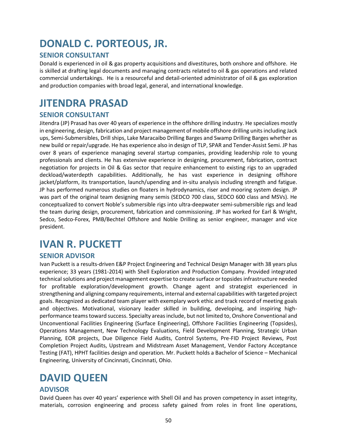# <span id="page-49-0"></span>**DONALD C. PORTEOUS, JR.**

#### **SENIOR CONSULTANT**

Donald is experienced in oil & gas property acquisitions and divestitures, both onshore and offshore. He is skilled at drafting legal documents and managing contracts related to oil & gas operations and related commercial undertakings. He is a resourceful and detail-oriented administrator of oil & gas exploration and production companies with broad legal, general, and international knowledge.

### <span id="page-49-1"></span>**JITENDRA PRASAD**

#### **SENIOR CONSULTANT**

Jitendra (JP) Prasad has over 40 years of experience in the offshore drilling industry. He specializes mostly in engineering, design, fabrication and project management of mobile offshore drilling units including Jack ups, Semi‐Submersibles, Drill ships, Lake Maracaibo Drilling Barges and Swamp Drilling Barges whether as new build or repair/upgrade. He has experience also in design of TLP, SPAR and Tender‐Assist Semi. JP has over 8 years of experience managing several startup companies, providing leadership role to young professionals and clients. He has extensive experience in designing, procurement, fabrication, contract negotiation for projects in Oil & Gas sector that require enhancement to existing rigs to an upgraded deckload/waterdepth capabilities. Additionally, he has vast experience in designing offshore jacket/platform, its transportation, launch/upending and in‐situ analysis including strength and fatigue. JP has performed numerous studies on floaters in hydrodynamics, riser and mooring system design. JP was part of the original team designing many semis (SEDCO 700 class, SEDCO 600 class and MSVs). He conceptualized to convert Noble's submersible rigs into ultra‐deepwater semi‐submersible rigs and lead the team during design, procurement, fabrication and commissioning. JP has worked for Earl & Wright, Sedco, Sedco-Forex, PMB/Bechtel Offshore and Noble Drilling as senior engineer, manager and vice president.

### <span id="page-49-2"></span>**IVAN R. PUCKETT**

#### **SENIOR ADVISOR**

Ivan Puckett is a results-driven E&P Project Engineering and Technical Design Manager with 38 years plus experience; 33 years (1981-2014) with Shell Exploration and Production Company. Provided integrated technical solutions and project management expertise to create surface or topsides infrastructure needed for profitable exploration/development growth. Change agent and strategist experienced in strengthening and aligning company requirements, internal and external capabilities with targeted project goals. Recognized as dedicated team player with exemplary work ethic and track record of meeting goals and objectives. Motivational, visionary leader skilled in building, developing, and inspiring highperformance teams toward success. Specialty areas include, but not limited to, Onshore Conventional and Unconventional Facilities Engineering (Surface Engineering), Offshore Facilities Engineering (Topsides), Operations Management, New Technology Evaluations, Field Development Planning, Strategic Urban Planning, EOR projects, Due Diligence Field Audits, Control Systems, Pre-FID Project Reviews, Post Completion Project Audits, Upstream and Midstream Asset Management, Vendor Factory Acceptance Testing (FAT), HPHT facilities design and operation. Mr. Puckett holds a Bachelor of Science – Mechanical Engineering, University of Cincinnati, Cincinnati, Ohio.

### <span id="page-49-3"></span>**DAVID QUEEN**

#### **ADVISOR**

David Queen has over 40 years' experience with Shell Oil and has proven competency in asset integrity, materials, corrosion engineering and process safety gained from roles in front line operations,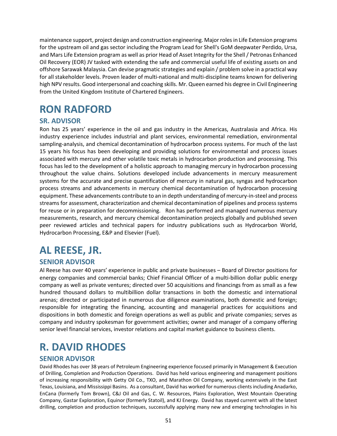maintenance support, project design and construction engineering. Major roles in Life Extension programs for the upstream oil and gas sector including the Program Lead for Shell's GoM deepwater Perdido, Ursa, and Mars Life Extension program as well as prior Head of Asset Integrity for the Shell / Petronas Enhanced Oil Recovery (EOR) JV tasked with extending the safe and commercial useful life of existing assets on and offshore Sarawak Malaysia. Can devise pragmatic strategies and explain / problem solve in a practical way for all stakeholder levels. Proven leader of multi‐national and multi‐discipline teams known for delivering high NPV results. Good interpersonal and coaching skills. Mr. Queen earned his degree in Civil Engineering from the United Kingdom Institute of Chartered Engineers.

# <span id="page-50-0"></span>**RON RADFORD**

### **SR. ADVISOR**

Ron has 25 years' experience in the oil and gas industry in the Americas, Australasia and Africa. His industry experience includes industrial and plant services, environmental remediation, environmental sampling-analysis, and chemical decontamination of hydrocarbon process systems. For much of the last 15 years his focus has been developing and providing solutions for environmental and process issues associated with mercury and other volatile toxic metals in hydrocarbon production and processing. This focus has led to the development of a holistic approach to managing mercury in hydrocarbon processing throughout the value chains. Solutions developed include advancements in mercury measurement systems for the accurate and precise quantification of mercury in natural gas, syngas and hydrocarbon process streams and advancements in mercury chemical decontamination of hydrocarbon processing equipment. These advancements contribute to an in depth understanding of mercury-in-steel and process streams for assessment, characterization and chemical decontamination of pipelines and process systems for reuse or in preparation for decommissioning. Ron has performed and managed numerous mercury measurements, research, and mercury chemical decontamination projects globally and published seven peer reviewed articles and technical papers for industry publications such as Hydrocarbon World, Hydrocarbon Processing, E&P and Elsevier (Fuel).

# <span id="page-50-1"></span>**AL REESE, JR.**

#### **SENIOR ADVISOR**

Al Reese has over 40 years' experience in public and private businesses – Board of Director positions for energy companies and commercial banks; Chief Financial Officer of a multi-billion dollar public energy company as well as private ventures; directed over 50 acquisitions and financings from as small as a few hundred thousand dollars to multibillion dollar transactions in both the domestic and international arenas; directed or participated in numerous due diligence examinations, both domestic and foreign; responsible for integrating the financing, accounting and managerial practices for acquisitions and dispositions in both domestic and foreign operations as well as public and private companies; serves as company and industry spokesman for government activities; owner and manager of a company offering senior level financial services, investor relations and capital market guidance to business clients.

# <span id="page-50-2"></span>**R. DAVID RHODES**

#### **SENIOR ADVISOR**

David Rhodes has over 38 years of Petroleum Engineering experience focused primarily in Management & Execution of Drilling, Completion and Production Operations. David has held various engineering and management positions of increasing responsibility with Getty Oil Co., TXO, and Marathon Oil Company, working extensively in the East Texas, Louisiana, and Mississippi Basins. As a consultant, David has worked for numerous clients including Anadarko, EnCana (formerly Tom Brown), C&J Oil and Gas, C. W. Resources, Plains Exploration, West Mountain Operating Company, Gastar Exploration, Equinor (formerly Statoil), and KJ Energy. David has stayed current with all the latest drilling, completion and production techniques, successfully applying many new and emerging technologies in his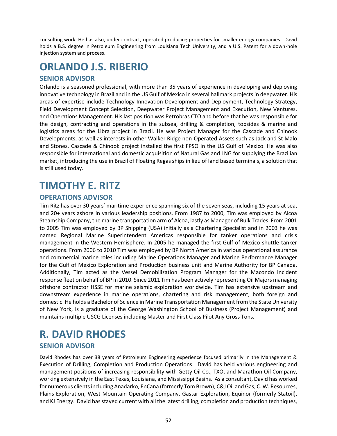consulting work. He has also, under contract, operated producing properties for smaller energy companies. David holds a B.S. degree in Petroleum Engineering from Louisiana Tech University, and a U.S. Patent for a down-hole injection system and process.

# <span id="page-51-0"></span>**ORLANDO J.S. RIBERIO**

### **SENIOR ADVISOR**

Orlando is a seasoned professional, with more than 35 years of experience in developing and deploying innovative technology in Brazil and in the US Gulf of Mexico in several hallmark projects in deepwater. His areas of expertise include Technology Innovation Development and Deployment, Technology Strategy, Field Development Concept Selection, Deepwater Project Management and Execution, New Ventures, and Operations Management. His last position was Petrobras CTO and before that he was responsible for the design, contracting and operations in the subsea, drilling & completion, topsides & marine and logistics areas for the Libra project in Brazil. He was Project Manager for the Cascade and Chinook Developments, as well as interests in other Walker Ridge non-Operated Assets such as Jack and St Malo and Stones. Cascade & Chinook project installed the first FPSO in the US Gulf of Mexico. He was also responsible for international and domestic acquisition of Natural Gas and LNG for supplying the Brazilian market, introducing the use in Brazil of Floating Regas ships in lieu of land based terminals, a solution that is still used today.

### <span id="page-51-1"></span>**TIMOTHY E. RITZ**

#### **OPERATIONS ADVISOR**

Tim Ritz has over 30 years' maritime experience spanning six of the seven seas, including 15 years at sea, and 20+ years ashore in various leadership positions. From 1987 to 2000, Tim was employed by Alcoa Steamship Company, the marine transportation arm of Alcoa, lastly as Manager of Bulk Trades. From 2001 to 2005 Tim was employed by BP Shipping (USA) initially as a Chartering Specialist and in 2003 he was named Regional Marine Superintendent Americas responsible for tanker operations and crisis management in the Western Hemisphere. In 2005 he managed the first Gulf of Mexico shuttle tanker operations. From 2006 to 2010 Tim was employed by BP North America in various operational assurance and commercial marine roles including Marine Operations Manager and Marine Performance Manager for the Gulf of Mexico Exploration and Production business unit and Marine Authority for BP Canada. Additionally, Tim acted as the Vessel Demobilization Program Manager for the Macondo Incident response fleet on behalf of BP in 2010. Since 2011 Tim has been actively representing Oil Majors managing offshore contractor HSSE for marine seismic exploration worldwide. Tim has extensive upstream and downstream experience in marine operations, chartering and risk management, both foreign and domestic. He holds a Bachelor of Science in Marine Transportation Management from the State University of New York, is a graduate of the George Washington School of Business (Project Management) and maintains multiple USCG Licenses including Master and First Class Pilot Any Gross Tons.

### <span id="page-51-2"></span>**R. DAVID RHODES SENIOR ADVISOR**

David Rhodes has over 38 years of Petroleum Engineering experience focused primarily in the Management & Execution of Drilling, Completion and Production Operations. David has held various engineering and management positions of increasing responsibility with Getty Oil Co., TXO, and Marathon Oil Company, working extensively in the East Texas, Louisiana, and Mississippi Basins. As a consultant, David has worked for numerous clients including Anadarko, EnCana (formerly Tom Brown), C&J Oil and Gas, C. W. Resources, Plains Exploration, West Mountain Operating Company, Gastar Exploration, Equinor (formerly Statoil), and KJ Energy. David has stayed current with all the latest drilling, completion and production techniques,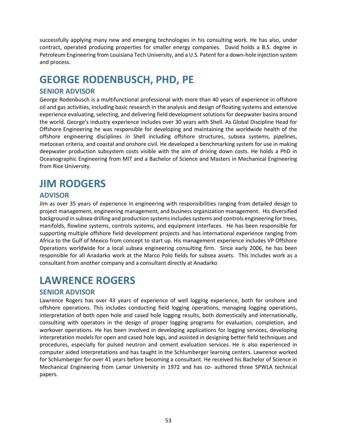successfully applying many new and emerging technologies in his consulting work. He has also, under contract, operated producing properties for smaller energy companies. David holds a B.S. degree in Petroleum Engineering from Louisiana Tech University, and a U.S. Patent for a down-hole injection system and process.

# <span id="page-52-0"></span>**GEORGE RODENBUSCH, PHD, PE**

### **SENIOR ADVISOR**

George Rodenbusch is a multifunctional professional with more than 40 years of experience in offshore oil and gas activities, including basic research in the analysis and design of floating systems and extensive experience evaluating, selecting, and delivering field development solutions for deepwater basins around the world. George's industry experience includes over 30 years with Shell. As Global Discipline Head for Offshore Engineering he was responsible for developing and maintaining the worldwide health of the offshore engineering disciplines in Shell including offshore structures, subsea systems, pipelines, metocean criteria, and coastal and onshore civil. He developed a benchmarking system for use in making deepwater production subsystem costs visible with the aim of driving down costs. He holds a PhD in Oceanographic Engineering from MIT and a Bachelor of Science and Masters in Mechanical Engineering from Rice University.

### <span id="page-52-1"></span>**JIM RODGERS**

### **ADVISOR**

Jim as over 35 years of experience in engineering with responsibilities ranging from detailed design to project management, engineering management, and business organization management. His diversified background in subsea drilling and production systems includes systems and controls engineering for trees, manifolds, flowline systems, controls systems, and equipment interfaces. He has been responsible for supporting multiple offshore field development projects and has international experience ranging from Africa to the Gulf of Mexico from concept to start up. His management experience includes VP Offshore Operations worldwide for a local subsea engineering consulting firm. Since early 2006, he has been responsible for all Anadarko work at the Marco Polo fields for subsea assets. This includes work as a consultant from another company and a consultant directly at Anadarko

# <span id="page-52-2"></span>**LAWRENCE ROGERS**

### **SENIOR ADVISOR**

Lawrence Rogers has over 43 years of experience of well logging experience, both for onshore and offshore operations. This includes conducting field logging operations, managing logging operations, interpretation of both open hole and cased hole logging results, both domestically and internationally, consulting with operators in the design of proper logging programs for evaluation, completion, and workover operations. He has been involved in developing applications for logging services, developing interpretation models for open and cased hole logs, and assisted in designing better field techniques and procedures, especially for pulsed neutron and cement evaluation services. He is also experienced in computer aided interpretations and has taught in the Schlumberger learning centers. Lawrence worked for Schlumberger for over 41 years before becoming a consultant. He received his Bachelor of Science in Mechanical Engineering from Lamar University in 1972 and has co- authored three SPWLA technical papers.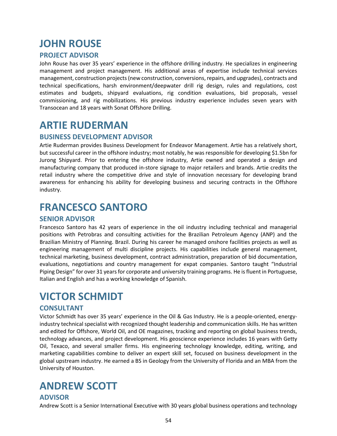# <span id="page-53-0"></span>**JOHN ROUSE**

### **PROJECT ADVISOR**

John Rouse has over 35 years' experience in the offshore drilling industry. He specializes in engineering management and project management. His additional areas of expertise include technical services management, construction projects(new construction, conversions, repairs, and upgrades), contracts and technical specifications, harsh environment/deepwater drill rig design, rules and regulations, cost estimates and budgets, shipyard evaluations, rig condition evaluations, bid proposals, vessel commissioning, and rig mobilizations. His previous industry experience includes seven years with Transocean and 18 years with Sonat Offshore Drilling.

### <span id="page-53-1"></span>**ARTIE RUDERMAN**

#### **BUSINESS DEVELOPMENT ADVISOR**

Artie Ruderman provides Business Development for Endeavor Management. Artie has a relatively short, but successful career in the offshore industry; most notably, he was responsible for developing \$1.5bn for Jurong Shipyard. Prior to entering the offshore industry, Artie owned and operated a design and manufacturing company that produced in‐store signage to major retailers and brands. Artie credits the retail industry where the competitive drive and style of innovation necessary for developing brand awareness for enhancing his ability for developing business and securing contracts in the Offshore industry.

### <span id="page-53-2"></span>**FRANCESCO SANTORO**

#### **SENIOR ADVISOR**

Francesco Santoro has 42 years of experience in the oil industry including technical and managerial positions with Petrobras and consulting activities for the Brazilian Petroleum Agency (ANP) and the Brazilian Ministry of Planning. Brazil. During his career he managed onshore facilities projects as well as engineering management of multi discipline projects. His capabilities include general management, technical marketing, business development, contract administration, preparation of bid documentation, evaluations, negotiations and country management for expat companies. Santoro taught "Industrial Piping Design" for over 31 years for corporate and university training programs. He is fluent in Portuguese, Italian and English and has a working knowledge of Spanish.

### <span id="page-53-3"></span>**VICTOR SCHMIDT**

### **CONSULTANT**

Victor Schmidt has over 35 years' experience in the Oil & Gas Industry. He is a people‐oriented, energy‐ industry technical specialist with recognized thought leadership and communication skills. He has written and edited for Offshore, World Oil, and OE magazines, tracking and reporting on global business trends, technology advances, and project development. His geoscience experience includes 16 years with Getty Oil, Texaco, and several smaller firms. His engineering technology knowledge, editing, writing, and marketing capabilities combine to deliver an expert skill set, focused on business development in the global upstream industry. He earned a BS in Geology from the University of Florida and an MBA from the University of Houston.

# <span id="page-53-4"></span>**ANDREW SCOTT**

#### **ADVISOR**

Andrew Scott is a Senior International Executive with 30 years global business operations and technology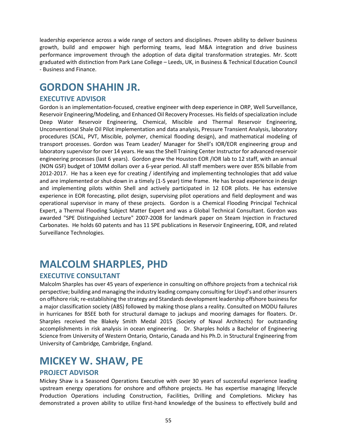leadership experience across a wide range of sectors and disciplines. Proven ability to deliver business growth, build and empower high performing teams, lead M&A integration and drive business performance improvement through the adoption of data digital transformation strategies. Mr. Scott graduated with distinction from Park Lane College – Leeds, UK, in Business & Technical Education Council - Business and Finance.

### <span id="page-54-0"></span>**GORDON SHAHIN JR.**

#### **EXECUTIVE ADVISOR**

Gordon is an implementation-focused, creative engineer with deep experience in ORP, Well Surveillance, Reservoir Engineering/Modeling, and Enhanced Oil Recovery Processes. His fields of specialization include Deep Water Reservoir Engineering, Chemical, Miscible and Thermal Reservoir Engineering, Unconventional Shale Oil Pilot implementation and data analysis, Pressure Transient Analysis, laboratory procedures (SCAL, PVT, Miscible, polymer, chemical flooding design), and mathematical modeling of transport processes. Gordon was Team Leader/ Manager for Shell's IOR/EOR engineering group and laboratory supervisor for over 14 years. He was the Shell Training Center Instructor for advanced reservoir engineering processes (last 6 years). Gordon grew the Houston EOR /IOR lab to 12 staff, with an annual (NON GSF) budget of 10MM dollars over a 6-year period. All staff members were over 85% billable from 2012-2017. He has a keen eye for creating / identifying and implementing technologies that add value and are implemented or shut-down in a timely (1-5 year) time frame. He has broad experience in design and implementing pilots within Shell and actively participated in 12 EOR pilots. He has extensive experience in EOR forecasting, pilot design, supervising pilot operations and field deployment and was operational supervisor in many of these projects. Gordon is a Chemical Flooding Principal Technical Expert, a Thermal Flooding Subject Matter Expert and was a Global Technical Consultant. Gordon was awarded "SPE Distinguished Lecture" 2007-2008 for landmark paper on Steam Injection in Fractured Carbonates. He holds 60 patents and has 11 SPE publications in Reservoir Engineering, EOR, and related Surveillance Technologies.

### <span id="page-54-1"></span>**MALCOLM SHARPLES, PHD**

### **EXECUTIVE CONSULTANT**

Malcolm Sharples has over 45 years of experience in consulting on offshore projects from a technical risk perspective; building and managing the industry leading company consulting for Lloyd's and other insurers on offshore risk; re-establishing the strategy and Standards development leadership offshore business for a major classification society (ABS) followed by making those plans a reality. Consulted on MODU failures in hurricanes for BSEE both for structural damage to jackups and mooring damages for floaters. Dr. Sharples received the Blakely Smith Medal 2015 (Society of Naval Architects) for outstanding accomplishments in risk analysis in ocean engineering. Dr. Sharples holds a Bachelor of Engineering Science from University of Western Ontario*,* Ontario, Canada and his Ph.D. in Structural Engineering from University of Cambridge*,* Cambridge, England.

### <span id="page-54-2"></span>**MICKEY W. SHAW, PE**

#### **PROJECT ADVISOR**

Mickey Shaw is a Seasoned Operations Executive with over 30 years of successful experience leading upstream energy operations for onshore and offshore projects. He has expertise managing lifecycle Production Operations including Construction, Facilities, Drilling and Completions. Mickey has demonstrated a proven ability to utilize first‐hand knowledge of the business to effectively build and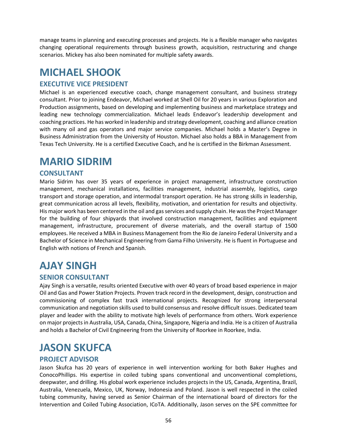manage teams in planning and executing processes and projects. He is a flexible manager who navigates changing operational requirements through business growth, acquisition, restructuring and change scenarios. Mickey has also been nominated for multiple safety awards.

### <span id="page-55-0"></span>**MICHAEL SHOOK**

### **EXECUTIVE VICE PRESIDENT**

Michael is an experienced executive coach, change management consultant, and business strategy consultant. Prior to joining Endeavor, Michael worked at Shell Oil for 20 years in various Exploration and Production assignments, based on developing and implementing business and marketplace strategy and leading new technology commercialization. Michael leads Endeavor's leadership development and coaching practices. He has worked in leadership and strategy development, coaching and alliance creation with many oil and gas operators and major service companies. Michael holds a Master's Degree in Business Administration from the University of Houston. Michael also holds a BBA in Management from Texas Tech University. He is a certified Executive Coach, and he is certified in the Birkman Assessment.

### <span id="page-55-1"></span>**MARIO SIDRIM**

### **CONSULTANT**

Mario Sidrim has over 35 years of experience in project management, infrastructure construction management, mechanical installations, facilities management, industrial assembly, logistics, cargo transport and storage operation, and intermodal transport operation. He has strong skills in leadership, great communication across all levels, flexibility, motivation, and orientation for results and objectivity. His major work has been centered in the oil and gas services and supply chain. He was the Project Manager for the building of four shipyards that involved construction management, facilities and equipment management, infrastructure, procurement of diverse materials, and the overall startup of 1500 employees. He received a MBA in Business Management from the Rio de Janeiro Federal University and a Bachelor of Science in Mechanical Engineering from Gama Filho University. He is fluent in Portuguese and English with notions of French and Spanish.

### <span id="page-55-2"></span>**AJAY SINGH**

### **SENIOR CONSULTANT**

Ajay Singh is a versatile, results oriented Executive with over 40 years of broad based experience in major Oil and Gas and Power Station Projects. Proven track record in the development, design, construction and commissioning of complex fast track international projects. Recognized for strong interpersonal communication and negotiation skills used to build consensus and resolve difficult issues. Dedicated team player and leader with the ability to motivate high levels of performance from others. Work experience on major projects in Australia, USA, Canada, China, Singapore, Nigeria and India. He is a citizen of Australia and holds a Bachelor of Civil Engineering from the University of Roorkee in Roorkee, India.

### <span id="page-55-3"></span>**JASON SKUFCA**

### **PROJECT ADVISOR**

Jason Skufca has 20 years of experience in well intervention working for both Baker Hughes and ConocoPhillips. His expertise in coiled tubing spans conventional and unconventional completions, deepwater, and drilling. His global work experience includes projects in the US, Canada, Argentina, Brazil, Australia, Venezuela, Mexico, UK, Norway, Indonesia and Poland. Jason is well respected in the coiled tubing community, having served as Senior Chairman of the international board of directors for the Intervention and Coiled Tubing Association, ICoTA. Additionally, Jason serves on the SPE committee for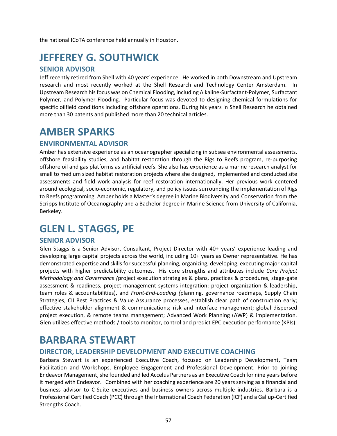the national ICoTA conference held annually in Houston.

### <span id="page-56-0"></span>**JEFFEREY G. SOUTHWICK**

#### **SENIOR ADVISOR**

Jeff recently retired from Shell with 40 years' experience. He worked in both Downstream and Upstream research and most recently worked at the Shell Research and Technology Center Amsterdam. In Upstream Research his focus was on Chemical Flooding, including Alkaline-Surfactant-Polymer, Surfactant Polymer, and Polymer Flooding. Particular focus was devoted to designing chemical formulations for specific oilfield conditions including offshore operations. During his years in Shell Research he obtained more than 30 patents and published more than 20 technical articles.

### <span id="page-56-1"></span>**AMBER SPARKS**

#### **ENVIRONMENTAL ADVISOR**

Amber has extensive experience as an oceanographer specializing in subsea environmental assessments, offshore feasibility studies, and habitat restoration through the Rigs to Reefs program, re‐purposing offshore oil and gas platforms as artificial reefs. She also has experience as a marine research analyst for small to medium sized habitat restoration projects where she designed, implemented and conducted site assessments and field work analysis for reef restoration internationally. Her previous work centered around ecological, socio‐economic, regulatory, and policy issues surrounding the implementation of Rigs to Reefs programming. Amber holds a Master's degree in Marine Biodiversity and Conservation from the Scripps Institute of Oceanography and a Bachelor degree in Marine Science from University of California, Berkeley.

### <span id="page-56-2"></span>**GLEN L. STAGGS, PE**

#### **SENIOR ADVISOR**

Glen Staggs is a Senior Advisor, Consultant, Project Director with 40+ years' experience leading and developing large capital projects across the world, including 10+ years as Owner representative. He has demonstrated expertise and skills for successful planning, organizing, developing, executing major capital projects with higher predictability outcomes. His core strengths and attributes include *Core Project Methodology and Governance (*project execution strategies & plans, practices & procedures, stage-gate assessment & readiness, project management systems integration; project organization & leadership, team roles & accountabilities), and *Front-End-Loading (*planning, governance roadmaps, Supply Chain Strategies, CII Best Practices & Value Assurance processes, establish clear path of construction early; effective stakeholder alignment & communications; risk and interface management; global dispersed project execution, & remote teams management; Advanced Work Planning (AWP) & implementation. Glen utilizes effective methods / tools to monitor, control and predict EPC execution performance (KPIs).

### <span id="page-56-3"></span>**BARBARA STEWART**

### **DIRECTOR, LEADERSHIP DEVELOPMENT AND EXECUTIVE COACHING**

Barbara Stewart is an experienced Executive Coach, focused on Leadership Development, Team Facilitation and Workshops, Employee Engagement and Professional Development. Prior to joining Endeavor Management, she founded and led Accelus Partners as an Executive Coach for nine years before it merged with Endeavor. Combined with her coaching experience are 20 years serving as a financial and business advisor to C-Suite executives and business owners across multiple industries. Barbara is a Professional Certified Coach (PCC) through the International Coach Federation (ICF) and a Gallup-Certified Strengths Coach.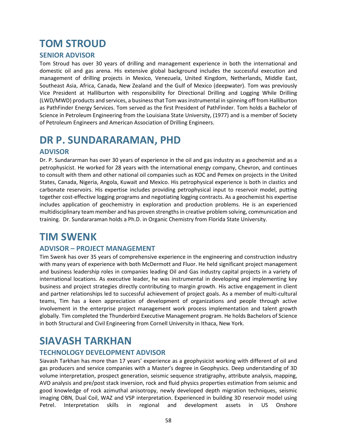# <span id="page-57-0"></span>**TOM STROUD**

### **SENIOR ADVISOR**

Tom Stroud has over 30 years of drilling and management experience in both the international and domestic oil and gas arena. His extensive global background includes the successful execution and management of drilling projects in Mexico, Venezuela, United Kingdom, Netherlands, Middle East, Southeast Asia, Africa, Canada, New Zealand and the Gulf of Mexico (deepwater). Tom was previously Vice President at Halliburton with responsibility for Directional Drilling and Logging While Drilling (LWD/MWD) products and services, a business that Tom was instrumental in spinning off from Halliburton as PathFinder Energy Services. Tom served as the first President of PathFinder. Tom holds a Bachelor of Science in Petroleum Engineering from the Louisiana State University, (1977) and is a member of Society of Petroleum Engineers and American Association of Drilling Engineers.

### <span id="page-57-1"></span>**DR P. SUNDARARAMAN, PHD**

#### **ADVISOR**

Dr. P. Sundararman has over 30 years of experience in the oil and gas industry as a geochemist and as a petrophysicist. He worked for 28 years with the international energy company, Chevron, and continues to consult with them and other national oil companies such as KOC and Pemex on projects in the United States, Canada, Nigeria, Angola, Kuwait and Mexico. His petrophysical experience is both in clastics and carbonate reservoirs. His expertise includes providing petrophysical input to reservoir model, putting together cost-effective logging programs and negotiating logging contracts. As a geochemist his expertise includes application of geochemistry in exploration and production problems. He is an experienced multidisciplinary team member and has proven strengths in creative problem solving, communication and training. Dr. Sundararaman holds a Ph.D. in Organic Chemistry from Florida State University.

### <span id="page-57-2"></span>**TIM SWENK**

### **ADVISOR – PROJECT MANAGEMENT**

Tim Swenk has over 35 years of comprehensive experience in the engineering and construction industry with many years of experience with both McDermott and Fluor. He held significant project management and business leadership roles in companies leading Oil and Gas industry capital projects in a variety of international locations. As executive leader, he was instrumental in developing and implementing key business and project strategies directly contributing to margin growth. His active engagement in client and partner relationships led to successful achievement of project goals. As a member of multi‐cultural teams, Tim has a keen appreciation of development of organizations and people through active involvement in the enterprise project management work process implementation and talent growth globally. Tim completed the Thunderbird Executive Management program. He holds Bachelors of Science in both Structural and Civil Engineering from Cornell University in Ithaca, New York.

### <span id="page-57-3"></span>**SIAVASH TARKHAN**

### **TECHNOLOGY DEVELOPMENT ADVISOR**

Siavash Tarkhan has more than 17 years' experience as a geophysicist working with different of oil and gas producers and service companies with a Master's degree in Geophysics. Deep understanding of 3D volume interpretation, prospect generation, seismic sequence stratigraphy, attribute analysis, mapping, AVO analysis and pre/post stack inversion, rock and fluid physics properties estimation from seismic and good knowledge of rock azimuthal anisotropy, newly developed depth migration techniques, seismic imaging OBN, Dual Coil, WAZ and VSP interpretation. Experienced in building 3D reservoir model using Petrel. Interpretation skills in regional and development assets in US Onshore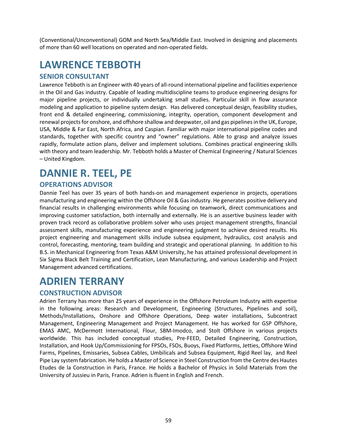(Conventional/Unconventional) GOM and North Sea/Middle East. Involved in designing and placements of more than 60 well locations on operated and non-operated fields.

# <span id="page-58-0"></span>**LAWRENCE TEBBOTH**

#### **SENIOR CONSULTANT**

Lawrence Tebboth is an Engineer with 40 years of all-round international pipeline and facilities experience in the Oil and Gas industry. Capable of leading multidiscipline teams to produce engineering designs for major pipeline projects, or individually undertaking small studies. Particular skill in flow assurance modeling and application to pipeline system design. Has delivered conceptual design, feasibility studies, front end & detailed engineering, commissioning, integrity, operation, component development and renewal projects for onshore, and offshore shallow and deepwater, oil and gas pipelines in the UK, Europe, USA, Middle & Far East, North Africa, and Caspian. Familiar with major international pipeline codes and standards, together with specific country and "owner" regulations. Able to grasp and analyze issues rapidly, formulate action plans, deliver and implement solutions. Combines practical engineering skills with theory and team leadership. Mr. Tebboth holds a Master of Chemical Engineering / Natural Sciences – United Kingdom.

### <span id="page-58-1"></span>**DANNIE R. TEEL, PE**

### **OPERATIONS ADVISOR**

Dannie Teel has over 35 years of both hands-on and management experience in projects, operations manufacturing and engineering within the Offshore Oil & Gas industry. He generates positive delivery and financial results in challenging environments while focusing on teamwork, direct communications and improving customer satisfaction, both internally and externally. He is an assertive business leader with proven track record as collaborative problem solver who uses project management strengths, financial assessment skills, manufacturing experience and engineering judgment to achieve desired results. His project engineering and management skills include subsea equipment, hydraulics, cost analysis and control, forecasting, mentoring, team building and strategic and operational planning. In addition to his B.S. in Mechanical Engineering from Texas A&M University, he has attained professional development in Six Sigma Black Belt Training and Certification, Lean Manufacturing, and various Leadership and Project Management advanced certifications.

### <span id="page-58-2"></span>**ADRIEN TERRANY**

### **CONSTRUCTION ADVISOR**

Adrien Terrany has more than 25 years of experience in the Offshore Petroleum Industry with expertise in the following areas: Research and Development, Engineering (Structures, Pipelines and soil), Methods/Installations, Onshore and Offshore Operations, Deep water installations, Subcontract Management, Engineering Management and Project Management. He has worked for GSP Offshore, EMAS AMC, McDermott International, Flour, SBM‐Imodco, and Stolt Offshore in various projects worldwide. This has included conceptual studies, Pre‐FEED, Detailed Engineering, Construction, Installation, and Hook Up/Commissioning for FPSOs, FSOs, Buoys, Fixed Platforms, Jetties, Offshore Wind Farms, Pipelines, Emissaries, Subsea Cables, Umbilicals and Subsea Equipment, Rigid Reel lay, and Reel Pipe Lay system fabrication. He holds a Master of Science in Steel Construction from the Centre des Hautes Etudes de la Construction in Paris, France. He holds a Bachelor of Physics in Solid Materials from the University of Jussieu in Paris, France. Adrien is fluent in English and French.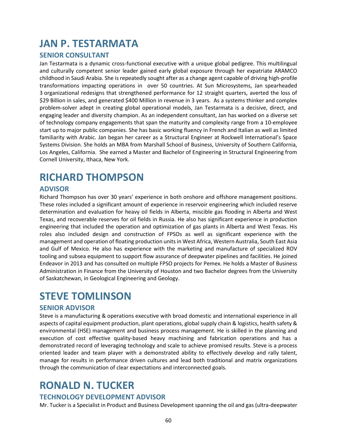### <span id="page-59-0"></span>**JAN P. TESTARMATA**

#### **SENIOR CONSULTANT**

Jan Testarmata is a dynamic cross-functional executive with a unique global pedigree. This multilingual and culturally competent senior leader gained early global exposure through her expatriate ARAMCO childhood in Saudi Arabia. She is repeatedly sought after as a change agent capable of driving high-profile transformations impacting operations in over 50 countries. At Sun Microsystems, Jan spearheaded 3 organizational redesigns that strengthened performance for 12 straight quarters, averted the loss of \$29 Billion in sales, and generated \$400 Million in revenue in 3 years. As a systems thinker and complex problem-solver adept in creating global operational models, Jan Testarmata is a decisive, direct, and engaging leader and diversity champion. As an independent consultant, Jan has worked on a diverse set of technology company engagements that span the maturity and complexity range from a 10-employee start up to major public companies. She has basic working fluency in French and Italian as well as limited familiarity with Arabic. Jan began her career as a Structural Engineer at Rockwell International's Space Systems Division. She holds an MBA from Marshall School of Business, University of Southern California, Los Angeles, California. She earned a Master and Bachelor of Engineering in Structural Engineering from Cornell University, Ithaca, New York.

### <span id="page-59-1"></span>**RICHARD THOMPSON**

#### **ADVISOR**

Richard Thompson has over 30 years' experience in both onshore and offshore management positions. These roles included a significant amount of experience in reservoir engineering which included reserve determination and evaluation for heavy oil fields in Alberta, miscible gas flooding in Alberta and West Texas, and recoverable reserves for oil fields in Russia. He also has significant experience in production engineering that included the operation and optimization of gas plants in Alberta and West Texas. His roles also included design and construction of FPSOs as well as significant experience with the management and operation of floating production units in West Africa, Western Australia, South East Asia and Gulf of Mexico. He also has experience with the marketing and manufacture of specialized ROV tooling and subsea equipment to support flow assurance of deepwater pipelines and facilities. He joined Endeavor in 2013 and has consulted on multiple FPSO projects for Pemex. He holds a Master of Business Administration in Finance from the University of Houston and two Bachelor degrees from the University of Saskatchewan, in Geological Engineering and Geology.

### <span id="page-59-2"></span>**STEVE TOMLINSON**

#### **SENIOR ADVISOR**

Steve is a manufacturing & operations executive with broad domestic and international experience in all aspects of capital equipment production, plant operations, global supply chain & logistics, health safety & environmental (HSE) management and business process management. He is skilled in the planning and execution of cost effective quality-based heavy machining and fabrication operations and has a demonstrated record of leveraging technology and scale to achieve promised results. Steve is a process oriented leader and team player with a demonstrated ability to effectively develop and rally talent, manage for results in performance driven cultures and lead both traditional and matrix organizations through the communication of clear expectations and interconnected goals.

### <span id="page-59-3"></span>**RONALD N. TUCKER**

#### **TECHNOLOGY DEVELOPMENT ADVISOR**

Mr. Tucker is a Specialist in Product and Business Development spanning the oil and gas (ultra-deepwater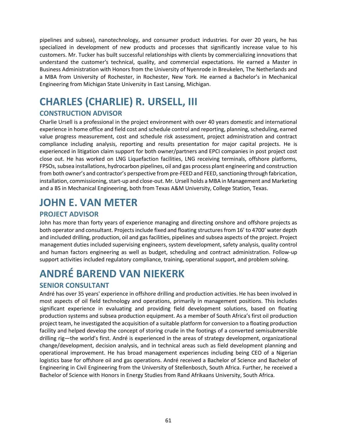pipelines and subsea), nanotechnology, and consumer product industries. For over 20 years, he has specialized in development of new products and processes that significantly increase value to his customers. Mr. Tucker has built successful relationships with clients by commercializing innovations that understand the customer's technical, quality, and commercial expectations. He earned a Master in Business Administration with Honors from the University of Nyenrode in Breukelen, The Netherlands and a MBA from University of Rochester, in Rochester, New York. He earned a Bachelor's in Mechanical Engineering from Michigan State University in East Lansing, Michigan.

# <span id="page-60-0"></span>**CHARLES (CHARLIE) R. URSELL, III**

### **CONSTRUCTION ADVISOR**

Charlie Ursell is a professional in the project environment with over 40 years domestic and international experience in home office and field cost and schedule control and reporting, planning, scheduling, earned value progress measurement, cost and schedule risk assessment, project administration and contract compliance including analysis, reporting and results presentation for major capital projects. He is experienced in litigation claim support for both owner/partners and EPCI companies in post project cost close out. He has worked on LNG Liquefaction facilities, LNG receiving terminals, offshore platforms, FPSOs, subsea installations, hydrocarbon pipelines, oil and gas process plant engineering and construction from both owner's and contractor's perspective from pre-FEED and FEED, sanctioning through fabrication, installation, commissioning, start-up and close-out. Mr. Ursell holds a MBA in Management and Marketing and a BS in Mechanical Engineering, both from Texas A&M University, College Station, Texas.

# <span id="page-60-1"></span>**JOHN E. VAN METER**

### **PROJECT ADVISOR**

John has more than forty years of experience managing and directing onshore and offshore projects as both operator and consultant. Projects include fixed and floating structures from 16' to 4700' water depth and included drilling, production, oil and gas facilities, pipelines and subsea aspects of the project. Project management duties included supervising engineers, system development, safety analysis, quality control and human factors engineering as well as budget, scheduling and contract administration. Follow-up support activities included regulatory compliance, training, operational support, and problem solving.

# <span id="page-60-2"></span>**ANDRÉ BAREND VAN NIEKERK**

### **SENIOR CONSULTANT**

André has over 35 years' experience in offshore drilling and production activities. He has been involved in most aspects of oil field technology and operations, primarily in management positions. This includes significant experience in evaluating and providing field development solutions, based on floating production systems and subsea production equipment. As a member of South Africa's first oil production project team, he investigated the acquisition of a suitable platform for conversion to a floating production facility and helped develop the concept of storing crude in the footings of a converted semisubmersible drilling rig—the world's first. André is experienced in the areas of strategy development, organizational change/development, decision analysis, and in technical areas such as field development planning and operational improvement. He has broad management experiences including being CEO of a Nigerian logistics base for offshore oil and gas operations. André received a Bachelor of Science and Bachelor of Engineering in Civil Engineering from the University of Stellenbosch, South Africa. Further, he received a Bachelor of Science with Honors in Energy Studies from Rand Afrikaans University, South Africa.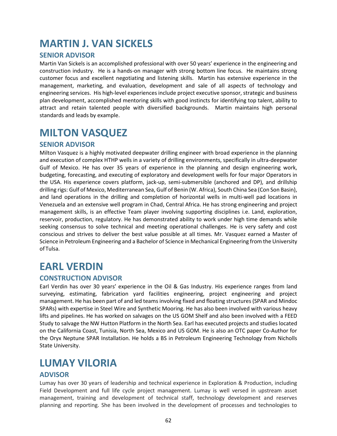### <span id="page-61-0"></span>**MARTIN J. VAN SICKELS**

#### **SENIOR ADVISOR**

Martin Van Sickels is an accomplished professional with over 50 years' experience in the engineering and construction industry. He is a hands-on manager with strong bottom line focus. He maintains strong customer focus and excellent negotiating and listening skills. Martin has extensive experience in the management, marketing, and evaluation, development and sale of all aspects of technology and engineering services. His high-level experiences include project executive sponsor, strategic and business plan development, accomplished mentoring skills with good instincts for identifying top talent, ability to attract and retain talented people with diversified backgrounds. Martin maintains high personal standards and leads by example.

### <span id="page-61-1"></span>**MILTON VASQUEZ**

#### **SENIOR ADVISOR**

Milton Vasquez is a highly motivated deepwater drilling engineer with broad experience in the planning and execution of complex HTHP wells in a variety of drilling environments, specifically in ultra‐deepwater Gulf of Mexico. He has over 35 years of experience in the planning and design engineering work, budgeting, forecasting, and executing of exploratory and development wells for four major Operators in the USA. His experience covers platform, jack‐up, semi‐submersible (anchored and DP), and drillship drilling rigs: Gulf of Mexico, Mediterranean Sea, Gulf of Benin (W. Africa), South China Sea (Con Son Basin), and land operations in the drilling and completion of horizontal wells in multi‐well pad locations in Venezuela and an extensive well program in Chad, Central Africa. He has strong engineering and project management skills, is an effective Team player involving supporting disciplines i.e. Land, exploration, reservoir, production, regulatory. He has demonstrated ability to work under high time demands while seeking consensus to solve technical and meeting operational challenges. He is very safety and cost conscious and strives to deliver the best value possible at all times. Mr. Vasquez earned a Master of Science in Petroleum Engineering and a Bachelor of Science in Mechanical Engineering from the University of Tulsa.

### <span id="page-61-2"></span>**EARL VERDIN**

### **CONSTRUCTION ADVISOR**

Earl Verdin has over 30 years' experience in the Oil & Gas Industry. His experience ranges from land surveying, estimating, fabrication yard facilities engineering, project engineering and project management. He has been part of and led teams involving fixed and floating structures (SPAR and Mindoc SPARs) with expertise in Steel Wire and Synthetic Mooring. He has also been involved with various heavy lifts and pipelines. He has worked on salvages on the US GOM Shelf and also been involved with a FEED Study to salvage the NW Hutton Platform in the North Sea. Earl has executed projects and studies located on the California Coast, Tunisia, North Sea, Mexico and US GOM. He is also an OTC paper Co‐Author for the Oryx Neptune SPAR Installation. He holds a BS in Petroleum Engineering Technology from Nicholls State University.

### <span id="page-61-3"></span>**LUMAY VILORIA**

#### **ADVISOR**

Lumay has over 30 years of leadership and technical experience in Exploration & Production, including Field Development and full life cycle project management. Lumay is well versed in upstream asset management, training and development of technical staff, technology development and reserves planning and reporting. She has been involved in the development of processes and technologies to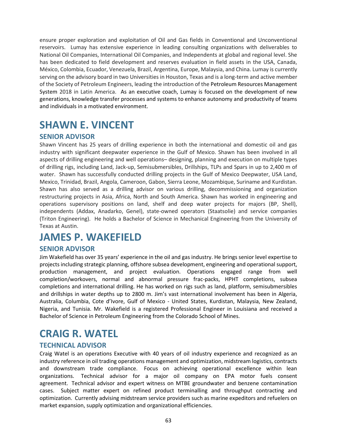ensure proper exploration and exploitation of Oil and Gas fields in Conventional and Unconventional reservoirs. Lumay has extensive experience in leading consulting organizations with deliverables to National Oil Companies, International Oil Companies, and Independents at global and regional level. She has been dedicated to field development and reserves evaluation in field assets in the USA, Canada, México, Colombia, Ecuador, Venezuela, Brazil, Argentina, Europe, Malaysia, and China. Lumay is currently serving on the advisory board in two Universities in Houston, Texas and is a long-term and active member of the Society of Petroleum Engineers, leading the introduction of the Petroleum Resources Management System 2018 in Latin America. As an executive coach, Lumay is focused on the development of new generations, knowledge transfer processes and systems to enhance autonomy and productivity of teams and individuals in a motivated environment.

### <span id="page-62-0"></span>**SHAWN E. VINCENT**

#### **SENIOR ADVISOR**

Shawn Vincent has 25 years of drilling experience in both the international and domestic oil and gas industry with significant deepwater experience in the Gulf of Mexico. Shawn has been involved in all aspects of drilling engineering and well operations– designing, planning and execution on multiple types of drilling rigs, including Land, Jack‐up, Semisubmersibles, Drillships, TLPs and Spars in up to 2,400 m of water. Shawn has successfully conducted drilling projects in the Gulf of Mexico Deepwater, USA Land, Mexico, Trinidad, Brazil, Angola, Cameroon, Gabon, Sierra Leone, Mozambique, Suriname and Kurdistan. Shawn has also served as a drilling advisor on various drilling, decommissioning and organization restructuring projects in Asia, Africa, North and South America. Shawn has worked in engineering and operations supervisory positions on land, shelf and deep water projects for majors (BP, Shell), independents (Addax, Anadarko, Genel), state-owned operators (Staatsolie) and service companies (Triton Engineering). He holds a Bachelor of Science in Mechanical Engineering from the University of Texas at Austin.

### <span id="page-62-1"></span>**JAMES P. WAKEFIELD**

### **SENIOR ADVISOR**

Jim Wakefield has over 35 years' experience in the oil and gas industry. He brings senior level expertise to projects including strategic planning, offshore subsea development, engineering and operational support, production management, and project evaluation. Operations engaged range from well completion/workovers, normal and abnormal pressure frac‐packs, HPHT completions, subsea completions and international drilling. He has worked on rigs such as land, platform, semisubmersibles and drillships in water depths up to 2800 m. Jim's vast international involvement has been in Algeria, Australia, Columbia, Cote d'Ivore, Gulf of Mexico ‐ United States, Kurdistan, Malaysia, New Zealand, Nigeria, and Tunisia. Mr. Wakefield is a registered Professional Engineer in Louisiana and received a Bachelor of Science in Petroleum Engineering from the Colorado School of Mines.

### <span id="page-62-2"></span>**CRAIG R. WATEL**

#### **TECHNICAL ADVISOR**

Craig Watel is an operations Executive with 40 years of oil industry experience and recognized as an industry reference in oil trading operations management and optimization, midstream logistics, contracts and downstream trade compliance. Focus on achieving operational excellence within lean organizations. Technical advisor for a major oil company on EPA motor fuels consent agreement. Technical advisor and expert witness on MTBE groundwater and benzene contamination cases. Subject matter expert on refined product terminalling and throughput contracting and optimization. Currently advising midstream service providers such as marine expeditors and refuelers on market expansion, supply optimization and organizational efficiencies.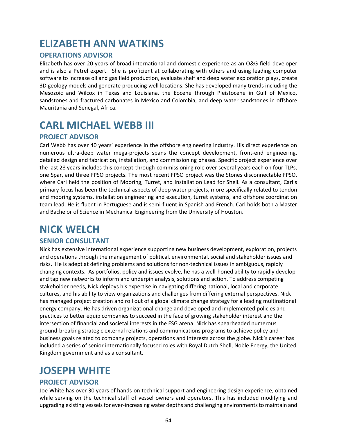### <span id="page-63-0"></span>**ELIZABETH ANN WATKINS**

### **OPERATIONS ADVISOR**

Elizabeth has over 20 years of broad international and domestic experience as an O&G field developer and is also a Petrel expert. She is proficient at collaborating with others and using leading computer software to increase oil and gas field production, evaluate shelf and deep water exploration plays, create 3D geology models and generate producing well locations. She has developed many trends including the Mesozoic and Wilcox in Texas and Louisiana, the Eocene through Pleistocene in Gulf of Mexico, sandstones and fractured carbonates in Mexico and Colombia, and deep water sandstones in offshore Mauritania and Senegal, Africa.

### <span id="page-63-1"></span>**CARL MICHAEL WEBB III**

#### **PROJECT ADVISOR**

Carl Webb has over 40 years' experience in the offshore engineering industry. His direct experience on numerous ultra-deep water mega-projects spans the concept development, front-end engineering, detailed design and fabrication, installation, and commissioning phases. Specific project experience over the last 28 years includes this concept‐through‐commissioning role over several years each on four TLPs, one Spar, and three FPSO projects. The most recent FPSO project was the Stones disconnectable FPSO, where Carl held the position of Mooring, Turret, and Installation Lead for Shell. As a consultant, Carl's primary focus has been the technical aspects of deep water projects, more specifically related to tendon and mooring systems, installation engineering and execution, turret systems, and offshore coordination team lead. He is fluent in Portuguese and is semi‐fluent in Spanish and French. Carl holds both a Master and Bachelor of Science in Mechanical Engineering from the University of Houston.

### <span id="page-63-2"></span>**NICK WELCH**

#### **SENIOR CONSULTANT**

Nick has extensive international experience supporting new business development, exploration, projects and operations through the management of political, environmental, social and stakeholder issues and risks. He is adept at defining problems and solutions for non-technical issues in ambiguous, rapidly changing contexts. As portfolios, policy and issues evolve, he has a well-honed ability to rapidly develop and tap new networks to inform and underpin analysis, solutions and action. To address competing stakeholder needs, Nick deploys his expertise in navigating differing national, local and corporate cultures, and his ability to view organizations and challenges from differing external perspectives. Nick has managed project creation and roll out of a global climate change strategy for a leading multinational energy company. He has driven organizational change and developed and implemented policies and practices to better equip companies to succeed in the face of growing stakeholder interest and the intersection of financial and societal interests in the ESG arena. Nick has spearheaded numerous ground-breaking strategic external relations and communications programs to achieve policy and business goals related to company projects, operations and interests across the globe. Nick's career has included a series of senior internationally focused roles with Royal Dutch Shell, Noble Energy, the United Kingdom government and as a consultant.

### <span id="page-63-3"></span>**JOSEPH WHITE**

#### **PROJECT ADVISOR**

Joe White has over 30 years of hands‐on technical support and engineering design experience, obtained while serving on the technical staff of vessel owners and operators. This has included modifying and upgrading existing vessels for ever‐increasing water depths and challenging environments to maintain and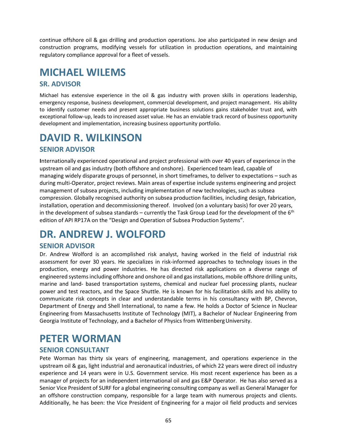continue offshore oil & gas drilling and production operations. Joe also participated in new design and construction programs, modifying vessels for utilization in production operations, and maintaining regulatory compliance approval for a fleet of vessels.

### <span id="page-64-0"></span>**MICHAEL WILEMS**

### **SR. ADVISOR**

Michael has extensive experience in the oil & gas industry with proven skills in operations leadership, emergency response, business development, commercial development, and project management. His ability to identify customer needs and present appropriate business solutions gains stakeholder trust and, with exceptional follow-up, leads to increased asset value. He has an enviable track record of business opportunity development and implementation, increasing business opportunity portfolio.

# <span id="page-64-1"></span>**DAVID R. WILKINSON**

### **SENIOR ADVISOR**

**I**nternationally experienced operational and project professional with over 40 years of experience in the upstream oil and gas industry (both offshore and onshore). Experienced team lead, capable of managing widely disparate groups of personnel, in short timeframes, to deliver to expectations – such as during multi-Operator, project reviews. Main areas of expertise include systems engineering and project management of subsea projects, including implementation of new technologies, such as subsea compression. Globally recognised authority on subsea production facilities, including design, fabrication, installation, operation and decommissioning thereof. Involved (on a voluntary basis) for over 20 years, in the development of subsea standards – currently the Task Group Lead for the development of the  $6<sup>th</sup>$ edition of API RP17A on the "Design and Operation of Subsea Production Systems".

# <span id="page-64-2"></span>**DR. ANDREW J. WOLFORD**

### **SENIOR ADVISOR**

Dr. Andrew Wolford is an accomplished risk analyst, having worked in the field of industrial risk assessment for over 30 years. He specializes in risk‐informed approaches to technology issues in the production, energy and power industries. He has directed risk applications on a diverse range of engineered systemsincluding offshore and onshore oil and gasinstallations, mobile offshore drilling units, marine and land‐ based transportation systems, chemical and nuclear fuel processing plants, nuclear power and test reactors, and the Space Shuttle. He is known for his facilitation skills and his ability to communicate risk concepts in clear and understandable terms in his consultancy with BP, Chevron, Department of Energy and Shell International, to name a few. He holds a Doctor of Science in Nuclear Engineering from Massachusetts Institute of Technology (MIT), a Bachelor of Nuclear Engineering from Georgia Institute of Technology, and a Bachelor of Physics from Wittenberg University.

### <span id="page-64-3"></span>**PETER WORMAN**

### **SENIOR CONSULTANT**

Pete Worman has thirty six years of engineering, management, and operations experience in the upstream oil & gas, light industrial and aeronautical industries, of which 22 years were direct oil industry experience and 14 years were in U.S. Government service. His most recent experience has been as a manager of projects for an independent international oil and gas E&P Operator. He has also served as a Senior Vice President of SURF for a global engineering consulting company as well as General Manager for an offshore construction company, responsible for a large team with numerous projects and clients. Additionally, he has been: the Vice President of Engineering for a major oil field products and services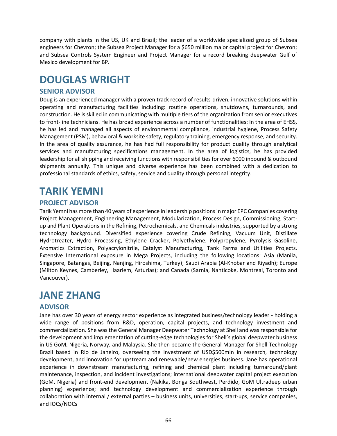company with plants in the US, UK and Brazil; the leader of a worldwide specialized group of Subsea engineers for Chevron; the Subsea Project Manager for a \$650 million major capital project for Chevron; and Subsea Controls System Engineer and Project Manager for a record breaking deepwater Gulf of Mexico development for BP.

### <span id="page-65-0"></span>**DOUGLAS WRIGHT**

### **SENIOR ADVISOR**

Doug is an experienced manager with a proven track record of results-driven, innovative solutions within operating and manufacturing facilities including: routine operations, shutdowns, turnarounds, and construction. He is skilled in communicating with multiple tiers of the organization from senior executives to front-line technicians. He has broad experience across a number of functionalities: In the area of EHSS, he has led and managed all aspects of environmental compliance, industrial hygiene, Process Safety Management (PSM), behavioral & worksite safety, regulatory training, emergency response, and security. In the area of quality assurance, he has had full responsibility for product quality through analytical services and manufacturing specifications management. In the area of logistics, he has provided leadership for all shipping and receiving functions with responsibilities for over 6000 inbound & outbound shipments annually. This unique and diverse experience has been combined with a dedication to professional standards of ethics, safety, service and quality through personal integrity.

### <span id="page-65-1"></span>**TARIK YEMNI**

### **PROJECT ADVISOR**

Tarik Yemni has more than 40 years of experience in leadership positions in major EPC Companies covering Project Management, Engineering Management, Modularization, Process Design, Commissioning, Startup and Plant Operations in the Refining, Petrochemicals, and Chemicals industries, supported by a strong technology background. Diversified experience covering Crude Refining, Vacuum Unit, Distillate Hydrotreater, Hydro Processing, Ethylene Cracker, Polyethylene, Polypropylene, Pyrolysis Gasoline, Aromatics Extraction, Polyacrylonitrile, Catalyst Manufacturing, Tank Farms and Utilities Projects. Extensive International exposure in Mega Projects, including the following locations: Asia (Manila, Singapore, Batangas, Beijing, Nanjing, Hiroshima, Turkey); Saudi Arabia (Al-Khobar and Riyadh); Europe (Milton Keynes, Camberley, Haarlem, Asturias); and Canada (Sarnia, Nanticoke, Montreal, Toronto and Vancouver).

### <span id="page-65-2"></span>**JANE ZHANG**

#### **ADVISOR**

Jane has over 30 years of energy sector experience as integrated business/technology leader - holding a wide range of positions from R&D, operation, capital projects, and technology investment and commercialization. She was the General Manager Deepwater Technology at Shell and was responsible for the development and implementation of cutting-edge technologies for Shell's global deepwater business in US GoM, Nigeria, Norway, and Malaysia. She then became the General Manager for Shell Technology Brazil based in Rio de Janeiro, overseeing the investment of USD\$500mln in research, technology development, and innovation for upstream and renewable/new energies business. Jane has operational experience in downstream manufacturing, refining and chemical plant including turnaround/plant maintenance, inspection, and incident investigations; international deepwater capital project execution (GoM, Nigeria) and front-end development (Nakika, Bonga Southwest, Perdido, GoM Ultradeep urban planning) experience; and technology development and commercialization experience through collaboration with internal / external parties – business units, universities, start-ups, service companies, and IOCs/NOCs